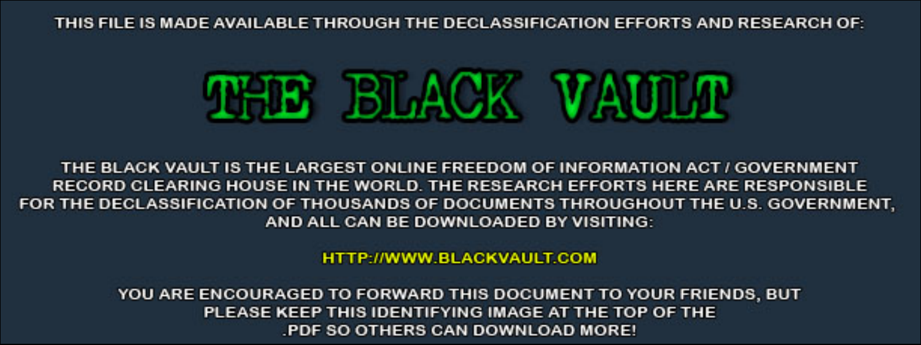THIS FILE IS MADE AVAILABLE THROUGH THE DECLASSIFICATION EFFORTS AND RESEARCH OF:



THE BLACK VAULT IS THE LARGEST ONLINE FREEDOM OF INFORMATION ACT / GOVERNMENT RECORD CLEARING HOUSE IN THE WORLD. THE RESEARCH EFFORTS HERE ARE RESPONSIBLE FOR THE DECLASSIFICATION OF THOUSANDS OF DOCUMENTS THROUGHOUT THE U.S. GOVERNMENT, AND ALL CAN BE DOWNLOADED BY VISITING:

**HTTP://WWW.BLACKVAULT.COM** 

YOU ARE ENCOURAGED TO FORWARD THIS DOCUMENT TO YOUR FRIENDS, BUT PLEASE KEEP THIS IDENTIFYING IMAGE AT THE TOP OF THE PDF SO OTHERS CAN DOWNLOAD MORE!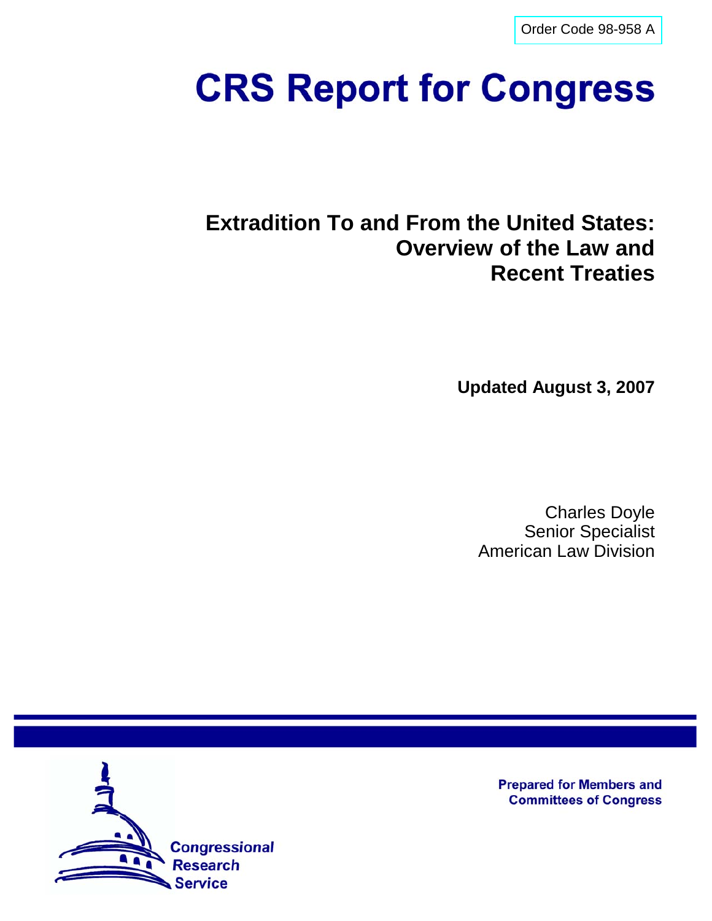[Order Code 98-958 A](http://www.fas.org/sgp/crs/misc/index.html)

# **CRS Report for Congress**

**Extradition To and From the United States: Overview of the Law and Recent Treaties**

**Updated August 3, 2007**

Charles Doyle Senior Specialist American Law Division



**Prepared for Members and Committees of Congress**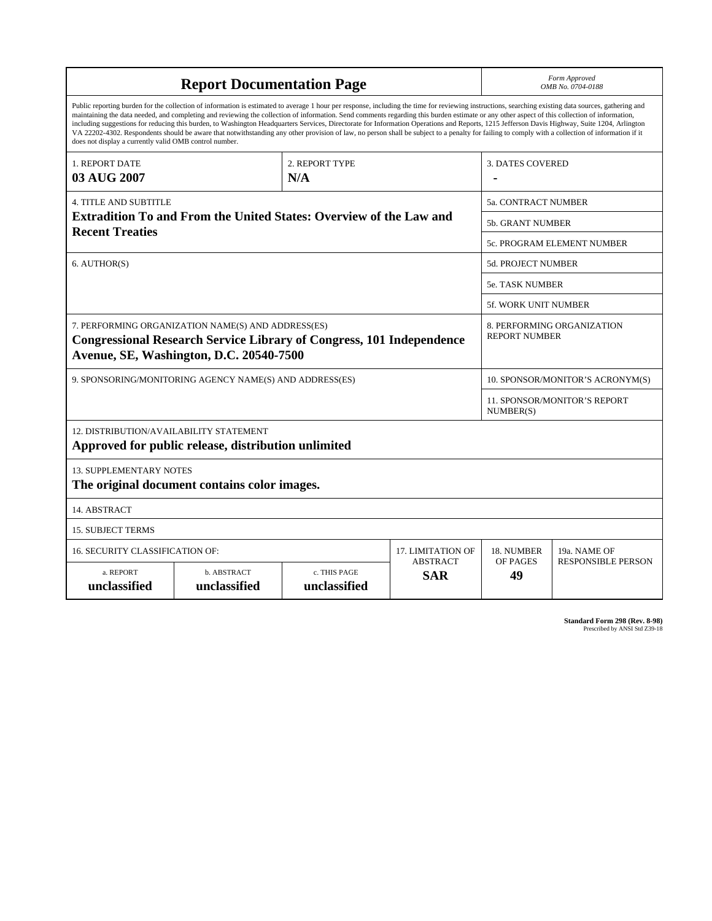| <b>Report Documentation Page</b>                                                                                                                                                                                                                                                                                                                                                                                                                                                                                                                                                                                                                                                                                                                                                                                                                                   |                             |                              |                               |                                  | Form Approved<br>OMB No. 0704-0188                 |  |
|--------------------------------------------------------------------------------------------------------------------------------------------------------------------------------------------------------------------------------------------------------------------------------------------------------------------------------------------------------------------------------------------------------------------------------------------------------------------------------------------------------------------------------------------------------------------------------------------------------------------------------------------------------------------------------------------------------------------------------------------------------------------------------------------------------------------------------------------------------------------|-----------------------------|------------------------------|-------------------------------|----------------------------------|----------------------------------------------------|--|
| Public reporting burden for the collection of information is estimated to average 1 hour per response, including the time for reviewing instructions, searching existing data sources, gathering and<br>maintaining the data needed, and completing and reviewing the collection of information. Send comments regarding this burden estimate or any other aspect of this collection of information,<br>including suggestions for reducing this burden, to Washington Headquarters Services, Directorate for Information Operations and Reports, 1215 Jefferson Davis Highway, Suite 1204, Arlington<br>VA 22202-4302. Respondents should be aware that notwithstanding any other provision of law, no person shall be subject to a penalty for failing to comply with a collection of information if it<br>does not display a currently valid OMB control number. |                             |                              |                               |                                  |                                                    |  |
| 1. REPORT DATE<br>03 AUG 2007                                                                                                                                                                                                                                                                                                                                                                                                                                                                                                                                                                                                                                                                                                                                                                                                                                      | 2. REPORT TYPE<br>N/A       |                              |                               | <b>3. DATES COVERED</b>          |                                                    |  |
| <b>4. TITLE AND SUBTITLE</b>                                                                                                                                                                                                                                                                                                                                                                                                                                                                                                                                                                                                                                                                                                                                                                                                                                       |                             | 5a. CONTRACT NUMBER          |                               |                                  |                                                    |  |
| <b>Extradition To and From the United States: Overview of the Law and</b><br><b>Recent Treaties</b>                                                                                                                                                                                                                                                                                                                                                                                                                                                                                                                                                                                                                                                                                                                                                                |                             |                              |                               |                                  | <b>5b. GRANT NUMBER</b>                            |  |
|                                                                                                                                                                                                                                                                                                                                                                                                                                                                                                                                                                                                                                                                                                                                                                                                                                                                    |                             |                              |                               |                                  | 5c. PROGRAM ELEMENT NUMBER                         |  |
| 6. AUTHOR(S)                                                                                                                                                                                                                                                                                                                                                                                                                                                                                                                                                                                                                                                                                                                                                                                                                                                       |                             |                              | <b>5d. PROJECT NUMBER</b>     |                                  |                                                    |  |
|                                                                                                                                                                                                                                                                                                                                                                                                                                                                                                                                                                                                                                                                                                                                                                                                                                                                    |                             |                              |                               |                                  | <b>5e. TASK NUMBER</b>                             |  |
|                                                                                                                                                                                                                                                                                                                                                                                                                                                                                                                                                                                                                                                                                                                                                                                                                                                                    |                             |                              |                               |                                  | 5f. WORK UNIT NUMBER                               |  |
| 7. PERFORMING ORGANIZATION NAME(S) AND ADDRESS(ES)<br><b>Congressional Research Service Library of Congress, 101 Independence</b><br>Avenue, SE, Washington, D.C. 20540-7500                                                                                                                                                                                                                                                                                                                                                                                                                                                                                                                                                                                                                                                                                       |                             |                              |                               |                                  | 8. PERFORMING ORGANIZATION<br><b>REPORT NUMBER</b> |  |
| 9. SPONSORING/MONITORING AGENCY NAME(S) AND ADDRESS(ES)                                                                                                                                                                                                                                                                                                                                                                                                                                                                                                                                                                                                                                                                                                                                                                                                            |                             |                              |                               | 10. SPONSOR/MONITOR'S ACRONYM(S) |                                                    |  |
|                                                                                                                                                                                                                                                                                                                                                                                                                                                                                                                                                                                                                                                                                                                                                                                                                                                                    |                             |                              |                               |                                  | 11. SPONSOR/MONITOR'S REPORT<br>NUMBER(S)          |  |
| 12. DISTRIBUTION/AVAILABILITY STATEMENT<br>Approved for public release, distribution unlimited                                                                                                                                                                                                                                                                                                                                                                                                                                                                                                                                                                                                                                                                                                                                                                     |                             |                              |                               |                                  |                                                    |  |
| <b>13. SUPPLEMENTARY NOTES</b><br>The original document contains color images.                                                                                                                                                                                                                                                                                                                                                                                                                                                                                                                                                                                                                                                                                                                                                                                     |                             |                              |                               |                                  |                                                    |  |
| 14. ABSTRACT                                                                                                                                                                                                                                                                                                                                                                                                                                                                                                                                                                                                                                                                                                                                                                                                                                                       |                             |                              |                               |                                  |                                                    |  |
| <b>15. SUBJECT TERMS</b>                                                                                                                                                                                                                                                                                                                                                                                                                                                                                                                                                                                                                                                                                                                                                                                                                                           |                             |                              |                               |                                  |                                                    |  |
| 16. SECURITY CLASSIFICATION OF:                                                                                                                                                                                                                                                                                                                                                                                                                                                                                                                                                                                                                                                                                                                                                                                                                                    | 17. LIMITATION OF           | 18. NUMBER                   | 19a. NAME OF                  |                                  |                                                    |  |
| a. REPORT<br>unclassified                                                                                                                                                                                                                                                                                                                                                                                                                                                                                                                                                                                                                                                                                                                                                                                                                                          | b. ABSTRACT<br>unclassified | c. THIS PAGE<br>unclassified | <b>ABSTRACT</b><br><b>SAR</b> | OF PAGES<br>49                   | <b>RESPONSIBLE PERSON</b>                          |  |

**Standard Form 298 (Rev. 8-98)**<br>Prescribed by ANSI Std Z39-18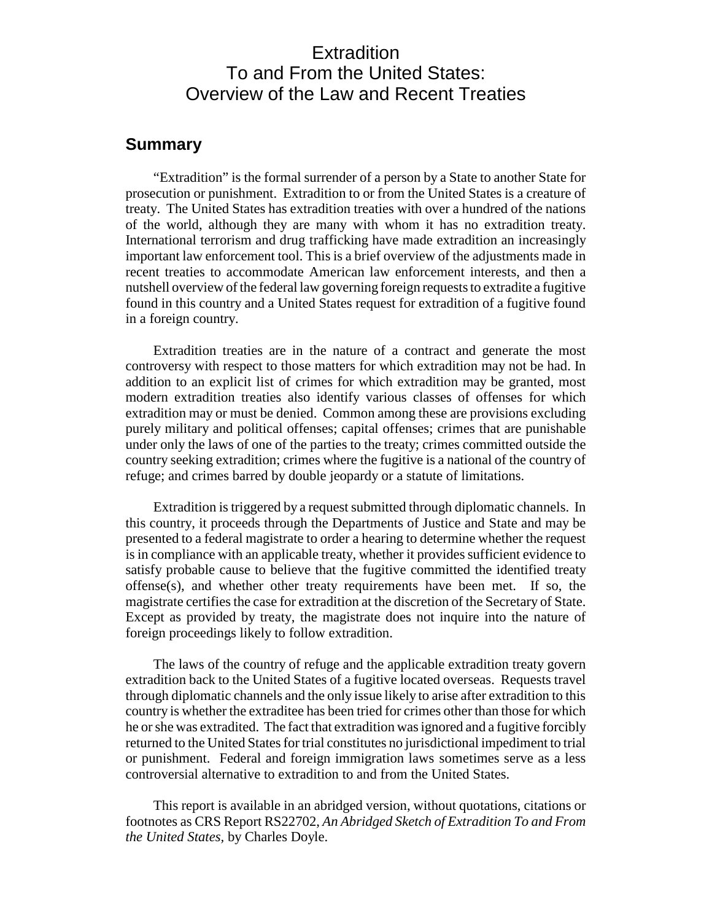### **Extradition** To and From the United States: Overview of the Law and Recent Treaties

#### **Summary**

"Extradition" is the formal surrender of a person by a State to another State for prosecution or punishment. Extradition to or from the United States is a creature of treaty. The United States has extradition treaties with over a hundred of the nations of the world, although they are many with whom it has no extradition treaty. International terrorism and drug trafficking have made extradition an increasingly important law enforcement tool. This is a brief overview of the adjustments made in recent treaties to accommodate American law enforcement interests, and then a nutshell overview of the federal law governing foreign requests to extradite a fugitive found in this country and a United States request for extradition of a fugitive found in a foreign country.

Extradition treaties are in the nature of a contract and generate the most controversy with respect to those matters for which extradition may not be had. In addition to an explicit list of crimes for which extradition may be granted, most modern extradition treaties also identify various classes of offenses for which extradition may or must be denied. Common among these are provisions excluding purely military and political offenses; capital offenses; crimes that are punishable under only the laws of one of the parties to the treaty; crimes committed outside the country seeking extradition; crimes where the fugitive is a national of the country of refuge; and crimes barred by double jeopardy or a statute of limitations.

Extradition is triggered by a request submitted through diplomatic channels. In this country, it proceeds through the Departments of Justice and State and may be presented to a federal magistrate to order a hearing to determine whether the request is in compliance with an applicable treaty, whether it provides sufficient evidence to satisfy probable cause to believe that the fugitive committed the identified treaty offense(s), and whether other treaty requirements have been met. If so, the magistrate certifies the case for extradition at the discretion of the Secretary of State. Except as provided by treaty, the magistrate does not inquire into the nature of foreign proceedings likely to follow extradition.

The laws of the country of refuge and the applicable extradition treaty govern extradition back to the United States of a fugitive located overseas. Requests travel through diplomatic channels and the only issue likely to arise after extradition to this country is whether the extraditee has been tried for crimes other than those for which he or she was extradited. The fact that extradition was ignored and a fugitive forcibly returned to the United States for trial constitutes no jurisdictional impediment to trial or punishment. Federal and foreign immigration laws sometimes serve as a less controversial alternative to extradition to and from the United States.

This report is available in an abridged version, without quotations, citations or footnotes as CRS Report RS22702, *An Abridged Sketch of Extradition To and From the United States,* by Charles Doyle.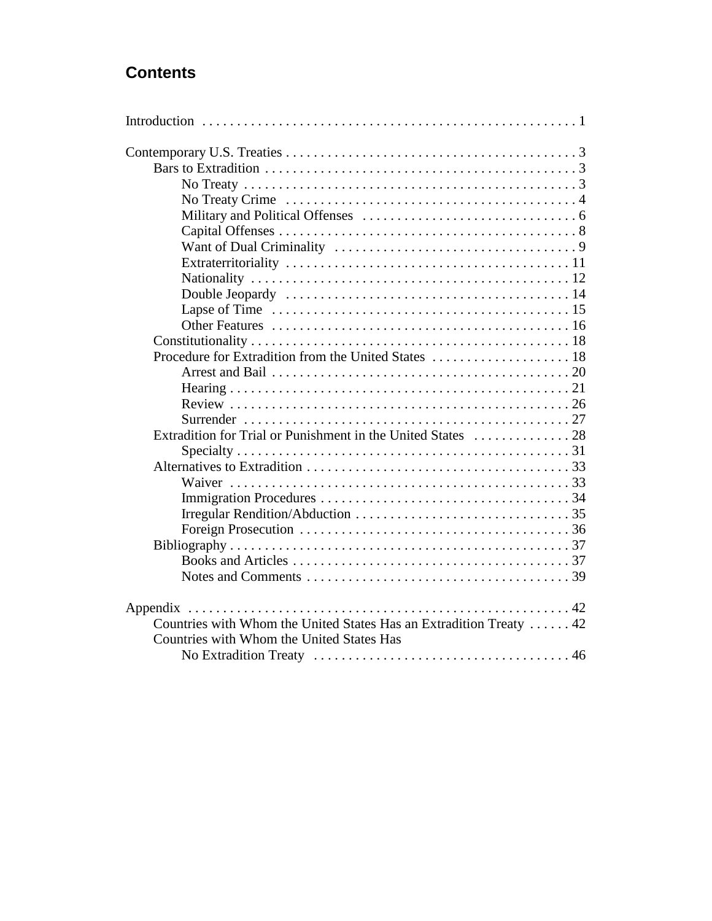## **Contents**

| Countries with Whom the United States Has an Extradition Treaty  42 |
|---------------------------------------------------------------------|
| Countries with Whom the United States Has                           |
|                                                                     |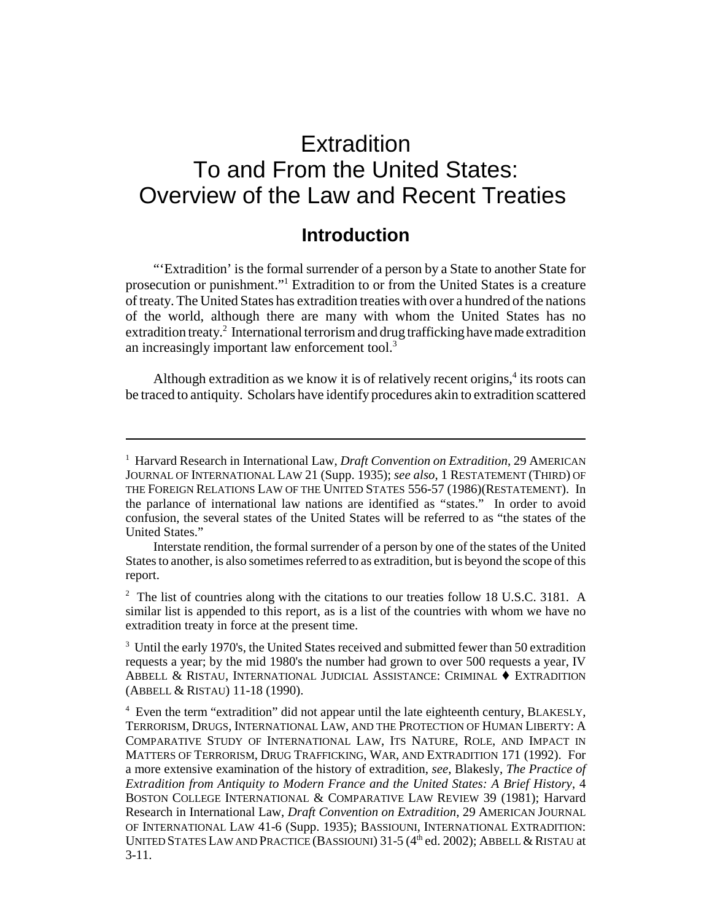## **Extradition** To and From the United States: Overview of the Law and Recent Treaties

### **Introduction**

"'Extradition' is the formal surrender of a person by a State to another State for prosecution or punishment."<sup>1</sup> Extradition to or from the United States is a creature of treaty. The United States has extradition treaties with over a hundred of the nations of the world, although there are many with whom the United States has no extradition treaty.<sup>2</sup> International terrorism and drug trafficking have made extradition an increasingly important law enforcement tool.<sup>3</sup>

Although extradition as we know it is of relatively recent origins,<sup>4</sup> its roots can be traced to antiquity. Scholars have identify procedures akin to extradition scattered

<sup>&</sup>lt;sup>1</sup> Harvard Research in International Law, *Draft Convention on Extradition*, 29 AMERICAN JOURNAL OF INTERNATIONAL LAW 21 (Supp. 1935); *see also*, 1 RESTATEMENT (THIRD) OF THE FOREIGN RELATIONS LAW OF THE UNITED STATES 556-57 (1986)(RESTATEMENT). In the parlance of international law nations are identified as "states." In order to avoid confusion, the several states of the United States will be referred to as "the states of the United States."

Interstate rendition, the formal surrender of a person by one of the states of the United States to another, is also sometimes referred to as extradition, but is beyond the scope of this report.

<sup>&</sup>lt;sup>2</sup> The list of countries along with the citations to our treaties follow 18 U.S.C. 3181. A similar list is appended to this report, as is a list of the countries with whom we have no extradition treaty in force at the present time.

<sup>&</sup>lt;sup>3</sup> Until the early 1970's, the United States received and submitted fewer than 50 extradition requests a year; by the mid 1980's the number had grown to over 500 requests a year, IV ABBELL & RISTAU, INTERNATIONAL JUDICIAL ASSISTANCE: CRIMINAL  $\blacklozenge$  EXTRADITION (ABBELL & RISTAU) 11-18 (1990).

<sup>&</sup>lt;sup>4</sup> Even the term "extradition" did not appear until the late eighteenth century, BLAKESLY, TERRORISM, DRUGS, INTERNATIONAL LAW, AND THE PROTECTION OF HUMAN LIBERTY: A COMPARATIVE STUDY OF INTERNATIONAL LAW, ITS NATURE, ROLE, AND IMPACT IN MATTERS OF TERRORISM, DRUG TRAFFICKING, WAR, AND EXTRADITION 171 (1992). For a more extensive examination of the history of extradition, *see*, Blakesly, *The Practice of Extradition from Antiquity to Modern France and the United States: A Brief History*, 4 BOSTON COLLEGE INTERNATIONAL & COMPARATIVE LAW REVIEW 39 (1981); Harvard Research in International Law, *Draft Convention on Extradition*, 29 AMERICAN JOURNAL OF INTERNATIONAL LAW 41-6 (Supp. 1935); BASSIOUNI, INTERNATIONAL EXTRADITION: UNITED STATES LAW AND PRACTICE (BASSIOUNI) 31-5 (4<sup>th</sup> ed. 2002); ABBELL & RISTAU at 3-11.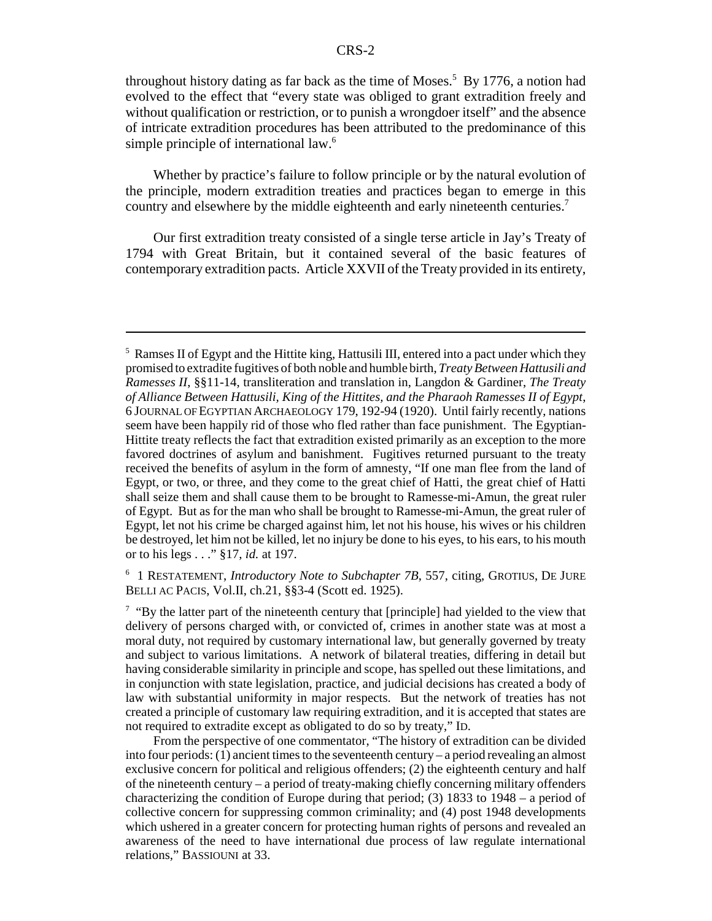throughout history dating as far back as the time of Moses.<sup>5</sup> By 1776, a notion had evolved to the effect that "every state was obliged to grant extradition freely and without qualification or restriction, or to punish a wrongdoer itself" and the absence of intricate extradition procedures has been attributed to the predominance of this simple principle of international law.<sup>6</sup>

Whether by practice's failure to follow principle or by the natural evolution of the principle, modern extradition treaties and practices began to emerge in this country and elsewhere by the middle eighteenth and early nineteenth centuries.<sup>7</sup>

Our first extradition treaty consisted of a single terse article in Jay's Treaty of 1794 with Great Britain, but it contained several of the basic features of contemporary extradition pacts. Article XXVII of the Treaty provided in its entirety,

<sup>6</sup> 1 RESTATEMENT, *Introductory Note to Subchapter 7B*, 557, citing, GROTIUS, DE JURE BELLI AC PACIS, Vol.II, ch.21, §§3-4 (Scott ed. 1925).

 $7 \text{ }$  "By the latter part of the nineteenth century that [principle] had yielded to the view that delivery of persons charged with, or convicted of, crimes in another state was at most a moral duty, not required by customary international law, but generally governed by treaty and subject to various limitations. A network of bilateral treaties, differing in detail but having considerable similarity in principle and scope, has spelled out these limitations, and in conjunction with state legislation, practice, and judicial decisions has created a body of law with substantial uniformity in major respects. But the network of treaties has not created a principle of customary law requiring extradition, and it is accepted that states are not required to extradite except as obligated to do so by treaty," ID.

From the perspective of one commentator, "The history of extradition can be divided into four periods: (1) ancient times to the seventeenth century – a period revealing an almost exclusive concern for political and religious offenders; (2) the eighteenth century and half of the nineteenth century – a period of treaty-making chiefly concerning military offenders characterizing the condition of Europe during that period; (3) 1833 to 1948 – a period of collective concern for suppressing common criminality; and (4) post 1948 developments which ushered in a greater concern for protecting human rights of persons and revealed an awareness of the need to have international due process of law regulate international relations," BASSIOUNI at 33.

<sup>&</sup>lt;sup>5</sup> Ramses II of Egypt and the Hittite king, Hattusili III, entered into a pact under which they promised to extradite fugitives of both noble and humble birth, *Treaty Between Hattusili and Ramesses II*, §§11-14, transliteration and translation in, Langdon & Gardiner, *The Treaty of Alliance Between Hattusili, King of the Hittites, and the Pharaoh Ramesses II of Egypt*, 6 JOURNAL OF EGYPTIAN ARCHAEOLOGY 179, 192-94 (1920). Until fairly recently, nations seem have been happily rid of those who fled rather than face punishment. The Egyptian-Hittite treaty reflects the fact that extradition existed primarily as an exception to the more favored doctrines of asylum and banishment. Fugitives returned pursuant to the treaty received the benefits of asylum in the form of amnesty, "If one man flee from the land of Egypt, or two, or three, and they come to the great chief of Hatti, the great chief of Hatti shall seize them and shall cause them to be brought to Ramesse-mi-Amun, the great ruler of Egypt. But as for the man who shall be brought to Ramesse-mi-Amun, the great ruler of Egypt, let not his crime be charged against him, let not his house, his wives or his children be destroyed, let him not be killed, let no injury be done to his eyes, to his ears, to his mouth or to his legs . . ." §17, *id.* at 197.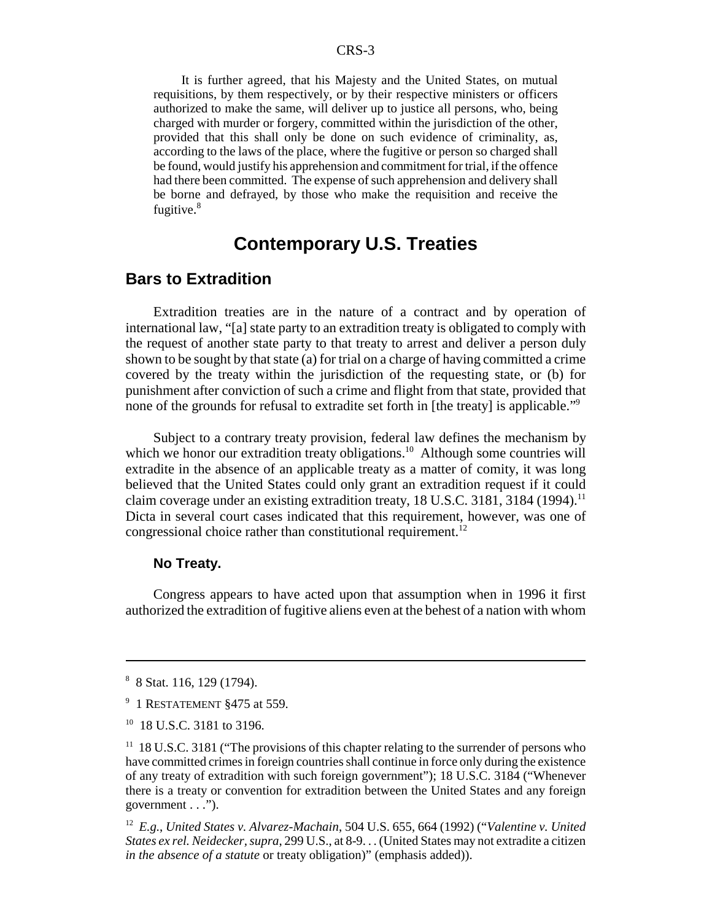It is further agreed, that his Majesty and the United States, on mutual requisitions, by them respectively, or by their respective ministers or officers authorized to make the same, will deliver up to justice all persons, who, being charged with murder or forgery, committed within the jurisdiction of the other, provided that this shall only be done on such evidence of criminality, as, according to the laws of the place, where the fugitive or person so charged shall be found, would justify his apprehension and commitment for trial, if the offence had there been committed. The expense of such apprehension and delivery shall be borne and defrayed, by those who make the requisition and receive the fugitive.<sup>8</sup>

### **Contemporary U.S. Treaties**

### **Bars to Extradition**

Extradition treaties are in the nature of a contract and by operation of international law, "[a] state party to an extradition treaty is obligated to comply with the request of another state party to that treaty to arrest and deliver a person duly shown to be sought by that state (a) for trial on a charge of having committed a crime covered by the treaty within the jurisdiction of the requesting state, or (b) for punishment after conviction of such a crime and flight from that state, provided that none of the grounds for refusal to extradite set forth in [the treaty] is applicable."<sup>9</sup>

Subject to a contrary treaty provision, federal law defines the mechanism by which we honor our extradition treaty obligations.<sup>10</sup> Although some countries will extradite in the absence of an applicable treaty as a matter of comity, it was long believed that the United States could only grant an extradition request if it could claim coverage under an existing extradition treaty,  $18$  U.S.C. 3181, 3184 (1994).<sup>11</sup> Dicta in several court cases indicated that this requirement, however, was one of congressional choice rather than constitutional requirement.<sup>12</sup>

#### **No Treaty.**

Congress appears to have acted upon that assumption when in 1996 it first authorized the extradition of fugitive aliens even at the behest of a nation with whom

<sup>8</sup> 8 Stat. 116, 129 (1794).

<sup>&</sup>lt;sup>9</sup> 1 RESTATEMENT §475 at 559.

<sup>&</sup>lt;sup>10</sup> 18 U.S.C. 3181 to 3196.

<sup>&</sup>lt;sup>11</sup> 18 U.S.C. 3181 ("The provisions of this chapter relating to the surrender of persons who have committed crimes in foreign countries shall continue in force only during the existence of any treaty of extradition with such foreign government"); 18 U.S.C. 3184 ("Whenever there is a treaty or convention for extradition between the United States and any foreign government . . .").

<sup>12</sup> *E.g.*, *United States v. Alvarez-Machain*, 504 U.S. 655, 664 (1992) ("*Valentine v. United States ex rel. Neidecker, supra*, 299 U.S., at 8-9. . . (United States may not extradite a citizen *in the absence of a statute* or treaty obligation)" (emphasis added)).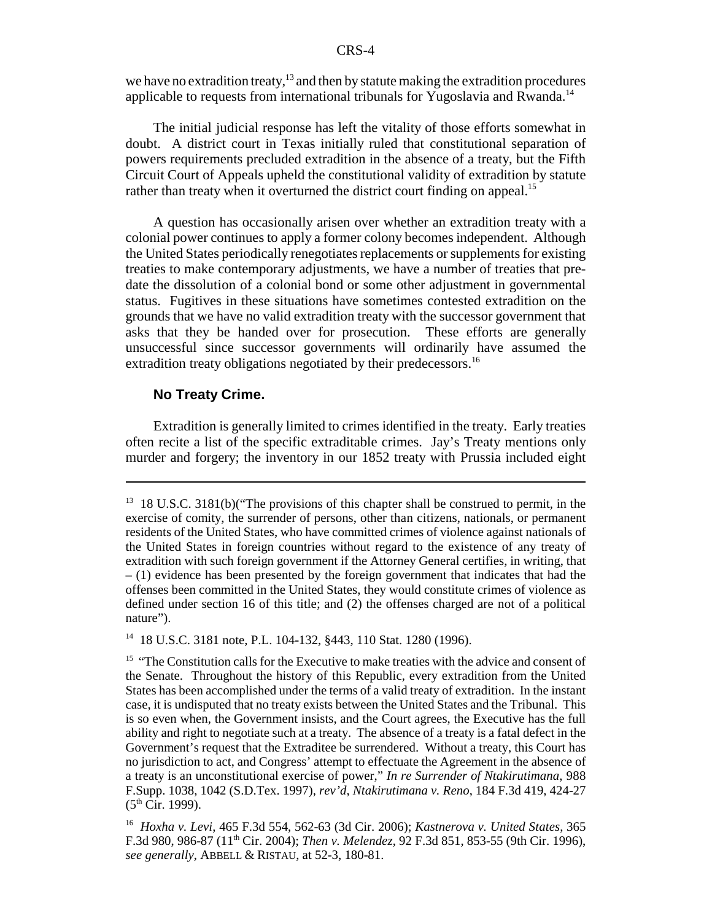we have no extradition treaty,  $13$  and then by statute making the extradition procedures applicable to requests from international tribunals for Yugoslavia and Rwanda.<sup>14</sup>

The initial judicial response has left the vitality of those efforts somewhat in doubt. A district court in Texas initially ruled that constitutional separation of powers requirements precluded extradition in the absence of a treaty, but the Fifth Circuit Court of Appeals upheld the constitutional validity of extradition by statute rather than treaty when it overturned the district court finding on appeal.<sup>15</sup>

A question has occasionally arisen over whether an extradition treaty with a colonial power continues to apply a former colony becomes independent. Although the United States periodically renegotiates replacements or supplements for existing treaties to make contemporary adjustments, we have a number of treaties that predate the dissolution of a colonial bond or some other adjustment in governmental status. Fugitives in these situations have sometimes contested extradition on the grounds that we have no valid extradition treaty with the successor government that asks that they be handed over for prosecution. These efforts are generally unsuccessful since successor governments will ordinarily have assumed the extradition treaty obligations negotiated by their predecessors.<sup>16</sup>

#### **No Treaty Crime.**

Extradition is generally limited to crimes identified in the treaty. Early treaties often recite a list of the specific extraditable crimes. Jay's Treaty mentions only murder and forgery; the inventory in our 1852 treaty with Prussia included eight

14 18 U.S.C. 3181 note, P.L. 104-132, §443, 110 Stat. 1280 (1996).

 $13 \text{ 18 U.S.C. } 3181(b)$  ("The provisions of this chapter shall be construed to permit, in the exercise of comity, the surrender of persons, other than citizens, nationals, or permanent residents of the United States, who have committed crimes of violence against nationals of the United States in foreign countries without regard to the existence of any treaty of extradition with such foreign government if the Attorney General certifies, in writing, that  $-$  (1) evidence has been presented by the foreign government that indicates that had the offenses been committed in the United States, they would constitute crimes of violence as defined under section 16 of this title; and (2) the offenses charged are not of a political nature").

<sup>&</sup>lt;sup>15</sup> "The Constitution calls for the Executive to make treaties with the advice and consent of the Senate. Throughout the history of this Republic, every extradition from the United States has been accomplished under the terms of a valid treaty of extradition. In the instant case, it is undisputed that no treaty exists between the United States and the Tribunal. This is so even when, the Government insists, and the Court agrees, the Executive has the full ability and right to negotiate such at a treaty. The absence of a treaty is a fatal defect in the Government's request that the Extraditee be surrendered. Without a treaty, this Court has no jurisdiction to act, and Congress' attempt to effectuate the Agreement in the absence of a treaty is an unconstitutional exercise of power," *In re Surrender of Ntakirutimana*, 988 F.Supp. 1038, 1042 (S.D.Tex. 1997), *rev'd*, *Ntakirutimana v. Reno*, 184 F.3d 419, 424-27  $(5<sup>th</sup> Cir. 1999)$ .

<sup>16</sup> *Hoxha v. Levi*, 465 F.3d 554, 562-63 (3d Cir. 2006); *Kastnerova v. United States*, 365 F.3d 980, 986-87 (11th Cir. 2004); *Then v. Melendez*, 92 F.3d 851, 853-55 (9th Cir. 1996), *see generally*, ABBELL & RISTAU, at 52-3, 180-81.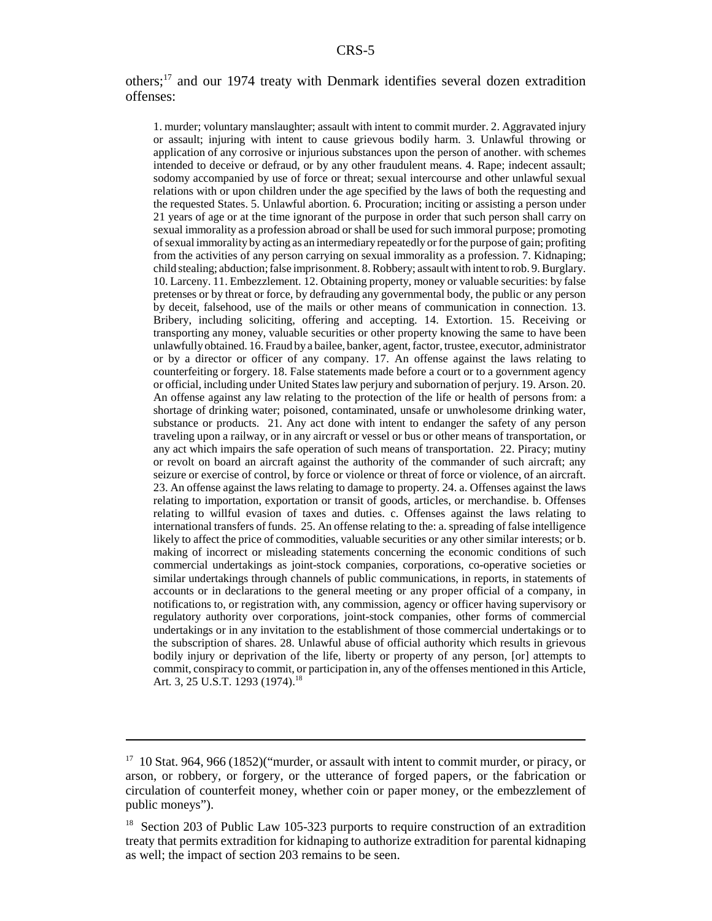#### others;17 and our 1974 treaty with Denmark identifies several dozen extradition offenses:

1. murder; voluntary manslaughter; assault with intent to commit murder. 2. Aggravated injury or assault; injuring with intent to cause grievous bodily harm. 3. Unlawful throwing or application of any corrosive or injurious substances upon the person of another. with schemes intended to deceive or defraud, or by any other fraudulent means. 4. Rape; indecent assault; sodomy accompanied by use of force or threat; sexual intercourse and other unlawful sexual relations with or upon children under the age specified by the laws of both the requesting and the requested States. 5. Unlawful abortion. 6. Procuration; inciting or assisting a person under 21 years of age or at the time ignorant of the purpose in order that such person shall carry on sexual immorality as a profession abroad or shall be used for such immoral purpose; promoting of sexual immorality by acting as an intermediary repeatedly or for the purpose of gain; profiting from the activities of any person carrying on sexual immorality as a profession. 7. Kidnaping; child stealing; abduction; false imprisonment. 8. Robbery; assault with intent to rob. 9. Burglary. 10. Larceny. 11. Embezzlement. 12. Obtaining property, money or valuable securities: by false pretenses or by threat or force, by defrauding any governmental body, the public or any person by deceit, falsehood, use of the mails or other means of communication in connection. 13. Bribery, including soliciting, offering and accepting. 14. Extortion. 15. Receiving or transporting any money, valuable securities or other property knowing the same to have been unlawfully obtained. 16. Fraud by a bailee, banker, agent, factor, trustee, executor, administrator or by a director or officer of any company. 17. An offense against the laws relating to counterfeiting or forgery. 18. False statements made before a court or to a government agency or official, including under United States law perjury and subornation of perjury. 19. Arson. 20. An offense against any law relating to the protection of the life or health of persons from: a shortage of drinking water; poisoned, contaminated, unsafe or unwholesome drinking water, substance or products. 21. Any act done with intent to endanger the safety of any person traveling upon a railway, or in any aircraft or vessel or bus or other means of transportation, or any act which impairs the safe operation of such means of transportation. 22. Piracy; mutiny or revolt on board an aircraft against the authority of the commander of such aircraft; any seizure or exercise of control, by force or violence or threat of force or violence, of an aircraft. 23. An offense against the laws relating to damage to property. 24. a. Offenses against the laws relating to importation, exportation or transit of goods, articles, or merchandise. b. Offenses relating to willful evasion of taxes and duties. c. Offenses against the laws relating to international transfers of funds. 25. An offense relating to the: a. spreading of false intelligence likely to affect the price of commodities, valuable securities or any other similar interests; or b. making of incorrect or misleading statements concerning the economic conditions of such commercial undertakings as joint-stock companies, corporations, co-operative societies or similar undertakings through channels of public communications, in reports, in statements of accounts or in declarations to the general meeting or any proper official of a company, in notifications to, or registration with, any commission, agency or officer having supervisory or regulatory authority over corporations, joint-stock companies, other forms of commercial undertakings or in any invitation to the establishment of those commercial undertakings or to the subscription of shares. 28. Unlawful abuse of official authority which results in grievous bodily injury or deprivation of the life, liberty or property of any person, [or] attempts to commit, conspiracy to commit, or participation in, any of the offenses mentioned in this Article, Art. 3, 25 U.S.T. 1293 (1974).<sup>18</sup>

 $17$  10 Stat. 964, 966 (1852)("murder, or assault with intent to commit murder, or piracy, or arson, or robbery, or forgery, or the utterance of forged papers, or the fabrication or circulation of counterfeit money, whether coin or paper money, or the embezzlement of public moneys").

<sup>&</sup>lt;sup>18</sup> Section 203 of Public Law 105-323 purports to require construction of an extradition treaty that permits extradition for kidnaping to authorize extradition for parental kidnaping as well; the impact of section 203 remains to be seen.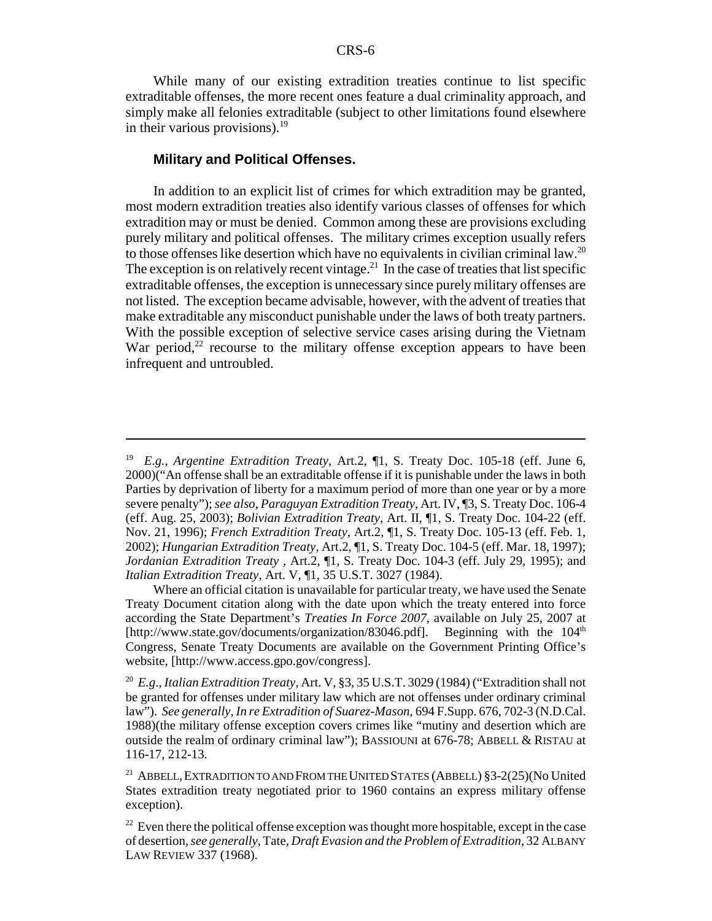While many of our existing extradition treaties continue to list specific extraditable offenses, the more recent ones feature a dual criminality approach, and simply make all felonies extraditable (subject to other limitations found elsewhere in their various provisions). $19$ 

#### **Military and Political Offenses.**

In addition to an explicit list of crimes for which extradition may be granted, most modern extradition treaties also identify various classes of offenses for which extradition may or must be denied. Common among these are provisions excluding purely military and political offenses. The military crimes exception usually refers to those offenses like desertion which have no equivalents in civilian criminal law.<sup>20</sup> The exception is on relatively recent vintage.<sup>21</sup> In the case of treaties that list specific extraditable offenses, the exception is unnecessary since purely military offenses are not listed. The exception became advisable, however, with the advent of treaties that make extraditable any misconduct punishable under the laws of both treaty partners. With the possible exception of selective service cases arising during the Vietnam War period, $2^2$  recourse to the military offense exception appears to have been infrequent and untroubled.

<sup>19</sup> *E.g.*, *Argentine Extradition Treaty*, Art.2, ¶1, S. Treaty Doc. 105-18 (eff. June 6, 2000)("An offense shall be an extraditable offense if it is punishable under the laws in both Parties by deprivation of liberty for a maximum period of more than one year or by a more severe penalty"); *see also*, *Paraguyan Extradition Treaty*, Art. IV, ¶3, S. Treaty Doc. 106-4 (eff. Aug. 25, 2003); *Bolivian Extradition Treaty*, Art. II, ¶1, S. Treaty Doc. 104-22 (eff. Nov. 21, 1996); *French Extradition Treaty*, Art.2, ¶1, S. Treaty Doc. 105-13 (eff. Feb. 1, 2002); *Hungarian Extradition Treaty*, Art.2, ¶1, S. Treaty Doc. 104-5 (eff. Mar. 18, 1997); *Jordanian Extradition Treaty* , Art.2, ¶1, S. Treaty Doc. 104-3 (eff. July 29, 1995); and *Italian Extradition Treaty*, Art. V, ¶1, 35 U.S.T. 3027 (1984).

Where an official citation is unavailable for particular treaty, we have used the Senate Treaty Document citation along with the date upon which the treaty entered into force according the State Department's *Treaties In Force 2007*, available on July 25, 2007 at [http://www.state.gov/documents/organization/83046.pdf]. Beginning with the 104<sup>th</sup> Congress, Senate Treaty Documents are available on the Government Printing Office's website, [http://www.access.gpo.gov/congress].

<sup>20</sup> *E.g*., *Italian Extradition Treaty*, Art. V, §3, 35 U.S.T. 3029 (1984) ("Extradition shall not be granted for offenses under military law which are not offenses under ordinary criminal law"). *See generally, In re Extradition of Suarez-Mason*, 694 F.Supp. 676, 702-3 (N.D.Cal. 1988)(the military offense exception covers crimes like "mutiny and desertion which are outside the realm of ordinary criminal law"); BASSIOUNI at 676-78; ABBELL & RISTAU at 116-17, 212-13.

<sup>21</sup> ABBELL,EXTRADITION TO AND FROM THE UNITED STATES (ABBELL) §3-2(25)(No United States extradition treaty negotiated prior to 1960 contains an express military offense exception).

 $22$  Even there the political offense exception was thought more hospitable, except in the case of desertion, *see generally*, Tate, *Draft Evasion and the Problem of Extradition*, 32 ALBANY LAW REVIEW 337 (1968).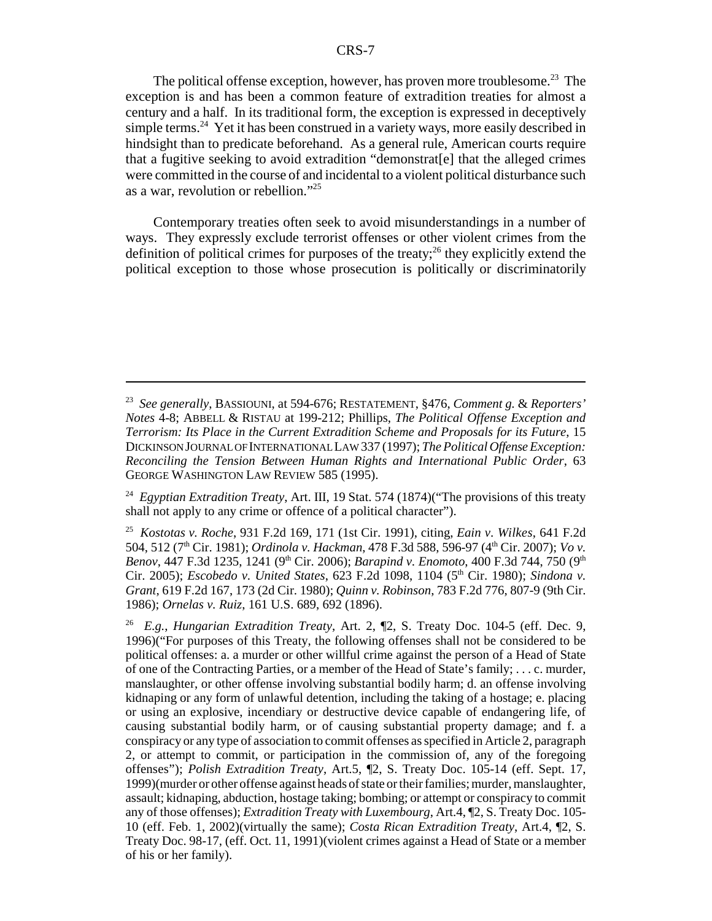The political offense exception, however, has proven more troublesome.<sup>23</sup> The exception is and has been a common feature of extradition treaties for almost a century and a half. In its traditional form, the exception is expressed in deceptively simple terms.<sup>24</sup> Yet it has been construed in a variety ways, more easily described in hindsight than to predicate beforehand. As a general rule, American courts require that a fugitive seeking to avoid extradition "demonstrat[e] that the alleged crimes were committed in the course of and incidental to a violent political disturbance such as a war, revolution or rebellion."25

 Contemporary treaties often seek to avoid misunderstandings in a number of ways. They expressly exclude terrorist offenses or other violent crimes from the definition of political crimes for purposes of the treaty;<sup>26</sup> they explicitly extend the political exception to those whose prosecution is politically or discriminatorily

<sup>23</sup> *See generally*, BASSIOUNI, at 594-676; RESTATEMENT, §476, *Comment g.* & *Reporters' Notes* 4-8; ABBELL & RISTAU at 199-212; Phillips, *The Political Offense Exception and Terrorism: Its Place in the Current Extradition Scheme and Proposals for its Future*, 15 DICKINSON JOURNAL OF INTERNATIONAL LAW 337 (1997); *The Political Offense Exception: Reconciling the Tension Between Human Rights and International Public Order*, 63 GEORGE WASHINGTON LAW REVIEW 585 (1995).

<sup>&</sup>lt;sup>24</sup> *Egyptian Extradition Treaty*, Art. III, 19 Stat. 574 (1874)("The provisions of this treaty shall not apply to any crime or offence of a political character").

<sup>25</sup> *Kostotas v. Roche*, 931 F.2d 169, 171 (1st Cir. 1991), citing, *Eain v. Wilkes*, 641 F.2d 504, 512 (7th Cir. 1981); *Ordinola v. Hackman*, 478 F.3d 588, 596-97 (4th Cir. 2007); *Vo v. Benov*, 447 F.3d 1235, 1241 (9<sup>th</sup> Cir. 2006); *Barapind v. Enomoto*, 400 F.3d 744, 750 (9<sup>th</sup> Cir. 2005); *Escobedo v. United States*, 623 F.2d 1098, 1104 (5<sup>th</sup> Cir. 1980); *Sindona v. Grant*, 619 F.2d 167, 173 (2d Cir. 1980); *Quinn v. Robinson*, 783 F.2d 776, 807-9 (9th Cir. 1986); *Ornelas v. Ruiz*, 161 U.S. 689, 692 (1896).

<sup>26</sup> *E.g.*, *Hungarian Extradition Treaty*, Art. 2, ¶2, S. Treaty Doc. 104-5 (eff. Dec. 9, 1996)("For purposes of this Treaty, the following offenses shall not be considered to be political offenses: a. a murder or other willful crime against the person of a Head of State of one of the Contracting Parties, or a member of the Head of State's family; . . . c. murder, manslaughter, or other offense involving substantial bodily harm; d. an offense involving kidnaping or any form of unlawful detention, including the taking of a hostage; e. placing or using an explosive, incendiary or destructive device capable of endangering life, of causing substantial bodily harm, or of causing substantial property damage; and f. a conspiracy or any type of association to commit offenses as specified in Article 2, paragraph 2, or attempt to commit, or participation in the commission of, any of the foregoing offenses"); *Polish Extradition Treaty*, Art.5, ¶2, S. Treaty Doc. 105-14 (eff. Sept. 17, 1999)(murder or other offense against heads of state or their families; murder, manslaughter, assault; kidnaping, abduction, hostage taking; bombing; or attempt or conspiracy to commit any of those offenses); *Extradition Treaty with Luxembourg*, Art.4, ¶2, S. Treaty Doc. 105- 10 (eff. Feb. 1, 2002)(virtually the same); *Costa Rican Extradition Treaty*, Art.4, ¶2, S. Treaty Doc. 98-17, (eff. Oct. 11, 1991)(violent crimes against a Head of State or a member of his or her family).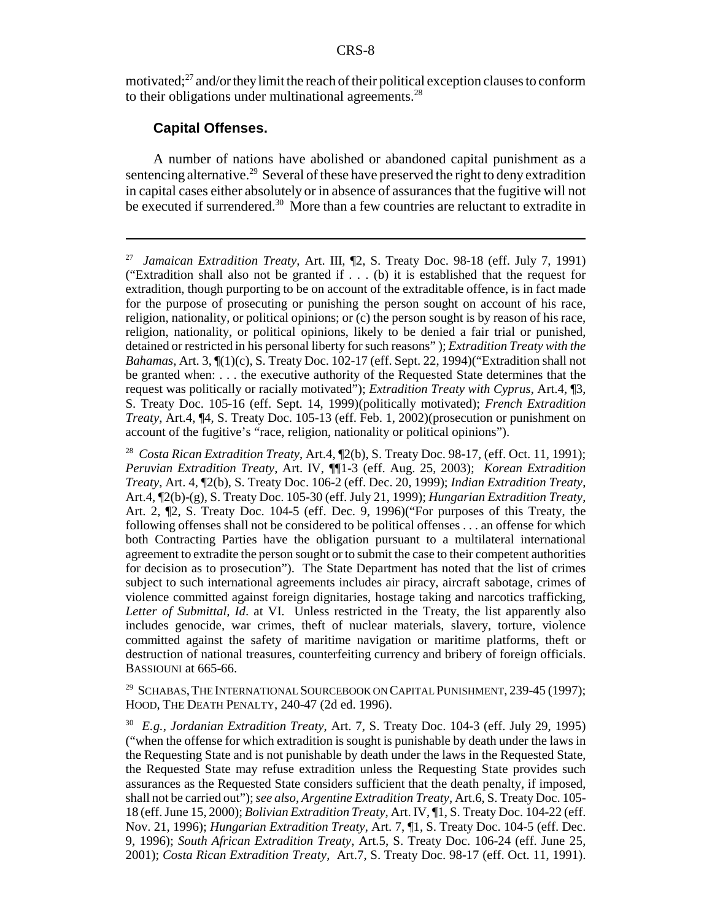motivated; $^{27}$  and/or they limit the reach of their political exception clauses to conform to their obligations under multinational agreements. $^{28}$ 

#### **Capital Offenses.**

A number of nations have abolished or abandoned capital punishment as a sentencing alternative.<sup>29</sup> Several of these have preserved the right to deny extradition in capital cases either absolutely or in absence of assurances that the fugitive will not be executed if surrendered.<sup>30</sup> More than a few countries are reluctant to extradite in

<sup>29</sup> SCHABAS, THE INTERNATIONAL SOURCEBOOK ON CAPITAL PUNISHMENT, 239-45 (1997); HOOD, THE DEATH PENALTY, 240-47 (2d ed. 1996).

30 *E.g.*, *Jordanian Extradition Treaty*, Art. 7, S. Treaty Doc. 104-3 (eff. July 29, 1995) ("when the offense for which extradition is sought is punishable by death under the laws in the Requesting State and is not punishable by death under the laws in the Requested State, the Requested State may refuse extradition unless the Requesting State provides such assurances as the Requested State considers sufficient that the death penalty, if imposed, shall not be carried out"); *see also*, *Argentine Extradition Treaty*, Art.6, S. Treaty Doc. 105- 18 (eff. June 15, 2000); *Bolivian Extradition Treaty*, Art. IV, ¶1, S. Treaty Doc. 104-22 (eff. Nov. 21, 1996); *Hungarian Extradition Treaty*, Art. 7, ¶1, S. Treaty Doc. 104-5 (eff. Dec. 9, 1996); *South African Extradition Treaty*, Art.5, S. Treaty Doc. 106-24 (eff. June 25, 2001); *Costa Rican Extradition Treaty*, Art.7, S. Treaty Doc. 98-17 (eff. Oct. 11, 1991).

<sup>27</sup> *Jamaican Extradition Treaty*, Art. III, ¶2, S. Treaty Doc. 98-18 (eff. July 7, 1991) ("Extradition shall also not be granted if . . . (b) it is established that the request for extradition, though purporting to be on account of the extraditable offence, is in fact made for the purpose of prosecuting or punishing the person sought on account of his race, religion, nationality, or political opinions; or (c) the person sought is by reason of his race, religion, nationality, or political opinions, likely to be denied a fair trial or punished, detained or restricted in his personal liberty for such reasons" ); *Extradition Treaty with the Bahamas*, Art. 3, ¶(1)(c), S. Treaty Doc. 102-17 (eff. Sept. 22, 1994)("Extradition shall not be granted when: . . . the executive authority of the Requested State determines that the request was politically or racially motivated"); *Extradition Treaty with Cyprus*, Art.4, ¶3, S. Treaty Doc. 105-16 (eff. Sept. 14, 1999)(politically motivated); *French Extradition Treaty*, Art.4, ¶4, S. Treaty Doc. 105-13 (eff. Feb. 1, 2002)(prosecution or punishment on account of the fugitive's "race, religion, nationality or political opinions").

<sup>28</sup> *Costa Rican Extradition Treaty*, Art.4, ¶2(b), S. Treaty Doc. 98-17, (eff. Oct. 11, 1991); *Peruvian Extradition Treaty*, Art. IV, ¶¶1-3 (eff. Aug. 25, 2003); *Korean Extradition Treaty*, Art. 4, ¶2(b), S. Treaty Doc. 106-2 (eff. Dec. 20, 1999); *Indian Extradition Treaty*, Art.4, ¶2(b)-(g), S. Treaty Doc. 105-30 (eff. July 21, 1999); *Hungarian Extradition Treaty*, Art. 2, ¶2, S. Treaty Doc. 104-5 (eff. Dec. 9, 1996)("For purposes of this Treaty, the following offenses shall not be considered to be political offenses . . . an offense for which both Contracting Parties have the obligation pursuant to a multilateral international agreement to extradite the person sought or to submit the case to their competent authorities for decision as to prosecution"). The State Department has noted that the list of crimes subject to such international agreements includes air piracy, aircraft sabotage, crimes of violence committed against foreign dignitaries, hostage taking and narcotics trafficking, *Letter of Submittal, Id*. at VI. Unless restricted in the Treaty, the list apparently also includes genocide, war crimes, theft of nuclear materials, slavery, torture, violence committed against the safety of maritime navigation or maritime platforms, theft or destruction of national treasures, counterfeiting currency and bribery of foreign officials. BASSIOUNI at 665-66.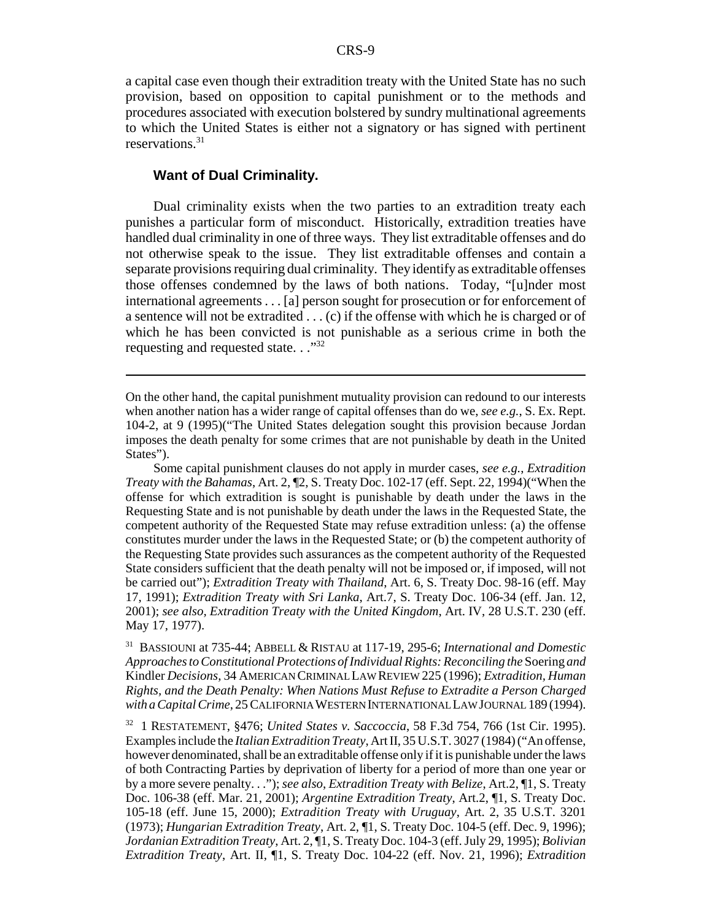a capital case even though their extradition treaty with the United State has no such provision, based on opposition to capital punishment or to the methods and procedures associated with execution bolstered by sundry multinational agreements to which the United States is either not a signatory or has signed with pertinent reservations.31

#### **Want of Dual Criminality.**

Dual criminality exists when the two parties to an extradition treaty each punishes a particular form of misconduct. Historically, extradition treaties have handled dual criminality in one of three ways. They list extraditable offenses and do not otherwise speak to the issue. They list extraditable offenses and contain a separate provisions requiring dual criminality. They identify as extraditable offenses those offenses condemned by the laws of both nations. Today, "[u]nder most international agreements . . . [a] person sought for prosecution or for enforcement of a sentence will not be extradited . . . (c) if the offense with which he is charged or of which he has been convicted is not punishable as a serious crime in both the requesting and requested state. . ."<sup>32</sup>

Some capital punishment clauses do not apply in murder cases, *see e.g.*, *Extradition Treaty with the Bahamas*, Art. 2, ¶2, S. Treaty Doc. 102-17 (eff. Sept. 22, 1994)("When the offense for which extradition is sought is punishable by death under the laws in the Requesting State and is not punishable by death under the laws in the Requested State, the competent authority of the Requested State may refuse extradition unless: (a) the offense constitutes murder under the laws in the Requested State; or (b) the competent authority of the Requesting State provides such assurances as the competent authority of the Requested State considers sufficient that the death penalty will not be imposed or, if imposed, will not be carried out"); *Extradition Treaty with Thailand*, Art. 6, S. Treaty Doc. 98-16 (eff. May 17, 1991); *Extradition Treaty with Sri Lanka*, Art.7, S. Treaty Doc. 106-34 (eff. Jan. 12, 2001); *see also, Extradition Treaty with the United Kingdom*, Art. IV, 28 U.S.T. 230 (eff. May 17, 1977).

31 BASSIOUNI at 735-44; ABBELL & RISTAU at 117-19, 295-6; *International and Domestic Approaches to Constitutional Protections of Individual Rights: Reconciling the* Soering *and* Kindler *Decisions*, 34 AMERICAN CRIMINAL LAW REVIEW 225 (1996); *Extradition, Human Rights, and the Death Penalty: When Nations Must Refuse to Extradite a Person Charged with a Capital Crime*, 25 CALIFORNIA WESTERN INTERNATIONAL LAW JOURNAL 189 (1994).

32 1 RESTATEMENT, §476; *United States v. Saccoccia*, 58 F.3d 754, 766 (1st Cir. 1995). Examples include the *Italian Extradition Treaty*, Art II, 35 U.S.T. 3027 (1984) ("An offense, however denominated, shall be an extraditable offense only if it is punishable under the laws of both Contracting Parties by deprivation of liberty for a period of more than one year or by a more severe penalty. . ."); *see also*, *Extradition Treaty with Belize*, Art.2, ¶1, S. Treaty Doc. 106-38 (eff. Mar. 21, 2001); *Argentine Extradition Treaty*, Art.2, ¶1, S. Treaty Doc. 105-18 (eff. June 15, 2000); *Extradition Treaty with Uruguay*, Art. 2, 35 U.S.T. 3201 (1973); *Hungarian Extradition Treaty*, Art. 2, ¶1, S. Treaty Doc. 104-5 (eff. Dec. 9, 1996); *Jordanian Extradition Treaty*, Art. 2, ¶1, S. Treaty Doc. 104-3 (eff. July 29, 1995); *Bolivian Extradition Treaty*, Art. II, ¶1, S. Treaty Doc. 104-22 (eff. Nov. 21, 1996); *Extradition*

On the other hand, the capital punishment mutuality provision can redound to our interests when another nation has a wider range of capital offenses than do we, *see e.g.*, S. Ex. Rept. 104-2, at 9 (1995)("The United States delegation sought this provision because Jordan imposes the death penalty for some crimes that are not punishable by death in the United States").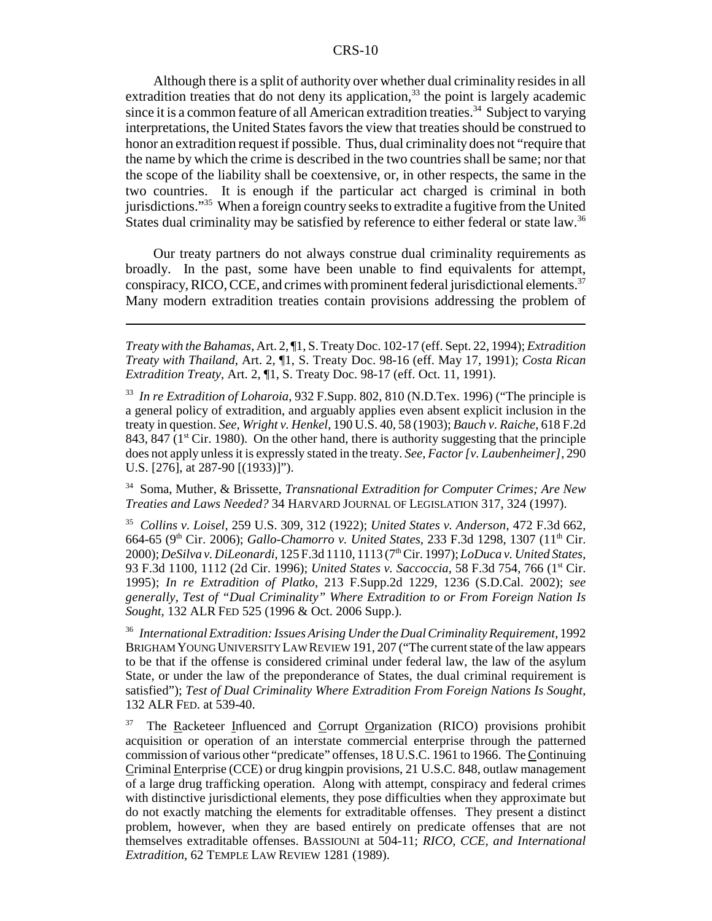Although there is a split of authority over whether dual criminality resides in all extradition treaties that do not deny its application,  $33$  the point is largely academic since it is a common feature of all American extradition treaties.<sup>34</sup> Subject to varying interpretations, the United States favors the view that treaties should be construed to honor an extradition request if possible. Thus, dual criminality does not "require that the name by which the crime is described in the two countries shall be same; nor that the scope of the liability shall be coextensive, or, in other respects, the same in the two countries. It is enough if the particular act charged is criminal in both jurisdictions."35 When a foreign country seeks to extradite a fugitive from the United States dual criminality may be satisfied by reference to either federal or state law.<sup>36</sup>

Our treaty partners do not always construe dual criminality requirements as broadly. In the past, some have been unable to find equivalents for attempt, conspiracy, RICO, CCE, and crimes with prominent federal jurisdictional elements.<sup>37</sup> Many modern extradition treaties contain provisions addressing the problem of

34 Soma, Muther, & Brissette, *Transnational Extradition for Computer Crimes; Are New Treaties and Laws Needed?* 34 HARVARD JOURNAL OF LEGISLATION 317, 324 (1997).

35 *Collins v. Loisel*, 259 U.S. 309, 312 (1922); *United States v. Anderson*, 472 F.3d 662, 664-65 (9<sup>th</sup> Cir. 2006); *Gallo-Chamorro v. United States*, 233 F.3d 1298, 1307 (11<sup>th</sup> Cir. 2000); *DeSilva v. DiLeonardi*, 125 F.3d 1110, 1113 (7th Cir. 1997); *LoDuca v. United States*, 93 F.3d 1100, 1112 (2d Cir. 1996); *United States v. Saccoccia*, 58 F.3d 754, 766 (1st Cir. 1995); *In re Extradition of Platko*, 213 F.Supp.2d 1229, 1236 (S.D.Cal. 2002); *see generally*, *Test of "Dual Criminality" Where Extradition to or From Foreign Nation Is Sought*, 132 ALR FED 525 (1996 & Oct. 2006 Supp.).

36 *International Extradition: Issues Arising Under the Dual Criminality Requirement*, 1992 BRIGHAM YOUNG UNIVERSITY LAW REVIEW 191, 207 ("The current state of the law appears to be that if the offense is considered criminal under federal law, the law of the asylum State, or under the law of the preponderance of States, the dual criminal requirement is satisfied"); *Test of Dual Criminality Where Extradition From Foreign Nations Is Sought*, 132 ALR FED. at 539-40.

<sup>37</sup> The Racketeer Influenced and Corrupt Organization (RICO) provisions prohibit acquisition or operation of an interstate commercial enterprise through the patterned commission of various other "predicate" offenses, 18 U.S.C. 1961 to 1966. The Continuing Criminal Enterprise (CCE) or drug kingpin provisions, 21 U.S.C. 848, outlaw management of a large drug trafficking operation. Along with attempt, conspiracy and federal crimes with distinctive jurisdictional elements, they pose difficulties when they approximate but do not exactly matching the elements for extraditable offenses. They present a distinct problem, however, when they are based entirely on predicate offenses that are not themselves extraditable offenses. BASSIOUNI at 504-11; *RICO, CCE, and International Extradition*, 62 TEMPLE LAW REVIEW 1281 (1989).

*Treaty with the Bahamas*, Art. 2, ¶1, S. Treaty Doc. 102-17 (eff. Sept. 22, 1994); *Extradition Treaty with Thailand*, Art. 2, ¶1, S. Treaty Doc. 98-16 (eff. May 17, 1991); *Costa Rican Extradition Treaty*, Art. 2, ¶1, S. Treaty Doc. 98-17 (eff. Oct. 11, 1991).

<sup>33</sup> *In re Extradition of Loharoia*, 932 F.Supp. 802, 810 (N.D.Tex. 1996) ("The principle is a general policy of extradition, and arguably applies even absent explicit inclusion in the treaty in question. *See, Wright v. Henkel*, 190 U.S. 40, 58 (1903); *Bauch v. Raiche*, 618 F.2d 843, 847 ( $1<sup>st</sup> Cir. 1980$ ). On the other hand, there is authority suggesting that the principle does not apply unless it is expressly stated in the treaty. *See, Factor [v. Laubenheimer]*, 290 U.S. [276], at 287-90 [(1933)]").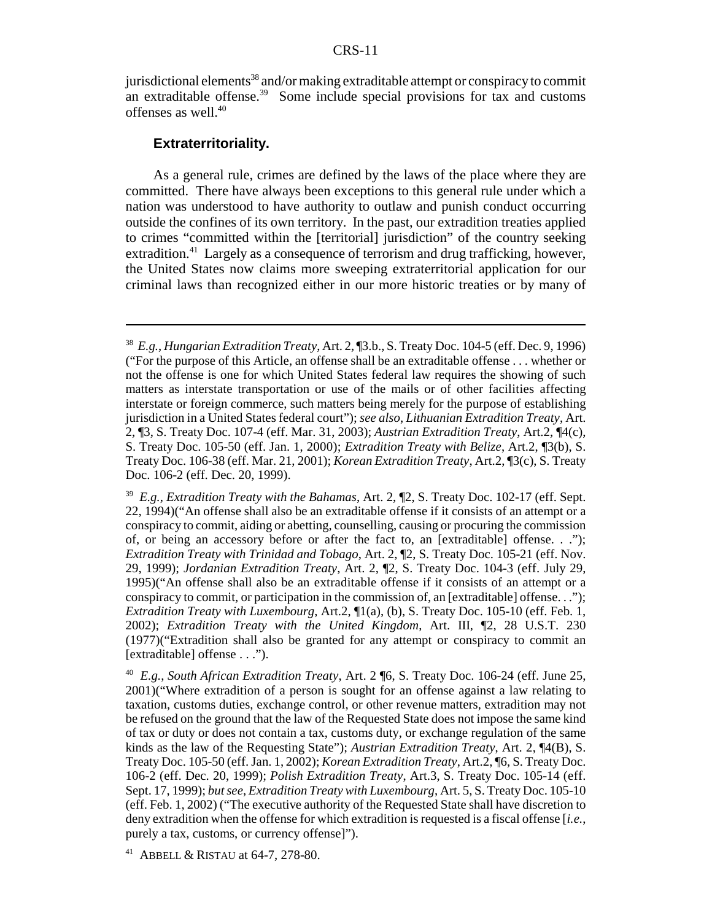jurisdictional elements<sup>38</sup> and/or making extraditable attempt or conspiracy to commit an extraditable offense.<sup>39</sup> Some include special provisions for tax and customs offenses as well.40

#### **Extraterritoriality.**

As a general rule, crimes are defined by the laws of the place where they are committed. There have always been exceptions to this general rule under which a nation was understood to have authority to outlaw and punish conduct occurring outside the confines of its own territory. In the past, our extradition treaties applied to crimes "committed within the [territorial] jurisdiction" of the country seeking extradition.<sup>41</sup> Largely as a consequence of terrorism and drug trafficking, however, the United States now claims more sweeping extraterritorial application for our criminal laws than recognized either in our more historic treaties or by many of

<sup>38</sup> *E.g.*, *Hungarian Extradition Treaty*, Art. 2, ¶3.b., S. Treaty Doc. 104-5 (eff. Dec. 9, 1996) ("For the purpose of this Article, an offense shall be an extraditable offense . . . whether or not the offense is one for which United States federal law requires the showing of such matters as interstate transportation or use of the mails or of other facilities affecting interstate or foreign commerce, such matters being merely for the purpose of establishing jurisdiction in a United States federal court"); *see also*, *Lithuanian Extradition Treaty*, Art. 2, ¶3, S. Treaty Doc. 107-4 (eff. Mar. 31, 2003); *Austrian Extradition Treaty*, Art.2, ¶4(c), S. Treaty Doc. 105-50 (eff. Jan. 1, 2000); *Extradition Treaty with Belize*, Art.2, ¶3(b), S. Treaty Doc. 106-38 (eff. Mar. 21, 2001); *Korean Extradition Treaty*, Art.2, ¶3(c), S. Treaty Doc. 106-2 (eff. Dec. 20, 1999).

<sup>39</sup> *E.g.*, *Extradition Treaty with the Bahamas*, Art. 2, ¶2, S. Treaty Doc. 102-17 (eff. Sept. 22, 1994)("An offense shall also be an extraditable offense if it consists of an attempt or a conspiracy to commit, aiding or abetting, counselling, causing or procuring the commission of, or being an accessory before or after the fact to, an [extraditable] offense. . ."); *Extradition Treaty with Trinidad and Tobago*, Art. 2, ¶2, S. Treaty Doc. 105-21 (eff. Nov. 29, 1999); *Jordanian Extradition Treaty*, Art. 2, ¶2, S. Treaty Doc. 104-3 (eff. July 29, 1995)("An offense shall also be an extraditable offense if it consists of an attempt or a conspiracy to commit, or participation in the commission of, an [extraditable] offense. . ."); *Extradition Treaty with Luxembourg*, Art.2, ¶1(a), (b), S. Treaty Doc. 105-10 (eff. Feb. 1, 2002); *Extradition Treaty with the United Kingdom*, Art. III, ¶2, 28 U.S.T. 230 (1977)("Extradition shall also be granted for any attempt or conspiracy to commit an [extraditable] offense . . .").

<sup>40</sup> *E.g.*, *South African Extradition Treaty*, Art. 2 ¶6, S. Treaty Doc. 106-24 (eff. June 25, 2001)("Where extradition of a person is sought for an offense against a law relating to taxation, customs duties, exchange control, or other revenue matters, extradition may not be refused on the ground that the law of the Requested State does not impose the same kind of tax or duty or does not contain a tax, customs duty, or exchange regulation of the same kinds as the law of the Requesting State"); *Austrian Extradition Treaty*, Art. 2, ¶4(B), S. Treaty Doc. 105-50 (eff. Jan. 1, 2002); *Korean Extradition Treaty*, Art.2, ¶6, S. Treaty Doc. 106-2 (eff. Dec. 20, 1999); *Polish Extradition Treaty*, Art.3, S. Treaty Doc. 105-14 (eff. Sept. 17, 1999); *but see*, *Extradition Treaty with Luxembourg*, Art. 5, S. Treaty Doc. 105-10 (eff. Feb. 1, 2002) ("The executive authority of the Requested State shall have discretion to deny extradition when the offense for which extradition is requested is a fiscal offense [*i.e.*, purely a tax, customs, or currency offense]").

<sup>41</sup> ABBELL & RISTAU at 64-7, 278-80.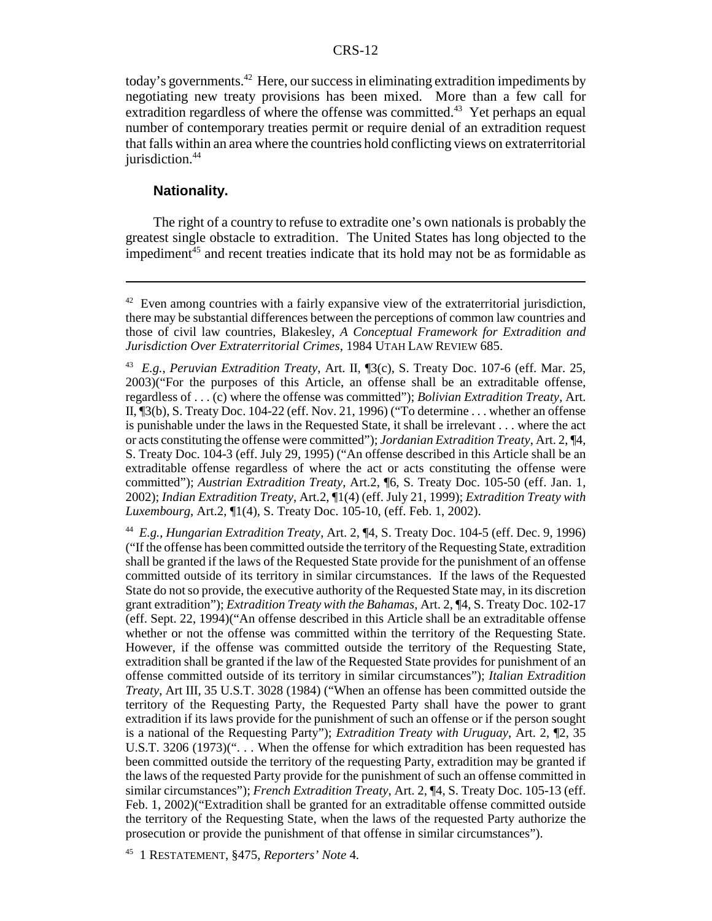today's governments.<sup>42</sup> Here, our success in eliminating extradition impediments by negotiating new treaty provisions has been mixed. More than a few call for extradition regardless of where the offense was committed.<sup>43</sup> Yet perhaps an equal number of contemporary treaties permit or require denial of an extradition request that falls within an area where the countries hold conflicting views on extraterritorial jurisdiction.<sup>44</sup>

#### **Nationality.**

The right of a country to refuse to extradite one's own nationals is probably the greatest single obstacle to extradition. The United States has long objected to the impediment $45$  and recent treaties indicate that its hold may not be as formidable as

44 *E.g.*, *Hungarian Extradition Treaty*, Art. 2, ¶4, S. Treaty Doc. 104-5 (eff. Dec. 9, 1996) ("If the offense has been committed outside the territory of the Requesting State, extradition shall be granted if the laws of the Requested State provide for the punishment of an offense committed outside of its territory in similar circumstances. If the laws of the Requested State do not so provide, the executive authority of the Requested State may, in its discretion grant extradition"); *Extradition Treaty with the Bahamas*, Art. 2, ¶4, S. Treaty Doc. 102-17 (eff. Sept. 22, 1994)("An offense described in this Article shall be an extraditable offense whether or not the offense was committed within the territory of the Requesting State. However, if the offense was committed outside the territory of the Requesting State, extradition shall be granted if the law of the Requested State provides for punishment of an offense committed outside of its territory in similar circumstances"); *Italian Extradition Treaty*, Art III, 35 U.S.T. 3028 (1984) ("When an offense has been committed outside the territory of the Requesting Party, the Requested Party shall have the power to grant extradition if its laws provide for the punishment of such an offense or if the person sought is a national of the Requesting Party"); *Extradition Treaty with Uruguay*, Art. 2, ¶2, 35 U.S.T. 3206 (1973)("... When the offense for which extradition has been requested has been committed outside the territory of the requesting Party, extradition may be granted if the laws of the requested Party provide for the punishment of such an offense committed in similar circumstances"); *French Extradition Treaty*, Art. 2, ¶4, S. Treaty Doc. 105-13 (eff. Feb. 1, 2002)("Extradition shall be granted for an extraditable offense committed outside the territory of the Requesting State, when the laws of the requested Party authorize the prosecution or provide the punishment of that offense in similar circumstances").

45 1 RESTATEMENT, §475, *Reporters' Note* 4.

 $42$  Even among countries with a fairly expansive view of the extraterritorial jurisdiction, there may be substantial differences between the perceptions of common law countries and those of civil law countries, Blakesley, *A Conceptual Framework for Extradition and Jurisdiction Over Extraterritorial Crimes*, 1984 UTAH LAW REVIEW 685.

<sup>43</sup> *E.g.*, *Peruvian Extradition Treaty*, Art. II, ¶3(c), S. Treaty Doc. 107-6 (eff. Mar. 25, 2003)("For the purposes of this Article, an offense shall be an extraditable offense, regardless of . . . (c) where the offense was committed"); *Bolivian Extradition Treaty*, Art. II, ¶3(b), S. Treaty Doc. 104-22 (eff. Nov. 21, 1996) ("To determine . . . whether an offense is punishable under the laws in the Requested State, it shall be irrelevant . . . where the act or acts constituting the offense were committed"); *Jordanian Extradition Treaty*, Art. 2, ¶4, S. Treaty Doc. 104-3 (eff. July 29, 1995) ("An offense described in this Article shall be an extraditable offense regardless of where the act or acts constituting the offense were committed"); *Austrian Extradition Treaty*, Art.2, ¶6, S. Treaty Doc. 105-50 (eff. Jan. 1, 2002); *Indian Extradition Treaty*, Art.2, ¶1(4) (eff. July 21, 1999); *Extradition Treaty with Luxembourg*, Art.2, ¶1(4), S. Treaty Doc. 105-10, (eff. Feb. 1, 2002).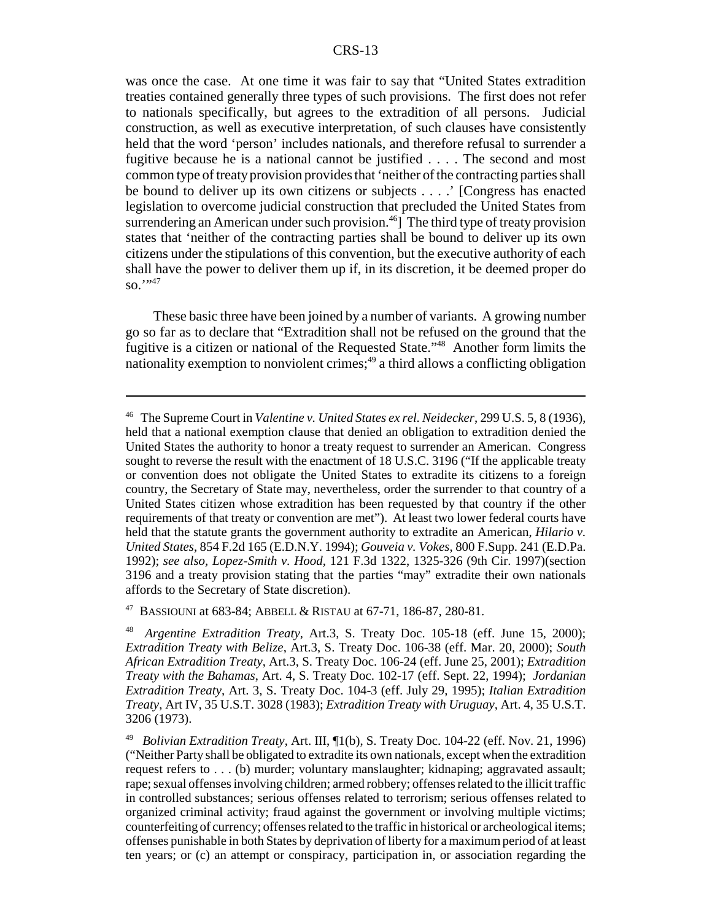was once the case. At one time it was fair to say that "United States extradition treaties contained generally three types of such provisions. The first does not refer to nationals specifically, but agrees to the extradition of all persons. Judicial construction, as well as executive interpretation, of such clauses have consistently held that the word 'person' includes nationals, and therefore refusal to surrender a fugitive because he is a national cannot be justified . . . . The second and most common type of treaty provision provides that 'neither of the contracting parties shall be bound to deliver up its own citizens or subjects . . . .' [Congress has enacted legislation to overcome judicial construction that precluded the United States from surrendering an American under such provision.<sup>46</sup>] The third type of treaty provision states that 'neither of the contracting parties shall be bound to deliver up its own citizens under the stipulations of this convention, but the executive authority of each shall have the power to deliver them up if, in its discretion, it be deemed proper do  $\mathrm{so.}$ <sup>"\*47</sup>

These basic three have been joined by a number of variants. A growing number go so far as to declare that "Extradition shall not be refused on the ground that the fugitive is a citizen or national of the Requested State."48 Another form limits the nationality exemption to nonviolent crimes; $49$  a third allows a conflicting obligation

47 BASSIOUNI at 683-84; ABBELL & RISTAU at 67-71, 186-87, 280-81.

<sup>46</sup> The Supreme Court in *Valentine v. United States ex rel. Neidecker*, 299 U.S. 5, 8 (1936), held that a national exemption clause that denied an obligation to extradition denied the United States the authority to honor a treaty request to surrender an American. Congress sought to reverse the result with the enactment of 18 U.S.C. 3196 ("If the applicable treaty or convention does not obligate the United States to extradite its citizens to a foreign country, the Secretary of State may, nevertheless, order the surrender to that country of a United States citizen whose extradition has been requested by that country if the other requirements of that treaty or convention are met"). At least two lower federal courts have held that the statute grants the government authority to extradite an American, *Hilario v. United States*, 854 F.2d 165 (E.D.N.Y. 1994); *Gouveia v. Vokes*, 800 F.Supp. 241 (E.D.Pa. 1992); *see also, Lopez-Smith v. Hood*, 121 F.3d 1322, 1325-326 (9th Cir. 1997)(section 3196 and a treaty provision stating that the parties "may" extradite their own nationals affords to the Secretary of State discretion).

<sup>48</sup> *Argentine Extradition Treaty*, Art.3, S. Treaty Doc. 105-18 (eff. June 15, 2000); *Extradition Treaty with Belize*, Art.3, S. Treaty Doc. 106-38 (eff. Mar. 20, 2000); *South African Extradition Treaty*, Art.3, S. Treaty Doc. 106-24 (eff. June 25, 2001); *Extradition Treaty with the Bahamas*, Art. 4, S. Treaty Doc. 102-17 (eff. Sept. 22, 1994); *Jordanian Extradition Treaty*, Art. 3, S. Treaty Doc. 104-3 (eff. July 29, 1995); *Italian Extradition Treaty*, Art IV, 35 U.S.T. 3028 (1983); *Extradition Treaty with Uruguay*, Art. 4, 35 U.S.T. 3206 (1973).

<sup>49</sup> *Bolivian Extradition Treaty*, Art. III, ¶1(b), S. Treaty Doc. 104-22 (eff. Nov. 21, 1996) ("Neither Party shall be obligated to extradite its own nationals, except when the extradition request refers to . . . (b) murder; voluntary manslaughter; kidnaping; aggravated assault; rape; sexual offenses involving children; armed robbery; offenses related to the illicit traffic in controlled substances; serious offenses related to terrorism; serious offenses related to organized criminal activity; fraud against the government or involving multiple victims; counterfeiting of currency; offenses related to the traffic in historical or archeological items; offenses punishable in both States by deprivation of liberty for a maximum period of at least ten years; or (c) an attempt or conspiracy, participation in, or association regarding the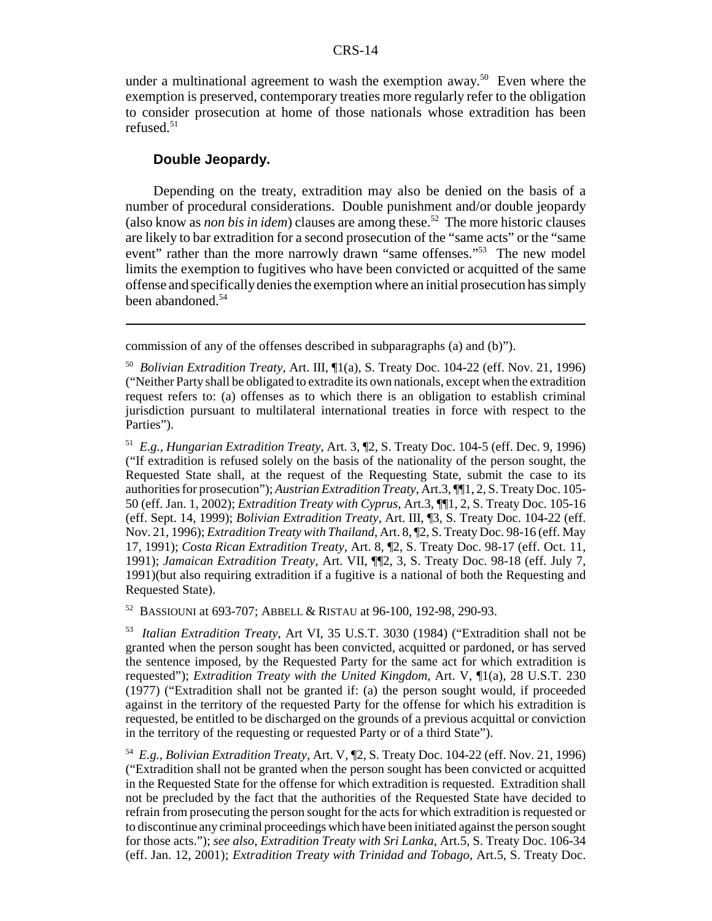under a multinational agreement to wash the exemption away.<sup>50</sup> Even where the exemption is preserved, contemporary treaties more regularly refer to the obligation to consider prosecution at home of those nationals whose extradition has been refused. $51$ 

#### **Double Jeopardy.**

Depending on the treaty, extradition may also be denied on the basis of a number of procedural considerations. Double punishment and/or double jeopardy (also know as *non bis in idem*) clauses are among these.52 The more historic clauses are likely to bar extradition for a second prosecution of the "same acts" or the "same event" rather than the more narrowly drawn "same offenses."<sup>53</sup> The new model limits the exemption to fugitives who have been convicted or acquitted of the same offense and specifically denies the exemption where an initial prosecution has simply been abandoned.<sup>54</sup>

commission of any of the offenses described in subparagraphs (a) and (b)").

51 *E.g.*, *Hungarian Extradition Treaty*, Art. 3, ¶2, S. Treaty Doc. 104-5 (eff. Dec. 9, 1996) ("If extradition is refused solely on the basis of the nationality of the person sought, the Requested State shall, at the request of the Requesting State, submit the case to its authorities for prosecution"); *Austrian Extradition Treaty*, Art.3, ¶¶1, 2, S. Treaty Doc. 105- 50 (eff. Jan. 1, 2002); *Extradition Treaty with Cyprus*, Art.3, ¶¶1, 2, S. Treaty Doc. 105-16 (eff. Sept. 14, 1999); *Bolivian Extradition Treaty*, Art. III, ¶3, S. Treaty Doc. 104-22 (eff. Nov. 21, 1996); *Extradition Treaty with Thailand*, Art. 8, ¶2, S. Treaty Doc. 98-16 (eff. May 17, 1991); *Costa Rican Extradition Treaty*, Art. 8, ¶2, S. Treaty Doc. 98-17 (eff. Oct. 11, 1991); *Jamaican Extradition Treaty*, Art. VII, ¶¶2, 3, S. Treaty Doc. 98-18 (eff. July 7, 1991)(but also requiring extradition if a fugitive is a national of both the Requesting and Requested State).

52 BASSIOUNI at 693-707; ABBELL & RISTAU at 96-100, 192-98, 290-93.

53 *Italian Extradition Treaty*, Art VI, 35 U.S.T. 3030 (1984) ("Extradition shall not be granted when the person sought has been convicted, acquitted or pardoned, or has served the sentence imposed, by the Requested Party for the same act for which extradition is requested"); *Extradition Treaty with the United Kingdom*, Art. V, ¶1(a), 28 U.S.T. 230 (1977) ("Extradition shall not be granted if: (a) the person sought would, if proceeded against in the territory of the requested Party for the offense for which his extradition is requested, be entitled to be discharged on the grounds of a previous acquittal or conviction in the territory of the requesting or requested Party or of a third State").

54 *E.g.*, *Bolivian Extradition Treaty*, Art. V, ¶2, S. Treaty Doc. 104-22 (eff. Nov. 21, 1996) ("Extradition shall not be granted when the person sought has been convicted or acquitted in the Requested State for the offense for which extradition is requested. Extradition shall not be precluded by the fact that the authorities of the Requested State have decided to refrain from prosecuting the person sought for the acts for which extradition is requested or to discontinue any criminal proceedings which have been initiated against the person sought for those acts."); *see also*, *Extradition Treaty with Sri Lanka*, Art.5, S. Treaty Doc. 106-34 (eff. Jan. 12, 2001); *Extradition Treaty with Trinidad and Tobago*, Art.5, S. Treaty Doc.

<sup>50</sup> *Bolivian Extradition Treaty*, Art. III, ¶1(a), S. Treaty Doc. 104-22 (eff. Nov. 21, 1996) ("Neither Party shall be obligated to extradite its own nationals, except when the extradition request refers to: (a) offenses as to which there is an obligation to establish criminal jurisdiction pursuant to multilateral international treaties in force with respect to the Parties").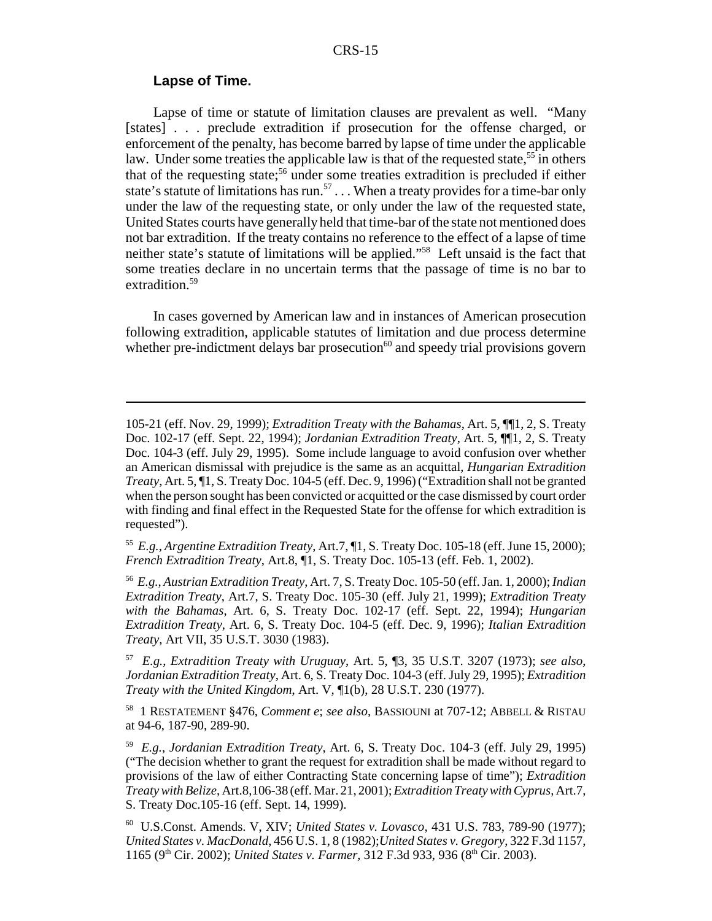#### **Lapse of Time.**

Lapse of time or statute of limitation clauses are prevalent as well. "Many [states] . . . preclude extradition if prosecution for the offense charged, or enforcement of the penalty, has become barred by lapse of time under the applicable law. Under some treaties the applicable law is that of the requested state,<sup>55</sup> in others that of the requesting state;<sup>56</sup> under some treaties extradition is precluded if either state's statute of limitations has run.<sup>57</sup> . . . When a treaty provides for a time-bar only under the law of the requesting state, or only under the law of the requested state, United States courts have generally held that time-bar of the state not mentioned does not bar extradition. If the treaty contains no reference to the effect of a lapse of time neither state's statute of limitations will be applied."58 Left unsaid is the fact that some treaties declare in no uncertain terms that the passage of time is no bar to extradition.<sup>59</sup>

In cases governed by American law and in instances of American prosecution following extradition, applicable statutes of limitation and due process determine whether pre-indictment delays bar prosecution $60$  and speedy trial provisions govern

55 *E.g., Argentine Extradition Treaty*, Art.7, ¶1, S. Treaty Doc. 105-18 (eff. June 15, 2000); *French Extradition Treaty*, Art.8, ¶1, S. Treaty Doc. 105-13 (eff. Feb. 1, 2002).

56 *E.g.*, *Austrian Extradition Treaty*, Art. 7, S. Treaty Doc. 105-50 (eff. Jan. 1, 2000); *Indian Extradition Treaty*, Art.7, S. Treaty Doc. 105-30 (eff. July 21, 1999); *Extradition Treaty with the Bahamas*, Art. 6, S. Treaty Doc. 102-17 (eff. Sept. 22, 1994); *Hungarian Extradition Treaty*, Art. 6, S. Treaty Doc. 104-5 (eff. Dec. 9, 1996); *Italian Extradition Treaty*, Art VII, 35 U.S.T. 3030 (1983).

57 *E.g.*, *Extradition Treaty with Uruguay*, Art. 5, ¶3, 35 U.S.T. 3207 (1973); *see also*, *Jordanian Extradition Treaty*, Art. 6, S. Treaty Doc. 104-3 (eff. July 29, 1995); *Extradition Treaty with the United Kingdom*, Art. V, ¶1(b), 28 U.S.T. 230 (1977).

58 1 RESTATEMENT §476, *Comment e*; *see also*, BASSIOUNI at 707-12; ABBELL & RISTAU at 94-6, 187-90, 289-90.

59 *E.g.*, *Jordanian Extradition Treaty*, Art. 6, S. Treaty Doc. 104-3 (eff. July 29, 1995) ("The decision whether to grant the request for extradition shall be made without regard to provisions of the law of either Contracting State concerning lapse of time"); *Extradition Treaty with Belize*, Art.8,106-38 (eff. Mar. 21, 2001); *Extradition Treaty with Cyprus*, Art.7, S. Treaty Doc.105-16 (eff. Sept. 14, 1999).

60 U.S.Const. Amends. V, XIV; *United States v. Lovasco*, 431 U.S. 783, 789-90 (1977); *United States v. MacDonald*, 456 U.S. 1, 8 (1982);*United States v. Gregory*, 322 F.3d 1157, 1165 (9<sup>th</sup> Cir. 2002); *United States v. Farmer*, 312 F.3d 933, 936 (8<sup>th</sup> Cir. 2003).

<sup>105-21 (</sup>eff. Nov. 29, 1999); *Extradition Treaty with the Bahamas*, Art. 5, ¶¶1, 2, S. Treaty Doc. 102-17 (eff. Sept. 22, 1994); *Jordanian Extradition Treaty*, Art. 5, ¶¶1, 2, S. Treaty Doc. 104-3 (eff. July 29, 1995). Some include language to avoid confusion over whether an American dismissal with prejudice is the same as an acquittal, *Hungarian Extradition Treaty*, Art. 5, ¶1, S. Treaty Doc. 104-5 (eff. Dec. 9, 1996) ("Extradition shall not be granted when the person sought has been convicted or acquitted or the case dismissed by court order with finding and final effect in the Requested State for the offense for which extradition is requested").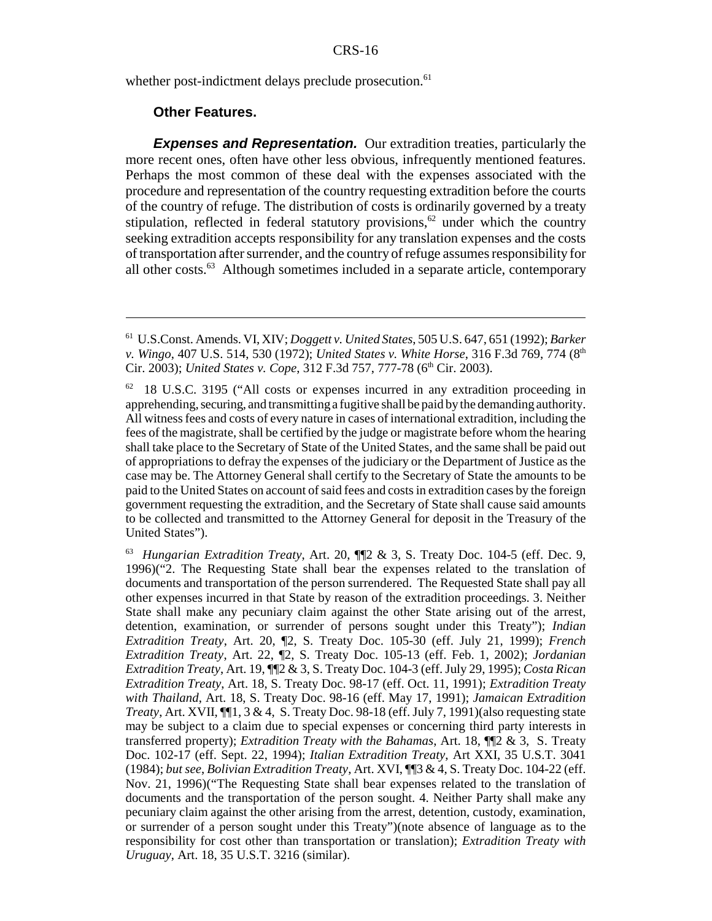whether post-indictment delays preclude prosecution.<sup>61</sup>

#### **Other Features.**

**Expenses and Representation.** Our extradition treaties, particularly the more recent ones, often have other less obvious, infrequently mentioned features. Perhaps the most common of these deal with the expenses associated with the procedure and representation of the country requesting extradition before the courts of the country of refuge. The distribution of costs is ordinarily governed by a treaty stipulation, reflected in federal statutory provisions, $62$  under which the country seeking extradition accepts responsibility for any translation expenses and the costs of transportation after surrender, and the country of refuge assumes responsibility for all other costs.63 Although sometimes included in a separate article, contemporary

<sup>61</sup> U.S.Const. Amends. VI, XIV; *Doggett v. United States*, 505 U.S. 647, 651 (1992); *Barker v. Wingo, 407 U.S. 514, 530 (1972); <i>United States v. White Horse, 316 F.3d 769, 774* (8<sup>th</sup> Cir. 2003); *United States v. Cope*, 312 F.3d 757, 777-78 (6<sup>th</sup> Cir. 2003).

 $62$  18 U.S.C. 3195 ("All costs or expenses incurred in any extradition proceeding in apprehending, securing, and transmitting a fugitive shall be paid by the demanding authority. All witness fees and costs of every nature in cases of international extradition, including the fees of the magistrate, shall be certified by the judge or magistrate before whom the hearing shall take place to the Secretary of State of the United States, and the same shall be paid out of appropriations to defray the expenses of the judiciary or the Department of Justice as the case may be. The Attorney General shall certify to the Secretary of State the amounts to be paid to the United States on account of said fees and costs in extradition cases by the foreign government requesting the extradition, and the Secretary of State shall cause said amounts to be collected and transmitted to the Attorney General for deposit in the Treasury of the United States").

<sup>63</sup> *Hungarian Extradition Treaty*, Art. 20, ¶¶2 & 3, S. Treaty Doc. 104-5 (eff. Dec. 9, 1996)("2. The Requesting State shall bear the expenses related to the translation of documents and transportation of the person surrendered. The Requested State shall pay all other expenses incurred in that State by reason of the extradition proceedings. 3. Neither State shall make any pecuniary claim against the other State arising out of the arrest, detention, examination, or surrender of persons sought under this Treaty"); *Indian Extradition Treaty*, Art. 20, ¶2, S. Treaty Doc. 105-30 (eff. July 21, 1999); *French Extradition Treaty*, Art. 22, ¶2, S. Treaty Doc. 105-13 (eff. Feb. 1, 2002); *Jordanian Extradition Treaty*, Art. 19, ¶¶2 & 3, S. Treaty Doc. 104-3 (eff. July 29, 1995); *Costa Rican Extradition Treaty*, Art. 18, S. Treaty Doc. 98-17 (eff. Oct. 11, 1991); *Extradition Treaty with Thailand*, Art. 18, S. Treaty Doc. 98-16 (eff. May 17, 1991); *Jamaican Extradition Treaty*, Art. XVII, ¶¶1, 3 & 4, S. Treaty Doc. 98-18 (eff. July 7, 1991)(also requesting state may be subject to a claim due to special expenses or concerning third party interests in transferred property); *Extradition Treaty with the Bahamas*, Art. 18, ¶¶2 & 3, S. Treaty Doc. 102-17 (eff. Sept. 22, 1994); *Italian Extradition Treaty*, Art XXI, 35 U.S.T. 3041 (1984); *but see*, *Bolivian Extradition Treaty*, Art. XVI, ¶¶3 & 4, S. Treaty Doc. 104-22 (eff. Nov. 21, 1996)("The Requesting State shall bear expenses related to the translation of documents and the transportation of the person sought. 4. Neither Party shall make any pecuniary claim against the other arising from the arrest, detention, custody, examination, or surrender of a person sought under this Treaty")(note absence of language as to the responsibility for cost other than transportation or translation); *Extradition Treaty with Uruguay*, Art. 18, 35 U.S.T. 3216 (similar).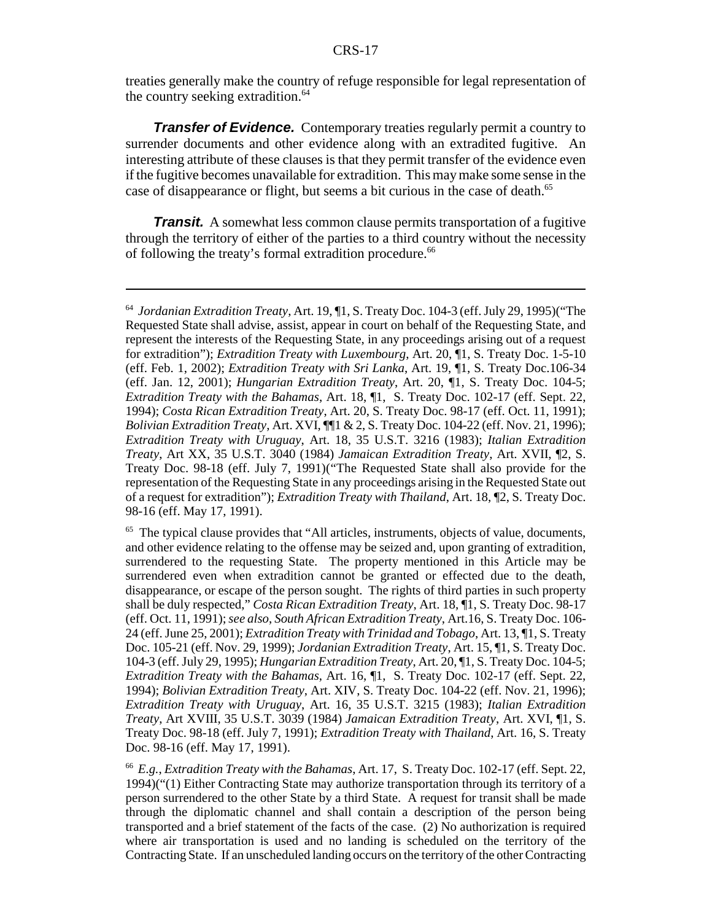treaties generally make the country of refuge responsible for legal representation of the country seeking extradition.<sup>64</sup>

*Transfer of Evidence.* Contemporary treaties regularly permit a country to surrender documents and other evidence along with an extradited fugitive. An interesting attribute of these clauses is that they permit transfer of the evidence even if the fugitive becomes unavailable for extradition. This may make some sense in the case of disappearance or flight, but seems a bit curious in the case of death.<sup>65</sup>

*Transit.* A somewhat less common clause permits transportation of a fugitive through the territory of either of the parties to a third country without the necessity of following the treaty's formal extradition procedure.<sup>66</sup>

<sup>64</sup> *Jordanian Extradition Treaty*, Art. 19, ¶1, S. Treaty Doc. 104-3 (eff. July 29, 1995)("The Requested State shall advise, assist, appear in court on behalf of the Requesting State, and represent the interests of the Requesting State, in any proceedings arising out of a request for extradition"); *Extradition Treaty with Luxembourg*, Art. 20, ¶1, S. Treaty Doc. 1-5-10 (eff. Feb. 1, 2002); *Extradition Treaty with Sri Lanka*, Art. 19, ¶1, S. Treaty Doc.106-34 (eff. Jan. 12, 2001); *Hungarian Extradition Treaty*, Art. 20, ¶1, S. Treaty Doc. 104-5; *Extradition Treaty with the Bahamas*, Art. 18, ¶1, S. Treaty Doc. 102-17 (eff. Sept. 22, 1994); *Costa Rican Extradition Treaty*, Art. 20, S. Treaty Doc. 98-17 (eff. Oct. 11, 1991); *Bolivian Extradition Treaty*, Art. XVI, ¶¶1 & 2, S. Treaty Doc. 104-22 (eff. Nov. 21, 1996); *Extradition Treaty with Uruguay*, Art. 18, 35 U.S.T. 3216 (1983); *Italian Extradition Treaty*, Art XX, 35 U.S.T. 3040 (1984) *Jamaican Extradition Treaty*, Art. XVII, ¶2, S. Treaty Doc. 98-18 (eff. July 7, 1991)("The Requested State shall also provide for the representation of the Requesting State in any proceedings arising in the Requested State out of a request for extradition"); *Extradition Treaty with Thailand*, Art. 18, ¶2, S. Treaty Doc. 98-16 (eff. May 17, 1991).

<sup>&</sup>lt;sup>65</sup> The typical clause provides that "All articles, instruments, objects of value, documents, and other evidence relating to the offense may be seized and, upon granting of extradition, surrendered to the requesting State. The property mentioned in this Article may be surrendered even when extradition cannot be granted or effected due to the death, disappearance, or escape of the person sought. The rights of third parties in such property shall be duly respected," *Costa Rican Extradition Treaty*, Art. 18, ¶1, S. Treaty Doc. 98-17 (eff. Oct. 11, 1991); *see also*, *South African Extradition Treaty*, Art.16, S. Treaty Doc. 106- 24 (eff. June 25, 2001); *Extradition Treaty with Trinidad and Tobago*, Art. 13, ¶1, S. Treaty Doc. 105-21 (eff. Nov. 29, 1999); *Jordanian Extradition Treaty*, Art. 15, ¶1, S. Treaty Doc. 104-3 (eff. July 29, 1995); *Hungarian Extradition Treaty*, Art. 20, ¶1, S. Treaty Doc. 104-5; *Extradition Treaty with the Bahamas*, Art. 16, ¶1, S. Treaty Doc. 102-17 (eff. Sept. 22, 1994); *Bolivian Extradition Treaty*, Art. XIV, S. Treaty Doc. 104-22 (eff. Nov. 21, 1996); *Extradition Treaty with Uruguay*, Art. 16, 35 U.S.T. 3215 (1983); *Italian Extradition Treaty*, Art XVIII, 35 U.S.T. 3039 (1984) *Jamaican Extradition Treaty*, Art. XVI, ¶1, S. Treaty Doc. 98-18 (eff. July 7, 1991); *Extradition Treaty with Thailand*, Art. 16, S. Treaty Doc. 98-16 (eff. May 17, 1991).

<sup>66</sup> *E.g.*, *Extradition Treaty with the Bahamas*, Art. 17, S. Treaty Doc. 102-17 (eff. Sept. 22, 1994)("(1) Either Contracting State may authorize transportation through its territory of a person surrendered to the other State by a third State. A request for transit shall be made through the diplomatic channel and shall contain a description of the person being transported and a brief statement of the facts of the case. (2) No authorization is required where air transportation is used and no landing is scheduled on the territory of the Contracting State. If an unscheduled landing occurs on the territory of the other Contracting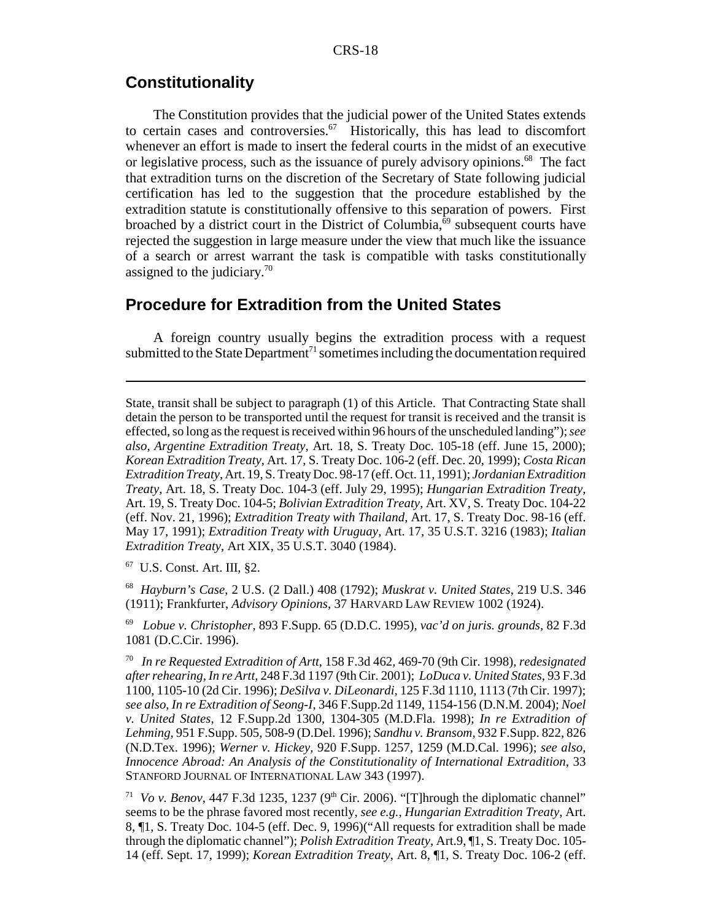### **Constitutionality**

The Constitution provides that the judicial power of the United States extends to certain cases and controversies.<sup>67</sup> Historically, this has lead to discomfort whenever an effort is made to insert the federal courts in the midst of an executive or legislative process, such as the issuance of purely advisory opinions.<sup>68</sup> The fact that extradition turns on the discretion of the Secretary of State following judicial certification has led to the suggestion that the procedure established by the extradition statute is constitutionally offensive to this separation of powers. First broached by a district court in the District of Columbia, $69$  subsequent courts have rejected the suggestion in large measure under the view that much like the issuance of a search or arrest warrant the task is compatible with tasks constitutionally assigned to the judiciary.70

### **Procedure for Extradition from the United States**

A foreign country usually begins the extradition process with a request submitted to the State Department<sup>71</sup> sometimes including the documentation required

State, transit shall be subject to paragraph (1) of this Article. That Contracting State shall detain the person to be transported until the request for transit is received and the transit is effected, so long as the request is received within 96 hours of the unscheduled landing"); *see also*, *Argentine Extradition Treaty*, Art. 18, S. Treaty Doc. 105-18 (eff. June 15, 2000); *Korean Extradition Treaty*, Art. 17, S. Treaty Doc. 106-2 (eff. Dec. 20, 1999); *Costa Rican Extradition Treaty*, Art. 19, S. Treaty Doc. 98-17 (eff. Oct. 11, 1991); *Jordanian Extradition Treaty*, Art. 18, S. Treaty Doc. 104-3 (eff. July 29, 1995); *Hungarian Extradition Treaty*, Art. 19, S. Treaty Doc. 104-5; *Bolivian Extradition Treaty*, Art. XV, S. Treaty Doc. 104-22 (eff. Nov. 21, 1996); *Extradition Treaty with Thailand*, Art. 17, S. Treaty Doc. 98-16 (eff. May 17, 1991); *Extradition Treaty with Uruguay*, Art. 17, 35 U.S.T. 3216 (1983); *Italian Extradition Treaty*, Art XIX, 35 U.S.T. 3040 (1984).

67 U.S. Const. Art. III, §2.

68 *Hayburn's Case*, 2 U.S. (2 Dall.) 408 (1792); *Muskrat v. United States*, 219 U.S. 346 (1911); Frankfurter, *Advisory Opinions*, 37 HARVARD LAW REVIEW 1002 (1924).

69 *Lobue v. Christopher*, 893 F.Supp. 65 (D.D.C. 1995), *vac'd on juris. grounds,* 82 F.3d 1081 (D.C.Cir. 1996).

70 *In re Requested Extradition of Artt*, 158 F.3d 462, 469-70 (9th Cir. 1998), *redesignated after rehearing, In re Artt*, 248 F.3d 1197 (9th Cir. 2001); *LoDuca v. United States,* 93 F.3d 1100, 1105-10 (2d Cir. 1996); *DeSilva v. DiLeonardi,* 125 F.3d 1110, 1113 (7th Cir. 1997); *see also*, *In re Extradition of Seong-I*, 346 F.Supp.2d 1149, 1154-156 (D.N.M. 2004); *Noel v. United States*, 12 F.Supp.2d 1300, 1304-305 (M.D.Fla. 1998); *In re Extradition of Lehming*, 951 F.Supp. 505, 508-9 (D.Del. 1996); *Sandhu v. Bransom,* 932 F.Supp. 822, 826 (N.D.Tex. 1996); *Werner v. Hickey,* 920 F.Supp. 1257, 1259 (M.D.Cal. 1996); *see also*, *Innocence Abroad: An Analysis of the Constitutionality of International Extradition*, 33 STANFORD JOURNAL OF INTERNATIONAL LAW 343 (1997).

<sup>71</sup> *Vo v. Benov*, 447 F.3d 1235, 1237 (9<sup>th</sup> Cir. 2006). "[T]hrough the diplomatic channel" seems to be the phrase favored most recently, *see e.g.*, *Hungarian Extradition Treaty*, Art. 8, ¶1, S. Treaty Doc. 104-5 (eff. Dec. 9, 1996)("All requests for extradition shall be made through the diplomatic channel"); *Polish Extradition Treaty*, Art.9, ¶1, S. Treaty Doc. 105- 14 (eff. Sept. 17, 1999); *Korean Extradition Treaty*, Art. 8, ¶1, S. Treaty Doc. 106-2 (eff.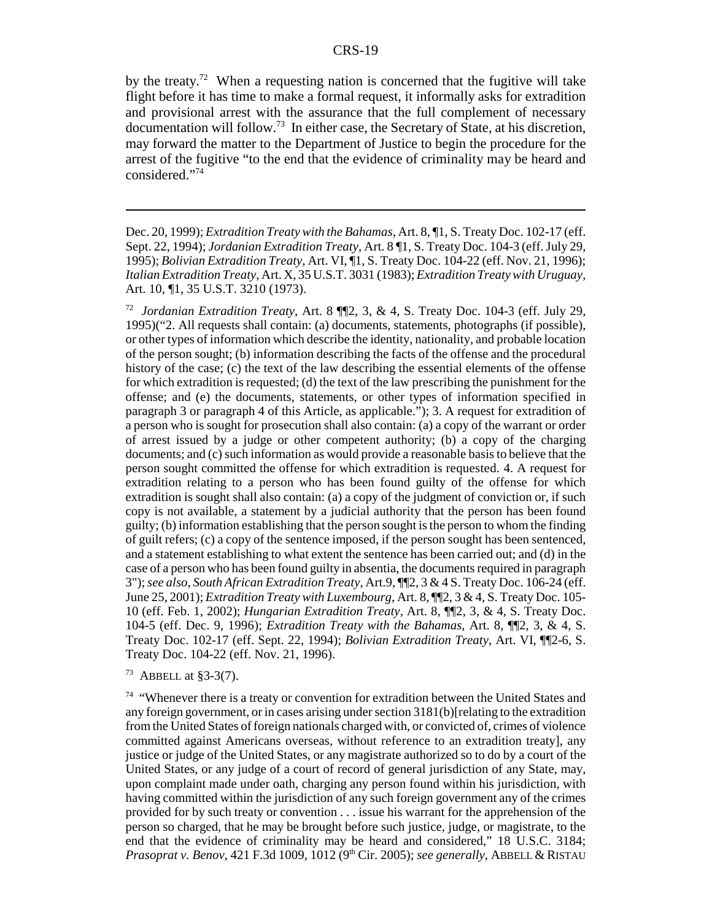by the treaty.<sup>72</sup> When a requesting nation is concerned that the fugitive will take flight before it has time to make a formal request, it informally asks for extradition and provisional arrest with the assurance that the full complement of necessary documentation will follow.<sup>73</sup> In either case, the Secretary of State, at his discretion, may forward the matter to the Department of Justice to begin the procedure for the arrest of the fugitive "to the end that the evidence of criminality may be heard and considered."74

Dec. 20, 1999); *Extradition Treaty with the Bahamas*, Art. 8, ¶1, S. Treaty Doc. 102-17 (eff. Sept. 22, 1994); *Jordanian Extradition Treaty*, Art. 8 ¶1, S. Treaty Doc. 104-3 (eff. July 29, 1995); *Bolivian Extradition Treaty*, Art. VI, ¶1, S. Treaty Doc. 104-22 (eff. Nov. 21, 1996); *Italian Extradition Treaty*, Art. X, 35 U.S.T. 3031 (1983); *Extradition Treaty with Uruguay*, Art. 10, ¶1, 35 U.S.T. 3210 (1973).

72 *Jordanian Extradition Treaty*, Art. 8 ¶¶2, 3, & 4, S. Treaty Doc. 104-3 (eff. July 29, 1995)("2. All requests shall contain: (a) documents, statements, photographs (if possible), or other types of information which describe the identity, nationality, and probable location of the person sought; (b) information describing the facts of the offense and the procedural history of the case; (c) the text of the law describing the essential elements of the offense for which extradition is requested; (d) the text of the law prescribing the punishment for the offense; and (e) the documents, statements, or other types of information specified in paragraph 3 or paragraph 4 of this Article, as applicable."); 3. A request for extradition of a person who is sought for prosecution shall also contain: (a) a copy of the warrant or order of arrest issued by a judge or other competent authority; (b) a copy of the charging documents; and (c) such information as would provide a reasonable basis to believe that the person sought committed the offense for which extradition is requested. 4. A request for extradition relating to a person who has been found guilty of the offense for which extradition is sought shall also contain: (a) a copy of the judgment of conviction or, if such copy is not available, a statement by a judicial authority that the person has been found guilty; (b) information establishing that the person sought is the person to whom the finding of guilt refers; (c) a copy of the sentence imposed, if the person sought has been sentenced, and a statement establishing to what extent the sentence has been carried out; and (d) in the case of a person who has been found guilty in absentia, the documents required in paragraph 3"); *see also*, *South African Extradition Treaty*, Art.9, ¶¶2, 3 & 4 S. Treaty Doc. 106-24 (eff. June 25, 2001); *Extradition Treaty with Luxembourg*, Art. 8, ¶¶2, 3 & 4, S. Treaty Doc. 105- 10 (eff. Feb. 1, 2002); *Hungarian Extradition Treaty*, Art. 8, ¶¶2, 3, & 4, S. Treaty Doc. 104-5 (eff. Dec. 9, 1996); *Extradition Treaty with the Bahamas*, Art. 8, ¶¶2, 3, & 4, S. Treaty Doc. 102-17 (eff. Sept. 22, 1994); *Bolivian Extradition Treaty*, Art. VI, ¶¶2-6, S. Treaty Doc. 104-22 (eff. Nov. 21, 1996).

73 ABBELL at §3-3(7).

 $74$  "Whenever there is a treaty or convention for extradition between the United States and any foreign government, or in cases arising under section 3181(b)[relating to the extradition from the United States of foreign nationals charged with, or convicted of, crimes of violence committed against Americans overseas, without reference to an extradition treaty], any justice or judge of the United States, or any magistrate authorized so to do by a court of the United States, or any judge of a court of record of general jurisdiction of any State, may, upon complaint made under oath, charging any person found within his jurisdiction, with having committed within the jurisdiction of any such foreign government any of the crimes provided for by such treaty or convention . . . issue his warrant for the apprehension of the person so charged, that he may be brought before such justice, judge, or magistrate, to the end that the evidence of criminality may be heard and considered," 18 U.S.C. 3184; *Prasoprat v. Benov*, 421 F.3d 1009, 1012 (9th Cir. 2005); *see generally*, ABBELL & RISTAU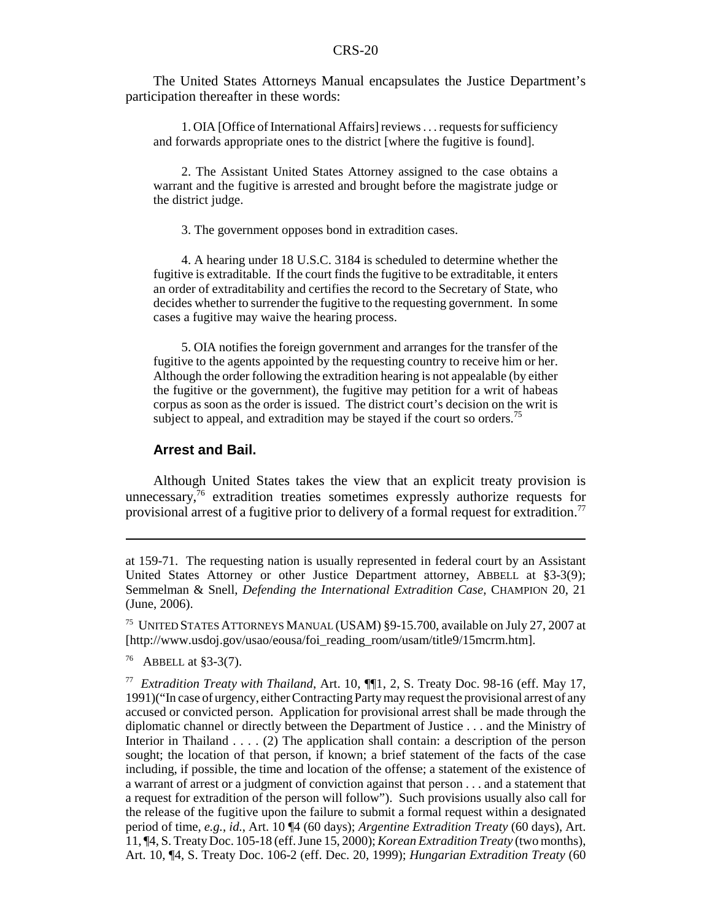The United States Attorneys Manual encapsulates the Justice Department's participation thereafter in these words:

1. OIA [Office of International Affairs] reviews . . . requests for sufficiency and forwards appropriate ones to the district [where the fugitive is found].

2. The Assistant United States Attorney assigned to the case obtains a warrant and the fugitive is arrested and brought before the magistrate judge or the district judge.

3. The government opposes bond in extradition cases.

4. A hearing under 18 U.S.C. 3184 is scheduled to determine whether the fugitive is extraditable. If the court finds the fugitive to be extraditable, it enters an order of extraditability and certifies the record to the Secretary of State, who decides whether to surrender the fugitive to the requesting government. In some cases a fugitive may waive the hearing process.

5. OIA notifies the foreign government and arranges for the transfer of the fugitive to the agents appointed by the requesting country to receive him or her. Although the order following the extradition hearing is not appealable (by either the fugitive or the government), the fugitive may petition for a writ of habeas corpus as soon as the order is issued. The district court's decision on the writ is subject to appeal, and extradition may be stayed if the court so orders.<sup>75</sup>

#### **Arrest and Bail.**

Although United States takes the view that an explicit treaty provision is unnecessary,<sup>76</sup> extradition treaties sometimes expressly authorize requests for provisional arrest of a fugitive prior to delivery of a formal request for extradition.<sup>77</sup>

75 UNITED STATES ATTORNEYS MANUAL (USAM) §9-15.700, available on July 27, 2007 at [http://www.usdoj.gov/usao/eousa/foi\_reading\_room/usam/title9/15mcrm.htm].

76 ABBELL at §3-3(7).

at 159-71. The requesting nation is usually represented in federal court by an Assistant United States Attorney or other Justice Department attorney, ABBELL at §3-3(9); Semmelman & Snell, *Defending the International Extradition Case*, CHAMPION 20, 21 (June, 2006).

<sup>77</sup> *Extradition Treaty with Thailand*, Art. 10, ¶¶1, 2, S. Treaty Doc. 98-16 (eff. May 17, 1991)("In case of urgency, either Contracting Party may request the provisional arrest of any accused or convicted person. Application for provisional arrest shall be made through the diplomatic channel or directly between the Department of Justice . . . and the Ministry of Interior in Thailand . . . . (2) The application shall contain: a description of the person sought; the location of that person, if known; a brief statement of the facts of the case including, if possible, the time and location of the offense; a statement of the existence of a warrant of arrest or a judgment of conviction against that person . . . and a statement that a request for extradition of the person will follow"). Such provisions usually also call for the release of the fugitive upon the failure to submit a formal request within a designated period of time, *e.g.*, *id.*, Art. 10 ¶4 (60 days); *Argentine Extradition Treaty* (60 days), Art. 11, ¶4, S. Treaty Doc. 105-18 (eff. June 15, 2000); *Korean Extradition Treaty* (two months), Art. 10, ¶4, S. Treaty Doc. 106-2 (eff. Dec. 20, 1999); *Hungarian Extradition Treaty* (60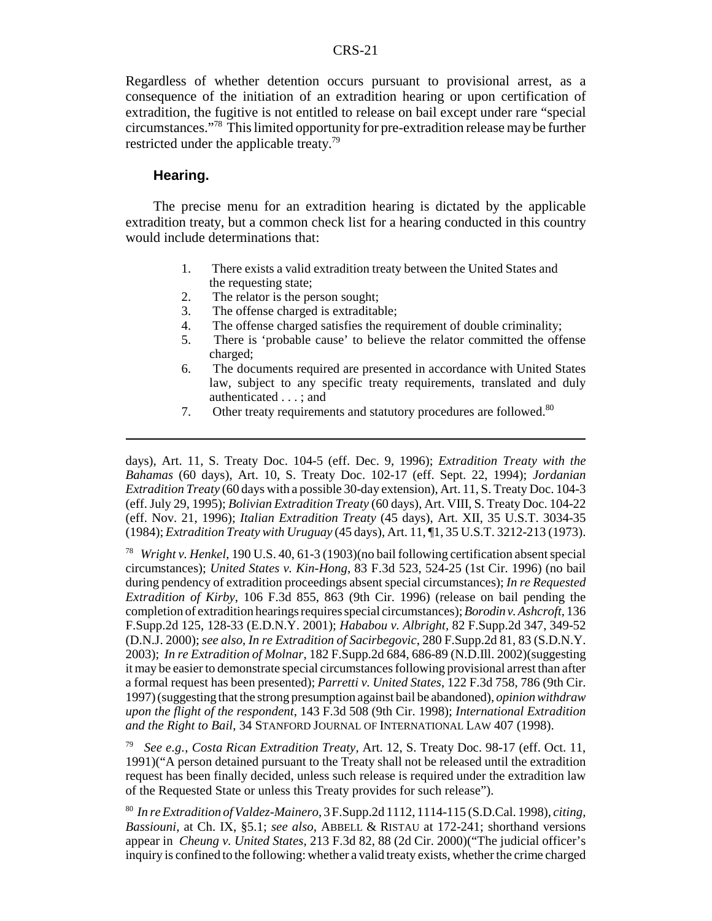Regardless of whether detention occurs pursuant to provisional arrest, as a consequence of the initiation of an extradition hearing or upon certification of extradition, the fugitive is not entitled to release on bail except under rare "special circumstances."78 This limited opportunity for pre-extradition release may be further restricted under the applicable treaty.79

#### **Hearing.**

The precise menu for an extradition hearing is dictated by the applicable extradition treaty, but a common check list for a hearing conducted in this country would include determinations that:

- 1. There exists a valid extradition treaty between the United States and the requesting state;
- 2. The relator is the person sought;
- 3. The offense charged is extraditable;
- 4. The offense charged satisfies the requirement of double criminality;
- 5. There is 'probable cause' to believe the relator committed the offense charged;
- 6. The documents required are presented in accordance with United States law, subject to any specific treaty requirements, translated and duly authenticated . . . ; and
- 7. Other treaty requirements and statutory procedures are followed.<sup>80</sup>

days), Art. 11, S. Treaty Doc. 104-5 (eff. Dec. 9, 1996); *Extradition Treaty with the Bahamas* (60 days), Art. 10, S. Treaty Doc. 102-17 (eff. Sept. 22, 1994); *Jordanian Extradition Treaty* (60 days with a possible 30-day extension), Art. 11, S. Treaty Doc. 104-3 (eff. July 29, 1995); *Bolivian Extradition Treaty* (60 days), Art. VIII, S. Treaty Doc. 104-22 (eff. Nov. 21, 1996); *Italian Extradition Treaty* (45 days), Art. XII, 35 U.S.T. 3034-35 (1984); *Extradition Treaty with Uruguay* (45 days), Art. 11, ¶1, 35 U.S.T. 3212-213 (1973).

78 *Wright v. Henkel*, 190 U.S. 40, 61-3 (1903)(no bail following certification absent special circumstances); *United States v. Kin-Hong*, 83 F.3d 523, 524-25 (1st Cir. 1996) (no bail during pendency of extradition proceedings absent special circumstances); *In re Requested Extradition of Kirby*, 106 F.3d 855, 863 (9th Cir. 1996) (release on bail pending the completion of extradition hearings requires special circumstances); *Borodin v. Ashcroft*, 136 F.Supp.2d 125, 128-33 (E.D.N.Y. 2001); *Hababou v. Albright*, 82 F.Supp.2d 347, 349-52 (D.N.J. 2000); *see also*, *In re Extradition of Sacirbegovic*, 280 F.Supp.2d 81, 83 (S.D.N.Y. 2003); *In re Extradition of Molnar*, 182 F.Supp.2d 684, 686-89 (N.D.Ill. 2002)(suggesting it may be easier to demonstrate special circumstances following provisional arrest than after a formal request has been presented); *Parretti v. United States*, 122 F.3d 758, 786 (9th Cir. 1997) (suggesting that the strong presumption against bail be abandoned), *opinion withdraw upon the flight of the respondent*, 143 F.3d 508 (9th Cir. 1998); *International Extradition and the Right to Bail*, 34 STANFORD JOURNAL OF INTERNATIONAL LAW 407 (1998).

79 *See e.g.*, *Costa Rican Extradition Treaty*, Art. 12, S. Treaty Doc. 98-17 (eff. Oct. 11, 1991)("A person detained pursuant to the Treaty shall not be released until the extradition request has been finally decided, unless such release is required under the extradition law of the Requested State or unless this Treaty provides for such release").

80 *In re Extradition of Valdez-Mainero*, 3 F.Supp.2d 1112, 1114-115 (S.D.Cal. 1998), *citing, Bassiouni*, at Ch. IX, §5.1; *see also*, ABBELL & RISTAU at 172-241; shorthand versions appear in *Cheung v. United States*, 213 F.3d 82, 88 (2d Cir. 2000)("The judicial officer's inquiry is confined to the following: whether a valid treaty exists, whether the crime charged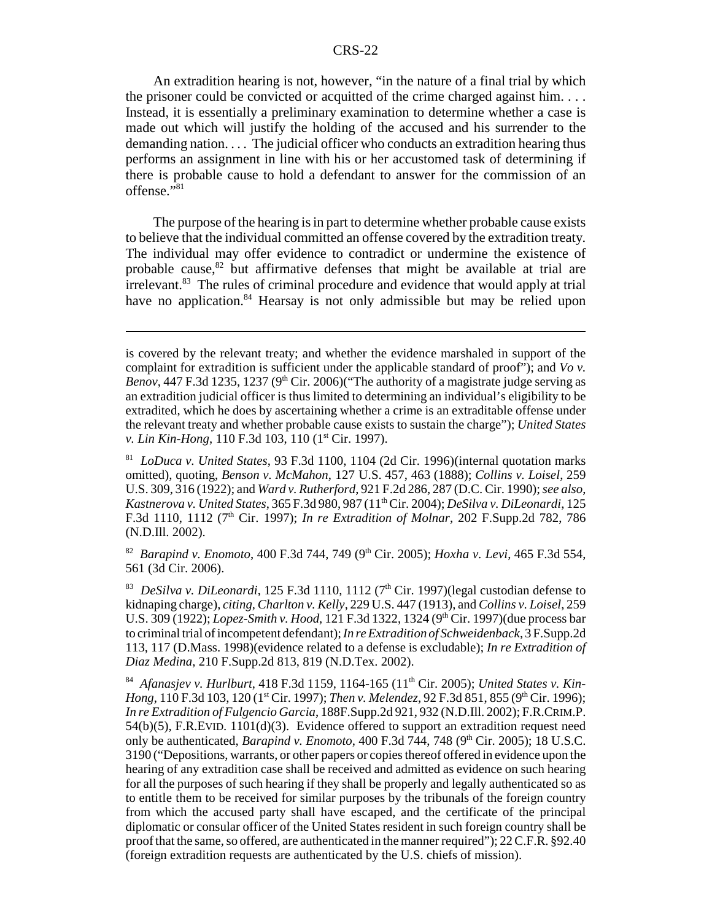An extradition hearing is not, however, "in the nature of a final trial by which the prisoner could be convicted or acquitted of the crime charged against him. . . . Instead, it is essentially a preliminary examination to determine whether a case is made out which will justify the holding of the accused and his surrender to the demanding nation. . . . The judicial officer who conducts an extradition hearing thus performs an assignment in line with his or her accustomed task of determining if there is probable cause to hold a defendant to answer for the commission of an offense."<sup>81</sup>

The purpose of the hearing is in part to determine whether probable cause exists to believe that the individual committed an offense covered by the extradition treaty. The individual may offer evidence to contradict or undermine the existence of probable cause, $82$  but affirmative defenses that might be available at trial are irrelevant.<sup>83</sup> The rules of criminal procedure and evidence that would apply at trial have no application. $84$  Hearsay is not only admissible but may be relied upon

<sup>82</sup> *Barapind v. Enomoto*, 400 F.3d 744, 749 (9<sup>th</sup> Cir. 2005); *Hoxha v. Levi*, 465 F.3d 554, 561 (3d Cir. 2006).

<sup>83</sup> *DeSilva v. DiLeonardi*, 125 F.3d 1110, 1112 (7<sup>th</sup> Cir. 1997)(legal custodian defense to kidnaping charge), *citing, Charlton v. Kelly*, 229 U.S. 447 (1913), and *Collins v. Loisel*, 259 U.S. 309 (1922); *Lopez-Smith v. Hood*, 121 F.3d 1322, 1324 (9<sup>th</sup> Cir. 1997)(due process bar to criminal trial of incompetent defendant); *In re Extradition of Schweidenback*, 3 F.Supp.2d 113, 117 (D.Mass. 1998)(evidence related to a defense is excludable); *In re Extradition of Diaz Medina*, 210 F.Supp.2d 813, 819 (N.D.Tex. 2002).

84 *Afanasjev v. Hurlburt*, 418 F.3d 1159, 1164-165 (11th Cir. 2005); *United States v. Kin-Hong*, 110 F.3d 103, 120 (1<sup>st</sup> Cir. 1997); *Then v. Melendez*, 92 F.3d 851, 855 (9<sup>th</sup> Cir. 1996); *In re Extradition of Fulgencio Garcia*, 188F.Supp.2d 921, 932 (N.D.Ill. 2002); F.R.CRIM.P.  $54(b)(5)$ , F.R.EVID.  $1101(d)(3)$ . Evidence offered to support an extradition request need only be authenticated, *Barapind v. Enomoto*, 400 F.3d 744, 748 (9<sup>th</sup> Cir. 2005); 18 U.S.C. 3190 ("Depositions, warrants, or other papers or copies thereof offered in evidence upon the hearing of any extradition case shall be received and admitted as evidence on such hearing for all the purposes of such hearing if they shall be properly and legally authenticated so as to entitle them to be received for similar purposes by the tribunals of the foreign country from which the accused party shall have escaped, and the certificate of the principal diplomatic or consular officer of the United States resident in such foreign country shall be proof that the same, so offered, are authenticated in the manner required"); 22 C.F.R. §92.40 (foreign extradition requests are authenticated by the U.S. chiefs of mission).

is covered by the relevant treaty; and whether the evidence marshaled in support of the complaint for extradition is sufficient under the applicable standard of proof"); and *Vo v. Benov*, 447 F.3d 1235, 1237 (9<sup>th</sup> Cir. 2006)("The authority of a magistrate judge serving as an extradition judicial officer is thus limited to determining an individual's eligibility to be extradited, which he does by ascertaining whether a crime is an extraditable offense under the relevant treaty and whether probable cause exists to sustain the charge"); *United States v. Lin Kin-Hong*, 110 F.3d 103, 110 (1<sup>st</sup> Cir. 1997).

<sup>81</sup> *LoDuca v. United States*, 93 F.3d 1100, 1104 (2d Cir. 1996)(internal quotation marks omitted), quoting, *Benson v. McMahon*, 127 U.S. 457, 463 (1888); *Collins v. Loisel*, 259 U.S. 309, 316 (1922); and *Ward v. Rutherford*, 921 F.2d 286, 287 (D.C. Cir. 1990); *see also*, *Kastnerova v. United States*, 365 F.3d 980, 987 (11th Cir. 2004); *DeSilva v. DiLeonardi*, 125 F.3d 1110, 1112 (7<sup>th</sup> Cir. 1997); *In re Extradition of Molnar*, 202 F.Supp.2d 782, 786 (N.D.Ill. 2002).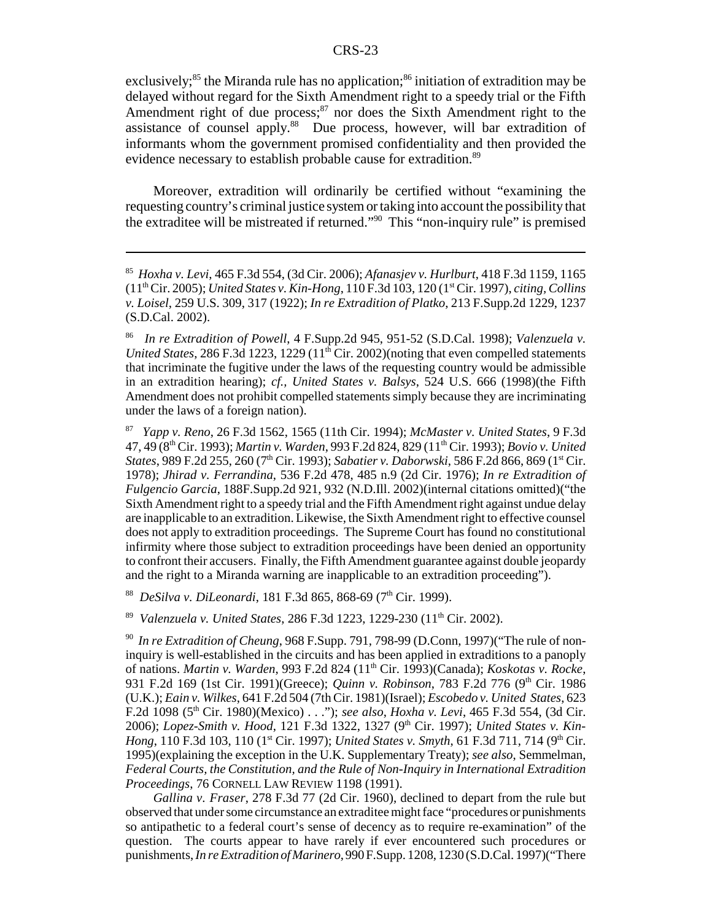exclusively;<sup>85</sup> the Miranda rule has no application;<sup>86</sup> initiation of extradition may be delayed without regard for the Sixth Amendment right to a speedy trial or the Fifth Amendment right of due process; $87$  nor does the Sixth Amendment right to the assistance of counsel apply.<sup>88</sup> Due process, however, will bar extradition of informants whom the government promised confidentiality and then provided the evidence necessary to establish probable cause for extradition.<sup>89</sup>

Moreover, extradition will ordinarily be certified without "examining the requesting country's criminal justice system or taking into account the possibility that the extraditee will be mistreated if returned."90 This "non-inquiry rule" is premised

87 *Yapp v. Reno*, 26 F.3d 1562, 1565 (11th Cir. 1994); *McMaster v. United States*, 9 F.3d 47, 49 (8th Cir. 1993); *Martin v. Warden*, 993 F.2d 824, 829 (11th Cir. 1993); *Bovio v. United States*, 989 F.2d 255, 260 (7th Cir. 1993); *Sabatier v. Daborwski*, 586 F.2d 866, 869 (1st Cir. 1978); *Jhirad v. Ferrandina*, 536 F.2d 478, 485 n.9 (2d Cir. 1976); *In re Extradition of Fulgencio Garcia*, 188F.Supp.2d 921, 932 (N.D.Ill. 2002)(internal citations omitted)("the Sixth Amendment right to a speedy trial and the Fifth Amendment right against undue delay are inapplicable to an extradition. Likewise, the Sixth Amendment right to effective counsel does not apply to extradition proceedings. The Supreme Court has found no constitutional infirmity where those subject to extradition proceedings have been denied an opportunity to confront their accusers. Finally, the Fifth Amendment guarantee against double jeopardy and the right to a Miranda warning are inapplicable to an extradition proceeding").

<sup>88</sup> *DeSilva v. DiLeonardi*, 181 F.3d 865, 868-69 (7<sup>th</sup> Cir. 1999).

<sup>89</sup> *Valenzuela v. United States, 286 F.3d 1223, 1229-230 (11<sup>th</sup> Cir. 2002).* 

*Gallina v. Fraser*, 278 F.3d 77 (2d Cir. 1960), declined to depart from the rule but observed that under some circumstance an extraditee might face "procedures or punishments so antipathetic to a federal court's sense of decency as to require re-examination" of the question. The courts appear to have rarely if ever encountered such procedures or punishments, *In re Extradition of Marinero*, 990 F.Supp. 1208, 1230 (S.D.Cal. 1997)("There

<sup>85</sup> *Hoxha v. Levi*, 465 F.3d 554, (3d Cir. 2006); *Afanasjev v. Hurlburt*, 418 F.3d 1159, 1165 (11th Cir. 2005); *United States v. Kin-Hong*, 110 F.3d 103, 120 (1st Cir. 1997), *citing, Collins v. Loisel*, 259 U.S. 309, 317 (1922); *In re Extradition of Platko*, 213 F.Supp.2d 1229, 1237 (S.D.Cal. 2002).

<sup>86</sup> *In re Extradition of Powell*, 4 F.Supp.2d 945, 951-52 (S.D.Cal. 1998); *Valenzuela v. United States*, 286 F.3d 1223, 1229  $(11<sup>th</sup>$  Cir. 2002)(noting that even compelled statements that incriminate the fugitive under the laws of the requesting country would be admissible in an extradition hearing); *cf., United States v. Balsys*, 524 U.S. 666 (1998)(the Fifth Amendment does not prohibit compelled statements simply because they are incriminating under the laws of a foreign nation).

<sup>90</sup> *In re Extradition of Cheung*, 968 F.Supp. 791, 798-99 (D.Conn, 1997)("The rule of noninquiry is well-established in the circuits and has been applied in extraditions to a panoply of nations. *Martin v. Warden*, 993 F.2d 824 (11th Cir. 1993)(Canada); *Koskotas v. Rocke*, 931 F.2d 169 (1st Cir. 1991)(Greece); *Quinn v. Robinson*, 783 F.2d 776 (9th Cir. 1986 (U.K.); *Eain v. Wilkes*, 641 F.2d 504 (7th Cir. 1981)(Israel); *Escobedo v. United States*, 623 F.2d 1098 (5<sup>th</sup> Cir. 1980)(Mexico) . . ."); *see also*, *Hoxha v. Levi*, 465 F.3d 554, (3d Cir. 2006); *Lopez-Smith v. Hood*, 121 F.3d 1322, 1327 (9<sup>th</sup> Cir. 1997); *United States v. Kin-Hong*, 110 F.3d 103, 110 (1<sup>st</sup> Cir. 1997); *United States v. Smyth*, 61 F.3d 711, 714 (9<sup>th</sup> Cir. 1995)(explaining the exception in the U.K. Supplementary Treaty); *see also*, Semmelman, *Federal Courts, the Constitution, and the Rule of Non-Inquiry in International Extradition Proceedings*, 76 CORNELL LAW REVIEW 1198 (1991).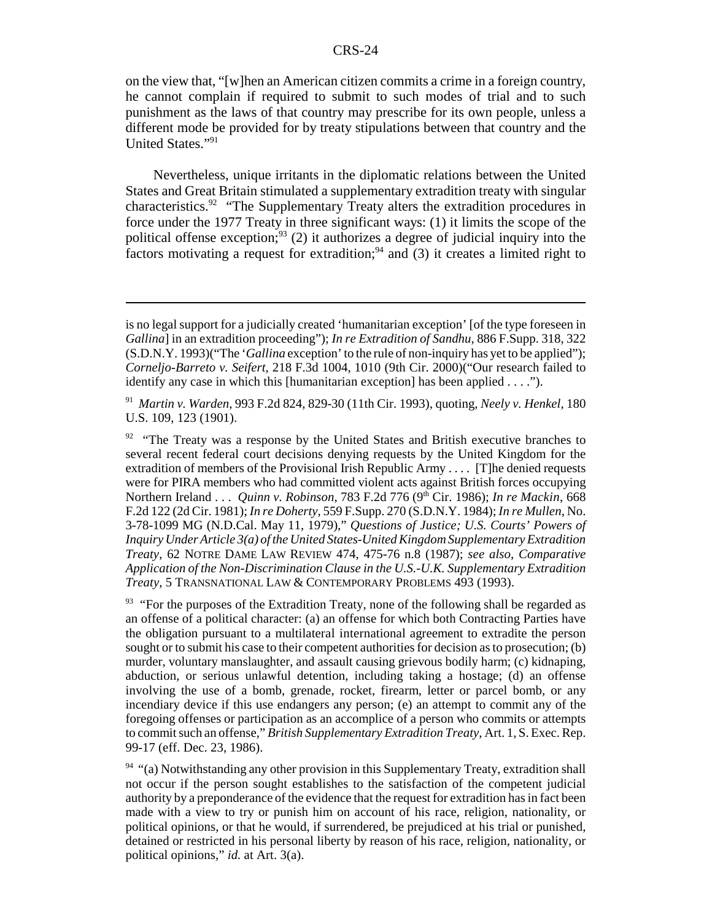on the view that, "[w]hen an American citizen commits a crime in a foreign country, he cannot complain if required to submit to such modes of trial and to such punishment as the laws of that country may prescribe for its own people, unless a different mode be provided for by treaty stipulations between that country and the United States."91

Nevertheless, unique irritants in the diplomatic relations between the United States and Great Britain stimulated a supplementary extradition treaty with singular characteristics.92 "The Supplementary Treaty alters the extradition procedures in force under the 1977 Treaty in three significant ways: (1) it limits the scope of the political offense exception; $93$  (2) it authorizes a degree of judicial inquiry into the factors motivating a request for extradition;<sup>94</sup> and (3) it creates a limited right to

91 *Martin v. Warden*, 993 F.2d 824, 829-30 (11th Cir. 1993), quoting, *Neely v. Henkel*, 180 U.S. 109, 123 (1901).

<sup>92</sup> "The Treaty was a response by the United States and British executive branches to several recent federal court decisions denying requests by the United Kingdom for the extradition of members of the Provisional Irish Republic Army . . . . [T]he denied requests were for PIRA members who had committed violent acts against British forces occupying Northern Ireland . . . *Quinn v. Robinson*, 783 F.2d 776 (9<sup>th</sup> Cir. 1986); *In re Mackin*, 668 F.2d 122 (2d Cir. 1981); *In re Doherty*, 559 F.Supp. 270 (S.D.N.Y. 1984); *In re Mullen*, No. 3-78-1099 MG (N.D.Cal. May 11, 1979)," *Questions of Justice; U.S. Courts' Powers of Inquiry Under Article 3(a) of the United States-United Kingdom Supplementary Extradition Treaty*, 62 NOTRE DAME LAW REVIEW 474, 475-76 n.8 (1987); *see also*, *Comparative Application of the Non-Discrimination Clause in the U.S.-U.K. Supplementary Extradition Treaty*, 5 TRANSNATIONAL LAW & CONTEMPORARY PROBLEMS 493 (1993).

 $93$  "For the purposes of the Extradition Treaty, none of the following shall be regarded as an offense of a political character: (a) an offense for which both Contracting Parties have the obligation pursuant to a multilateral international agreement to extradite the person sought or to submit his case to their competent authorities for decision as to prosecution; (b) murder, voluntary manslaughter, and assault causing grievous bodily harm; (c) kidnaping, abduction, or serious unlawful detention, including taking a hostage; (d) an offense involving the use of a bomb, grenade, rocket, firearm, letter or parcel bomb, or any incendiary device if this use endangers any person; (e) an attempt to commit any of the foregoing offenses or participation as an accomplice of a person who commits or attempts to commit such an offense," *British Supplementary Extradition Treaty*, Art. 1, S. Exec. Rep. 99-17 (eff. Dec. 23, 1986).

 $94$  "(a) Notwithstanding any other provision in this Supplementary Treaty, extradition shall not occur if the person sought establishes to the satisfaction of the competent judicial authority by a preponderance of the evidence that the request for extradition has in fact been made with a view to try or punish him on account of his race, religion, nationality, or political opinions, or that he would, if surrendered, be prejudiced at his trial or punished, detained or restricted in his personal liberty by reason of his race, religion, nationality, or political opinions," *id.* at Art. 3(a).

is no legal support for a judicially created 'humanitarian exception' [of the type foreseen in *Gallina*] in an extradition proceeding"); *In re Extradition of Sandhu*, 886 F.Supp. 318, 322 (S.D.N.Y. 1993)("The '*Gallina* exception' to the rule of non-inquiry has yet to be applied"); *Corneljo-Barreto v. Seifert*, 218 F.3d 1004, 1010 (9th Cir. 2000)("Our research failed to identify any case in which this [humanitarian exception] has been applied . . . .").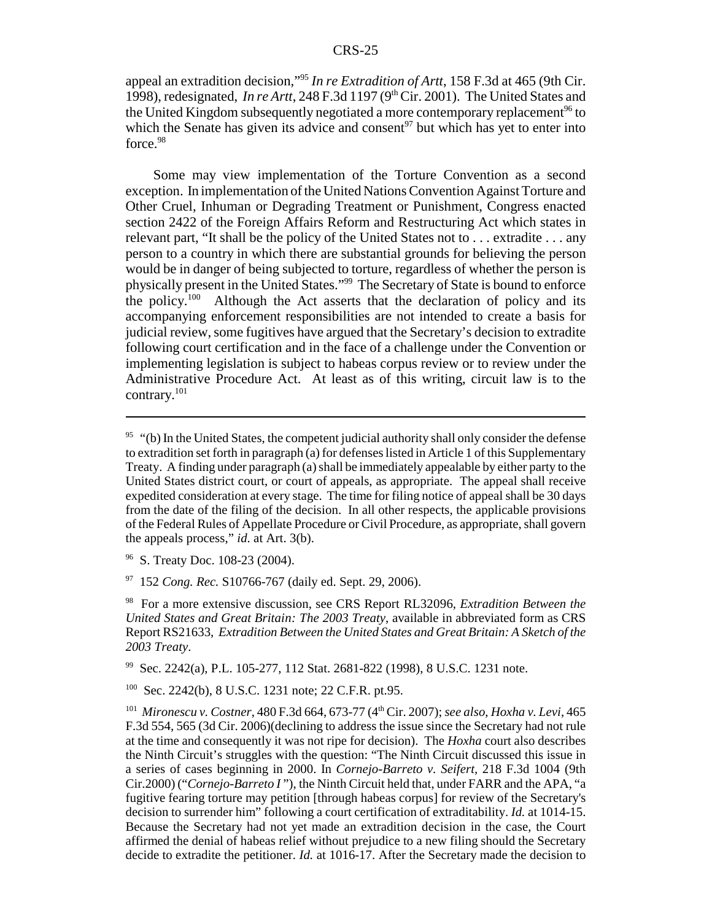appeal an extradition decision,"95 *In re Extradition of Artt*, 158 F.3d at 465 (9th Cir. 1998), redesignated, *In re Artt*, 248 F.3d 1197 ( $9<sup>th</sup>$  Cir. 2001). The United States and the United Kingdom subsequently negotiated a more contemporary replacement<sup>96</sup> to which the Senate has given its advice and consent<sup>97</sup> but which has yet to enter into  $force<sup>98</sup>$ 

Some may view implementation of the Torture Convention as a second exception. In implementation of the United Nations Convention Against Torture and Other Cruel, Inhuman or Degrading Treatment or Punishment, Congress enacted section 2422 of the Foreign Affairs Reform and Restructuring Act which states in relevant part, "It shall be the policy of the United States not to . . . extradite . . . any person to a country in which there are substantial grounds for believing the person would be in danger of being subjected to torture, regardless of whether the person is physically present in the United States."99 The Secretary of State is bound to enforce the policy.<sup>100</sup> Although the Act asserts that the declaration of policy and its accompanying enforcement responsibilities are not intended to create a basis for judicial review, some fugitives have argued that the Secretary's decision to extradite following court certification and in the face of a challenge under the Convention or implementing legislation is subject to habeas corpus review or to review under the Administrative Procedure Act. At least as of this writing, circuit law is to the contrary.101

99 Sec. 2242(a), P.L. 105-277, 112 Stat. 2681-822 (1998), 8 U.S.C. 1231 note.

100 Sec. 2242(b), 8 U.S.C. 1231 note; 22 C.F.R. pt.95.

 $95$  "(b) In the United States, the competent judicial authority shall only consider the defense to extradition set forth in paragraph (a) for defenses listed in Article 1 of this Supplementary Treaty. A finding under paragraph (a) shall be immediately appealable by either party to the United States district court, or court of appeals, as appropriate. The appeal shall receive expedited consideration at every stage. The time for filing notice of appeal shall be 30 days from the date of the filing of the decision. In all other respects, the applicable provisions of the Federal Rules of Appellate Procedure or Civil Procedure, as appropriate, shall govern the appeals process," *id*. at Art. 3(b).

<sup>&</sup>lt;sup>96</sup> S. Treaty Doc. 108-23 (2004).

<sup>97 152</sup> *Cong. Rec.* S10766-767 (daily ed. Sept. 29, 2006).

<sup>98</sup> For a more extensive discussion, see CRS Report RL32096, *Extradition Between the United States and Great Britain: The 2003 Treaty*, available in abbreviated form as CRS Report RS21633, *Extradition Between the United States and Great Britain: A Sketch of the 2003 Treaty*.

<sup>101</sup> *Mironescu v. Costner*, 480 F.3d 664, 673-77 (4th Cir. 2007); *see also*, *Hoxha v. Levi*, 465 F.3d 554, 565 (3d Cir. 2006)(declining to address the issue since the Secretary had not rule at the time and consequently it was not ripe for decision). The *Hoxha* court also describes the Ninth Circuit's struggles with the question: "The Ninth Circuit discussed this issue in a series of cases beginning in 2000. In *Cornejo-Barreto v. Seifert,* 218 F.3d 1004 (9th Cir.2000) ("*Cornejo-Barreto I* "), the Ninth Circuit held that, under FARR and the APA, "a fugitive fearing torture may petition [through habeas corpus] for review of the Secretary's decision to surrender him" following a court certification of extraditability. *Id.* at 1014-15. Because the Secretary had not yet made an extradition decision in the case, the Court affirmed the denial of habeas relief without prejudice to a new filing should the Secretary decide to extradite the petitioner. *Id.* at 1016-17. After the Secretary made the decision to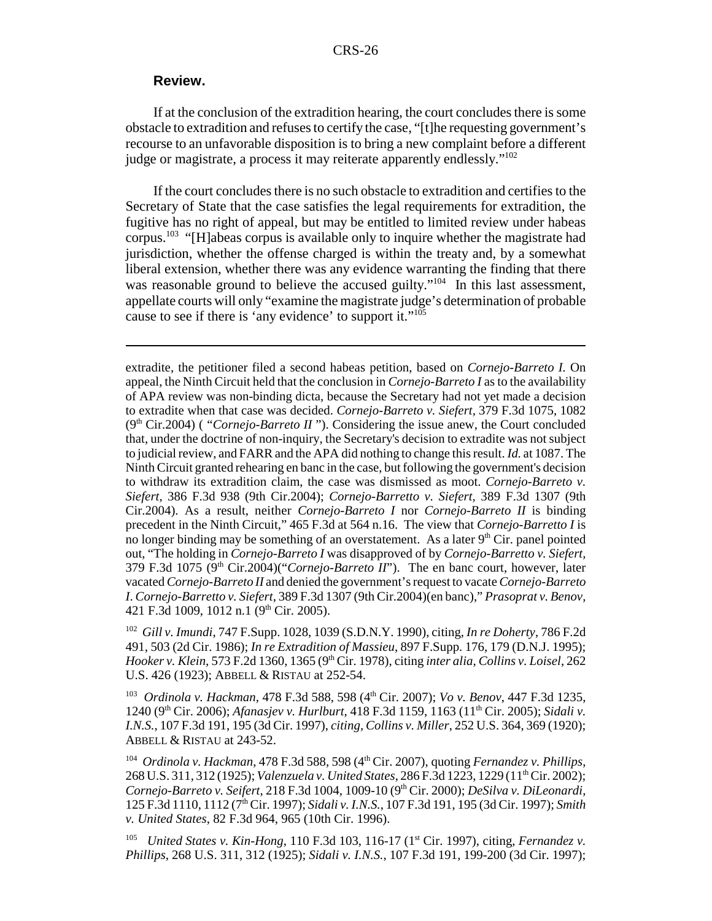#### **Review.**

If at the conclusion of the extradition hearing, the court concludes there is some obstacle to extradition and refuses to certify the case, "[t]he requesting government's recourse to an unfavorable disposition is to bring a new complaint before a different judge or magistrate, a process it may reiterate apparently endlessly."102

If the court concludes there is no such obstacle to extradition and certifies to the Secretary of State that the case satisfies the legal requirements for extradition, the fugitive has no right of appeal, but may be entitled to limited review under habeas corpus.103 "[H]abeas corpus is available only to inquire whether the magistrate had jurisdiction, whether the offense charged is within the treaty and, by a somewhat liberal extension, whether there was any evidence warranting the finding that there was reasonable ground to believe the accused guilty."<sup>104</sup> In this last assessment, appellate courts will only "examine the magistrate judge's determination of probable cause to see if there is 'any evidence' to support it."<sup>105</sup>

extradite, the petitioner filed a second habeas petition, based on *Cornejo-Barreto I.* On appeal, the Ninth Circuit held that the conclusion in *Cornejo-Barreto I* as to the availability of APA review was non-binding dicta, because the Secretary had not yet made a decision to extradite when that case was decided. *Cornejo-Barreto v. Siefert,* 379 F.3d 1075, 1082 (9th Cir.2004) ( "*Cornejo-Barreto II* "). Considering the issue anew, the Court concluded that, under the doctrine of non-inquiry, the Secretary's decision to extradite was not subject to judicial review, and FARR and the APA did nothing to change this result. *Id.* at 1087. The Ninth Circuit granted rehearing en banc in the case, but following the government's decision to withdraw its extradition claim, the case was dismissed as moot. *Cornejo-Barreto v. Siefert,* 386 F.3d 938 (9th Cir.2004); *Cornejo-Barretto v. Siefert,* 389 F.3d 1307 (9th Cir.2004). As a result, neither *Cornejo-Barreto I* nor *Cornejo-Barreto II* is binding precedent in the Ninth Circuit," 465 F.3d at 564 n.16. The view that *Cornejo-Barretto I* is no longer binding may be something of an overstatement. As a later  $9<sup>th</sup>$  Cir. panel pointed out, "The holding in *Cornejo-Barreto I* was disapproved of by *Cornejo-Barretto v. Siefert,*  $379$  F.3d  $1075$  ( $9<sup>th</sup>$  Cir.2004)("*Cornejo-Barreto II*"). The en banc court, however, later vacated *Cornejo-Barreto II* and denied the government's request to vacate *Cornejo-Barreto I*. *Cornejo-Barretto v. Siefert*, 389 F.3d 1307 (9th Cir.2004)(en banc)," *Prasoprat v. Benov*, 421 F.3d 1009, 1012 n.1 (9<sup>th</sup> Cir. 2005).

102 *Gill v. Imundi*, 747 F.Supp. 1028, 1039 (S.D.N.Y. 1990), citing, *In re Doherty*, 786 F.2d 491, 503 (2d Cir. 1986); *In re Extradition of Massieu*, 897 F.Supp. 176, 179 (D.N.J. 1995); *Hooker v. Klein*, 573 F.2d 1360, 1365 (9th Cir. 1978), citing *inter alia*, *Collins v. Loisel*, 262 U.S. 426 (1923); ABBELL & RISTAU at 252-54.

103 *Ordinola v. Hackman*, 478 F.3d 588, 598 (4th Cir. 2007); *Vo v. Benov*, 447 F.3d 1235, 1240 (9th Cir. 2006); *Afanasjev v. Hurlburt*, 418 F.3d 1159, 1163 (11th Cir. 2005); *Sidali v. I.N.S.*, 107 F.3d 191, 195 (3d Cir. 1997), *citing, Collins v. Miller*, 252 U.S. 364, 369 (1920); ABBELL & RISTAU at 243-52.

<sup>104</sup> *Ordinola v. Hackman,* 478 F.3d 588, 598 (4<sup>th</sup> Cir. 2007), quoting *Fernandez v. Phillips*, 268 U.S. 311, 312 (1925); *Valenzuela v. United States*, 286 F.3d 1223, 1229 (11<sup>th</sup> Cir. 2002); *Cornejo-Barreto v. Seifert*, 218 F.3d 1004, 1009-10 (9th Cir. 2000); *DeSilva v. DiLeonardi*, 125 F.3d 1110, 1112 (7th Cir. 1997); *Sidali v. I.N.S.*, 107 F.3d 191, 195 (3d Cir. 1997); *Smith v. United States*, 82 F.3d 964, 965 (10th Cir. 1996).

<sup>105</sup> *United States v. Kin-Hong*, 110 F.3d 103, 116-17 (1<sup>st</sup> Cir. 1997), citing, *Fernandez v. Phillips*, 268 U.S. 311, 312 (1925); *Sidali v. I.N.S.*, 107 F.3d 191, 199-200 (3d Cir. 1997);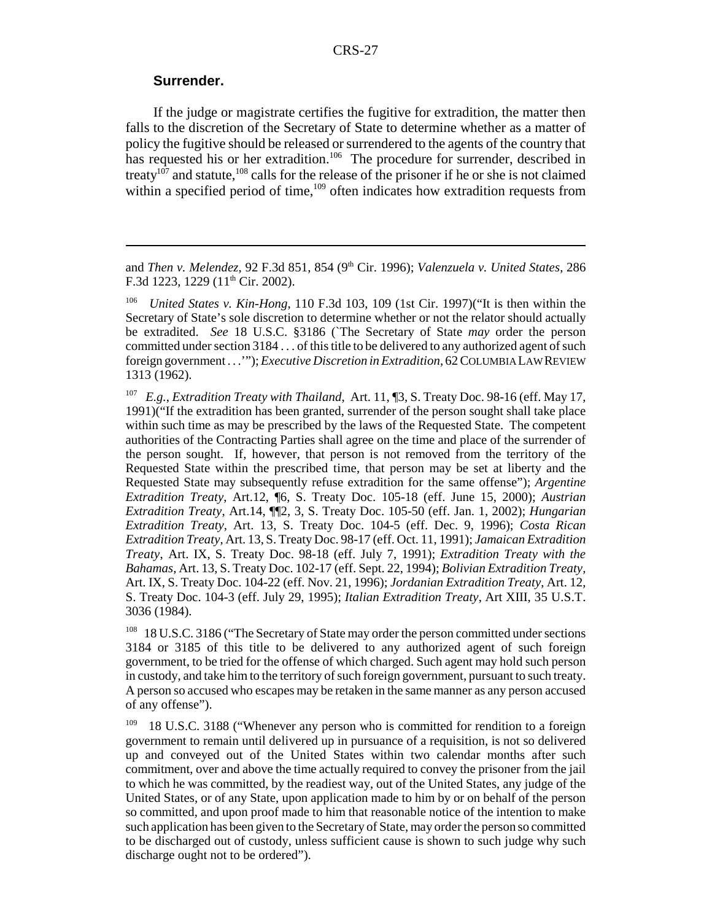#### **Surrender.**

If the judge or magistrate certifies the fugitive for extradition, the matter then falls to the discretion of the Secretary of State to determine whether as a matter of policy the fugitive should be released or surrendered to the agents of the country that has requested his or her extradition.<sup>106</sup> The procedure for surrender, described in treaty<sup>107</sup> and statute,<sup>108</sup> calls for the release of the prisoner if he or she is not claimed within a specified period of time,<sup>109</sup> often indicates how extradition requests from

and *Then v. Melendez*, 92 F.3d 851, 854 (9<sup>th</sup> Cir. 1996); *Valenzuela v. United States*, 286 F.3d 1223, 1229 ( $11<sup>th</sup>$  Cir. 2002).

106 *United States v. Kin-Hong*, 110 F.3d 103, 109 (1st Cir. 1997)("It is then within the Secretary of State's sole discretion to determine whether or not the relator should actually be extradited. *See* 18 U.S.C. §3186 (`The Secretary of State *may* order the person committed under section 3184 . . . of this title to be delivered to any authorized agent of such foreign government . . .'"); *Executive Discretion in Extradition*, 62 COLUMBIA LAW REVIEW 1313 (1962).

107 *E.g.*, *Extradition Treaty with Thailand*, Art. 11, ¶3, S. Treaty Doc. 98-16 (eff. May 17, 1991)("If the extradition has been granted, surrender of the person sought shall take place within such time as may be prescribed by the laws of the Requested State. The competent authorities of the Contracting Parties shall agree on the time and place of the surrender of the person sought. If, however, that person is not removed from the territory of the Requested State within the prescribed time, that person may be set at liberty and the Requested State may subsequently refuse extradition for the same offense"); *Argentine Extradition Treaty*, Art.12, ¶6, S. Treaty Doc. 105-18 (eff. June 15, 2000); *Austrian Extradition Treaty*, Art.14, ¶¶2, 3, S. Treaty Doc. 105-50 (eff. Jan. 1, 2002); *Hungarian Extradition Treaty*, Art. 13, S. Treaty Doc. 104-5 (eff. Dec. 9, 1996); *Costa Rican Extradition Treaty*, Art. 13, S. Treaty Doc. 98-17 (eff. Oct. 11, 1991); *Jamaican Extradition Treaty*, Art. IX, S. Treaty Doc. 98-18 (eff. July 7, 1991); *Extradition Treaty with the Bahamas*, Art. 13, S. Treaty Doc. 102-17 (eff. Sept. 22, 1994); *Bolivian Extradition Treaty*, Art. IX, S. Treaty Doc. 104-22 (eff. Nov. 21, 1996); *Jordanian Extradition Treaty*, Art. 12, S. Treaty Doc. 104-3 (eff. July 29, 1995); *Italian Extradition Treaty*, Art XIII, 35 U.S.T. 3036 (1984).

<sup>108</sup> 18 U.S.C. 3186 ("The Secretary of State may order the person committed under sections 3184 or 3185 of this title to be delivered to any authorized agent of such foreign government, to be tried for the offense of which charged. Such agent may hold such person in custody, and take him to the territory of such foreign government, pursuant to such treaty. A person so accused who escapes may be retaken in the same manner as any person accused of any offense").

<sup>109</sup> 18 U.S.C. 3188 ("Whenever any person who is committed for rendition to a foreign government to remain until delivered up in pursuance of a requisition, is not so delivered up and conveyed out of the United States within two calendar months after such commitment, over and above the time actually required to convey the prisoner from the jail to which he was committed, by the readiest way, out of the United States, any judge of the United States, or of any State, upon application made to him by or on behalf of the person so committed, and upon proof made to him that reasonable notice of the intention to make such application has been given to the Secretary of State, may order the person so committed to be discharged out of custody, unless sufficient cause is shown to such judge why such discharge ought not to be ordered").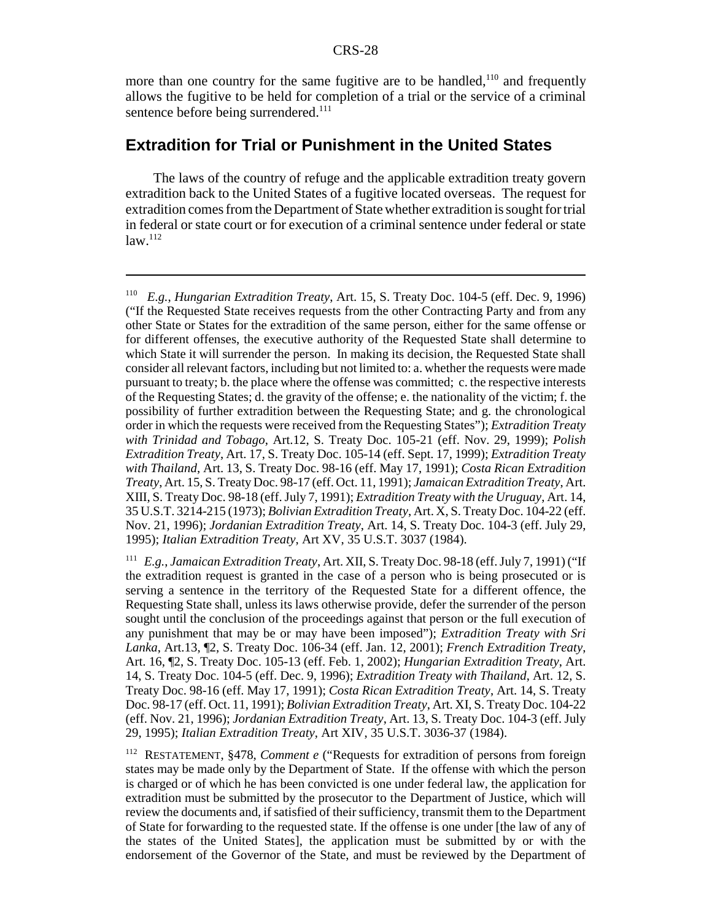more than one country for the same fugitive are to be handled,<sup>110</sup> and frequently allows the fugitive to be held for completion of a trial or the service of a criminal sentence before being surrendered.<sup>111</sup>

### **Extradition for Trial or Punishment in the United States**

The laws of the country of refuge and the applicable extradition treaty govern extradition back to the United States of a fugitive located overseas. The request for extradition comes from the Department of State whether extradition is sought for trial in federal or state court or for execution of a criminal sentence under federal or state  $law.<sup>112</sup>$ 

<sup>110</sup> *E.g.*, *Hungarian Extradition Treaty*, Art. 15, S. Treaty Doc. 104-5 (eff. Dec. 9, 1996) ("If the Requested State receives requests from the other Contracting Party and from any other State or States for the extradition of the same person, either for the same offense or for different offenses, the executive authority of the Requested State shall determine to which State it will surrender the person. In making its decision, the Requested State shall consider all relevant factors, including but not limited to: a. whether the requests were made pursuant to treaty; b. the place where the offense was committed; c. the respective interests of the Requesting States; d. the gravity of the offense; e. the nationality of the victim; f. the possibility of further extradition between the Requesting State; and g. the chronological order in which the requests were received from the Requesting States"); *Extradition Treaty with Trinidad and Tobago*, Art.12, S. Treaty Doc. 105-21 (eff. Nov. 29, 1999); *Polish Extradition Treaty*, Art. 17, S. Treaty Doc. 105-14 (eff. Sept. 17, 1999); *Extradition Treaty with Thailand*, Art. 13, S. Treaty Doc. 98-16 (eff. May 17, 1991); *Costa Rican Extradition Treaty*, Art. 15, S. Treaty Doc. 98-17 (eff. Oct. 11, 1991); *Jamaican Extradition Treaty*, Art. XIII, S. Treaty Doc. 98-18 (eff. July 7, 1991); *Extradition Treaty with the Uruguay*, Art. 14, 35 U.S.T. 3214-215 (1973); *Bolivian Extradition Treaty*, Art. X, S. Treaty Doc. 104-22 (eff. Nov. 21, 1996); *Jordanian Extradition Treaty*, Art. 14, S. Treaty Doc. 104-3 (eff. July 29, 1995); *Italian Extradition Treaty*, Art XV, 35 U.S.T. 3037 (1984).

<sup>111</sup> *E.g.*, *Jamaican Extradition Treaty*, Art. XII, S. Treaty Doc. 98-18 (eff. July 7, 1991) ("If the extradition request is granted in the case of a person who is being prosecuted or is serving a sentence in the territory of the Requested State for a different offence, the Requesting State shall, unless its laws otherwise provide, defer the surrender of the person sought until the conclusion of the proceedings against that person or the full execution of any punishment that may be or may have been imposed"); *Extradition Treaty with Sri Lanka*, Art.13, ¶2, S. Treaty Doc. 106-34 (eff. Jan. 12, 2001); *French Extradition Treaty*, Art. 16, ¶2, S. Treaty Doc. 105-13 (eff. Feb. 1, 2002); *Hungarian Extradition Treaty*, Art. 14, S. Treaty Doc. 104-5 (eff. Dec. 9, 1996); *Extradition Treaty with Thailand*, Art. 12, S. Treaty Doc. 98-16 (eff. May 17, 1991); *Costa Rican Extradition Treaty*, Art. 14, S. Treaty Doc. 98-17 (eff. Oct. 11, 1991); *Bolivian Extradition Treaty*, Art. XI, S. Treaty Doc. 104-22 (eff. Nov. 21, 1996); *Jordanian Extradition Treaty*, Art. 13, S. Treaty Doc. 104-3 (eff. July 29, 1995); *Italian Extradition Treaty*, Art XIV, 35 U.S.T. 3036-37 (1984).

<sup>112</sup> RESTATEMENT, §478, *Comment e* ("Requests for extradition of persons from foreign states may be made only by the Department of State. If the offense with which the person is charged or of which he has been convicted is one under federal law, the application for extradition must be submitted by the prosecutor to the Department of Justice, which will review the documents and, if satisfied of their sufficiency, transmit them to the Department of State for forwarding to the requested state. If the offense is one under [the law of any of the states of the United States], the application must be submitted by or with the endorsement of the Governor of the State, and must be reviewed by the Department of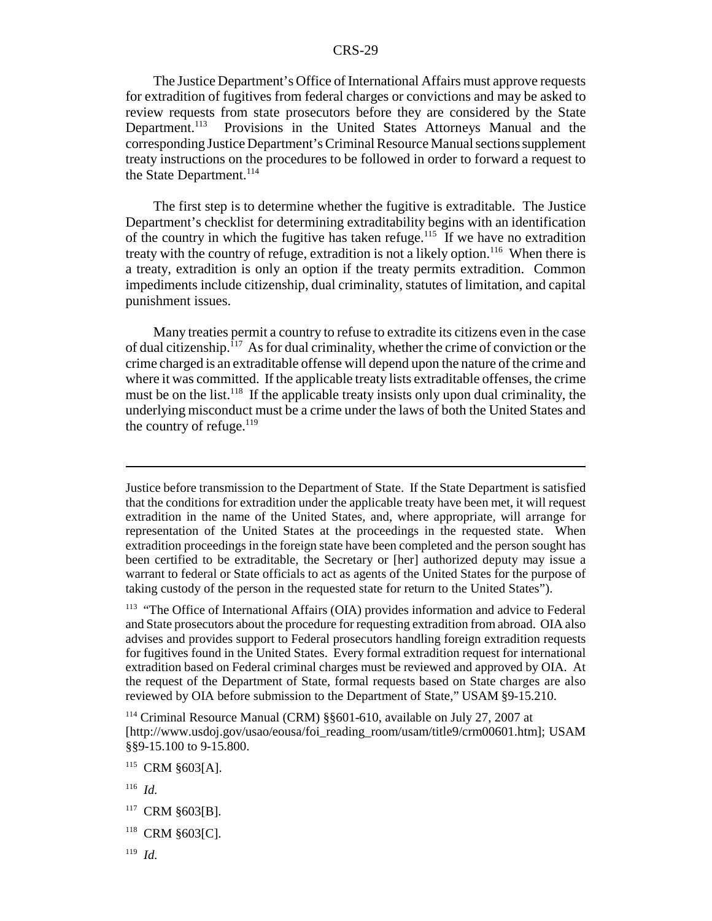The Justice Department's Office of International Affairs must approve requests for extradition of fugitives from federal charges or convictions and may be asked to review requests from state prosecutors before they are considered by the State Department.<sup>113</sup> Provisions in the United States Attorneys Manual and the corresponding Justice Department's Criminal Resource Manual sections supplement treaty instructions on the procedures to be followed in order to forward a request to the State Department.<sup>114</sup>

The first step is to determine whether the fugitive is extraditable. The Justice Department's checklist for determining extraditability begins with an identification of the country in which the fugitive has taken refuge.<sup>115</sup> If we have no extradition treaty with the country of refuge, extradition is not a likely option.<sup>116</sup> When there is a treaty, extradition is only an option if the treaty permits extradition. Common impediments include citizenship, dual criminality, statutes of limitation, and capital punishment issues.

Many treaties permit a country to refuse to extradite its citizens even in the case of dual citizenship.<sup> $117$ </sup> As for dual criminality, whether the crime of conviction or the crime charged is an extraditable offense will depend upon the nature of the crime and where it was committed. If the applicable treaty lists extraditable offenses, the crime must be on the list.<sup>118</sup> If the applicable treaty insists only upon dual criminality, the underlying misconduct must be a crime under the laws of both the United States and the country of refuge. $^{119}$ 

Justice before transmission to the Department of State. If the State Department is satisfied that the conditions for extradition under the applicable treaty have been met, it will request extradition in the name of the United States, and, where appropriate, will arrange for representation of the United States at the proceedings in the requested state. When extradition proceedings in the foreign state have been completed and the person sought has been certified to be extraditable, the Secretary or [her] authorized deputy may issue a warrant to federal or State officials to act as agents of the United States for the purpose of taking custody of the person in the requested state for return to the United States").

<sup>113</sup> "The Office of International Affairs (OIA) provides information and advice to Federal and State prosecutors about the procedure for requesting extradition from abroad. OIA also advises and provides support to Federal prosecutors handling foreign extradition requests for fugitives found in the United States. Every formal extradition request for international extradition based on Federal criminal charges must be reviewed and approved by OIA. At the request of the Department of State, formal requests based on State charges are also reviewed by OIA before submission to the Department of State," USAM §9-15.210.

114 Criminal Resource Manual (CRM) §§601-610, available on July 27, 2007 at [http://www.usdoj.gov/usao/eousa/foi\_reading\_room/usam/title9/crm00601.htm]; USAM §§9-15.100 to 9-15.800.

115 CRM §603[A].

116 *Id.*

<sup>&</sup>lt;sup>117</sup> CRM §603[B].

<sup>118</sup> CRM §603[C].

<sup>119</sup> *Id.*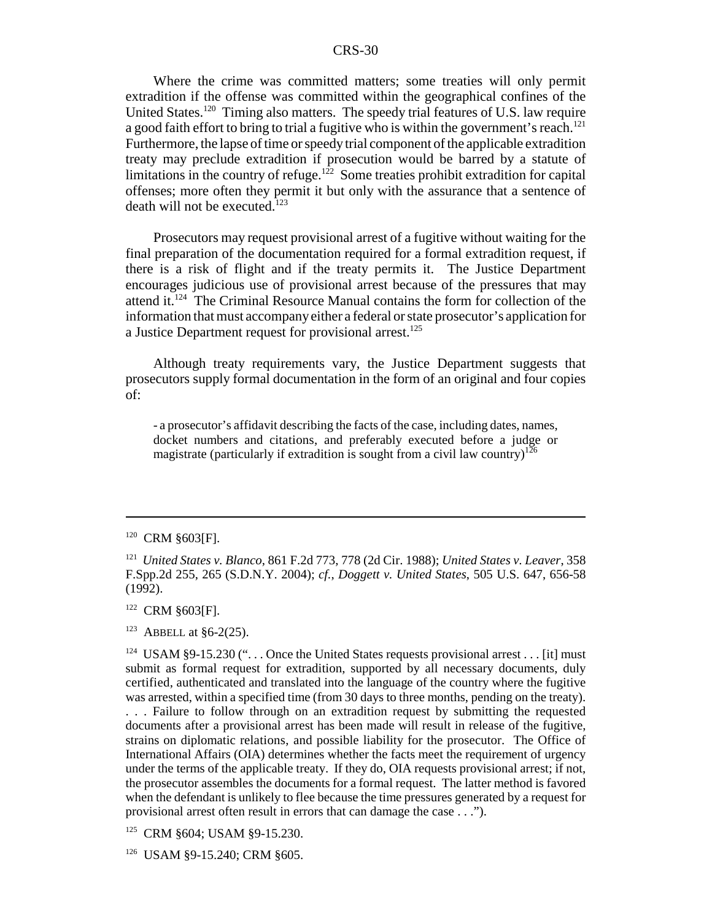Where the crime was committed matters; some treaties will only permit extradition if the offense was committed within the geographical confines of the United States.<sup>120</sup> Timing also matters. The speedy trial features of U.S. law require a good faith effort to bring to trial a fugitive who is within the government's reach.<sup>121</sup> Furthermore, the lapse of time or speedy trial component of the applicable extradition treaty may preclude extradition if prosecution would be barred by a statute of limitations in the country of refuge.<sup>122</sup> Some treaties prohibit extradition for capital offenses; more often they permit it but only with the assurance that a sentence of death will not be executed. $123$ 

Prosecutors may request provisional arrest of a fugitive without waiting for the final preparation of the documentation required for a formal extradition request, if there is a risk of flight and if the treaty permits it. The Justice Department encourages judicious use of provisional arrest because of the pressures that may attend it.124 The Criminal Resource Manual contains the form for collection of the information that must accompany either a federal or state prosecutor's application for a Justice Department request for provisional arrest.<sup>125</sup>

Although treaty requirements vary, the Justice Department suggests that prosecutors supply formal documentation in the form of an original and four copies of:

- a prosecutor's affidavit describing the facts of the case, including dates, names, docket numbers and citations, and preferably executed before a judge or magistrate (particularly if extradition is sought from a civil law country)<sup>126</sup>

- 122 CRM §603[F].
- <sup>123</sup> ABBELL at §6-2(25).

<sup>&</sup>lt;sup>120</sup> CRM §603[F].

<sup>121</sup> *United States v. Blanco*, 861 F.2d 773, 778 (2d Cir. 1988); *United States v. Leaver*, 358 F.Spp.2d 255, 265 (S.D.N.Y. 2004); *cf.*, *Doggett v. United States*, 505 U.S. 647, 656-58 (1992).

<sup>&</sup>lt;sup>124</sup> USAM §9-15.230 (" $\ldots$  Once the United States requests provisional arrest  $\ldots$  [it] must submit as formal request for extradition, supported by all necessary documents, duly certified, authenticated and translated into the language of the country where the fugitive was arrested, within a specified time (from 30 days to three months, pending on the treaty). . . . Failure to follow through on an extradition request by submitting the requested documents after a provisional arrest has been made will result in release of the fugitive, strains on diplomatic relations, and possible liability for the prosecutor. The Office of International Affairs (OIA) determines whether the facts meet the requirement of urgency under the terms of the applicable treaty. If they do, OIA requests provisional arrest; if not, the prosecutor assembles the documents for a formal request. The latter method is favored when the defendant is unlikely to flee because the time pressures generated by a request for provisional arrest often result in errors that can damage the case . . .").

<sup>125</sup> CRM §604; USAM §9-15.230.

<sup>126</sup> USAM §9-15.240; CRM §605.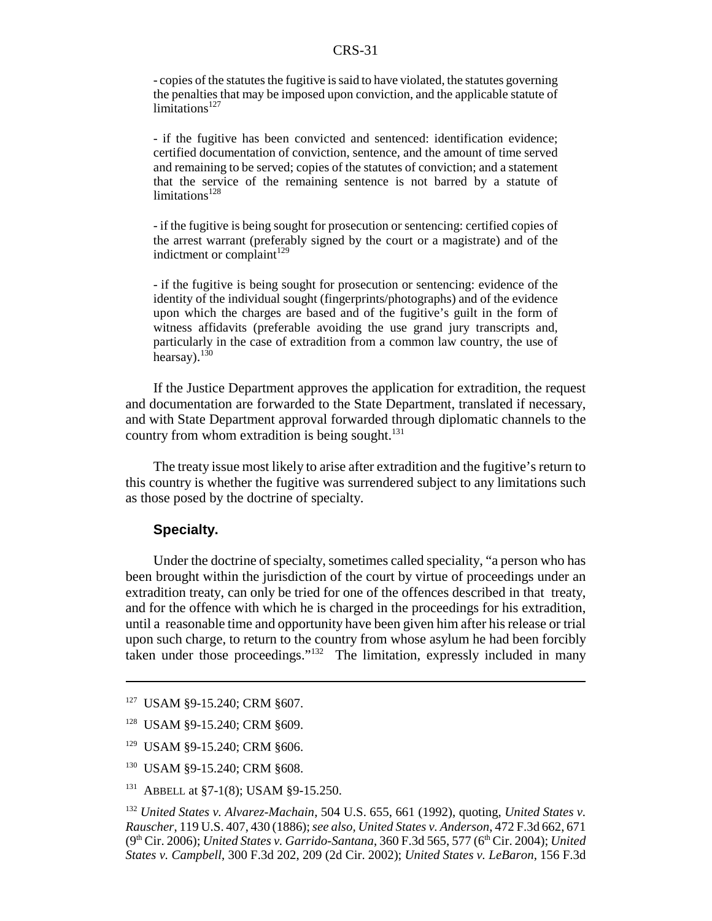- copies of the statutes the fugitive is said to have violated, the statutes governing the penalties that may be imposed upon conviction, and the applicable statute of  $limitations<sup>127</sup>$ 

- if the fugitive has been convicted and sentenced: identification evidence; certified documentation of conviction, sentence, and the amount of time served and remaining to be served; copies of the statutes of conviction; and a statement that the service of the remaining sentence is not barred by a statute of limitations<sup>128</sup>

- if the fugitive is being sought for prosecution or sentencing: certified copies of the arrest warrant (preferably signed by the court or a magistrate) and of the indictment or complaint $129$ 

- if the fugitive is being sought for prosecution or sentencing: evidence of the identity of the individual sought (fingerprints/photographs) and of the evidence upon which the charges are based and of the fugitive's guilt in the form of witness affidavits (preferable avoiding the use grand jury transcripts and, particularly in the case of extradition from a common law country, the use of hearsay).<sup>130</sup>

If the Justice Department approves the application for extradition, the request and documentation are forwarded to the State Department, translated if necessary, and with State Department approval forwarded through diplomatic channels to the country from whom extradition is being sought. $131$ 

The treaty issue most likely to arise after extradition and the fugitive's return to this country is whether the fugitive was surrendered subject to any limitations such as those posed by the doctrine of specialty.

#### **Specialty.**

Under the doctrine of specialty, sometimes called speciality, "a person who has been brought within the jurisdiction of the court by virtue of proceedings under an extradition treaty, can only be tried for one of the offences described in that treaty, and for the offence with which he is charged in the proceedings for his extradition, until a reasonable time and opportunity have been given him after his release or trial upon such charge, to return to the country from whose asylum he had been forcibly taken under those proceedings."132 The limitation, expressly included in many

- 129 USAM §9-15.240; CRM §606.
- 130 USAM §9-15.240; CRM §608.
- <sup>131</sup> ABBELL at §7-1(8); USAM §9-15.250.

<sup>127</sup> USAM §9-15.240; CRM §607.

<sup>128</sup> USAM §9-15.240; CRM §609.

<sup>132</sup> *United States v. Alvarez-Machain*, 504 U.S. 655, 661 (1992), quoting, *United States v. Rauscher*, 119 U.S. 407, 430 (1886); *see also, United States v. Anderson*, 472 F.3d 662, 671 (9<sup>th</sup> Cir. 2006); *United States v. Garrido-Santana*, 360 F.3d 565, 577 (6<sup>th</sup> Cir. 2004); *United States v. Campbell*, 300 F.3d 202, 209 (2d Cir. 2002); *United States v. LeBaron*, 156 F.3d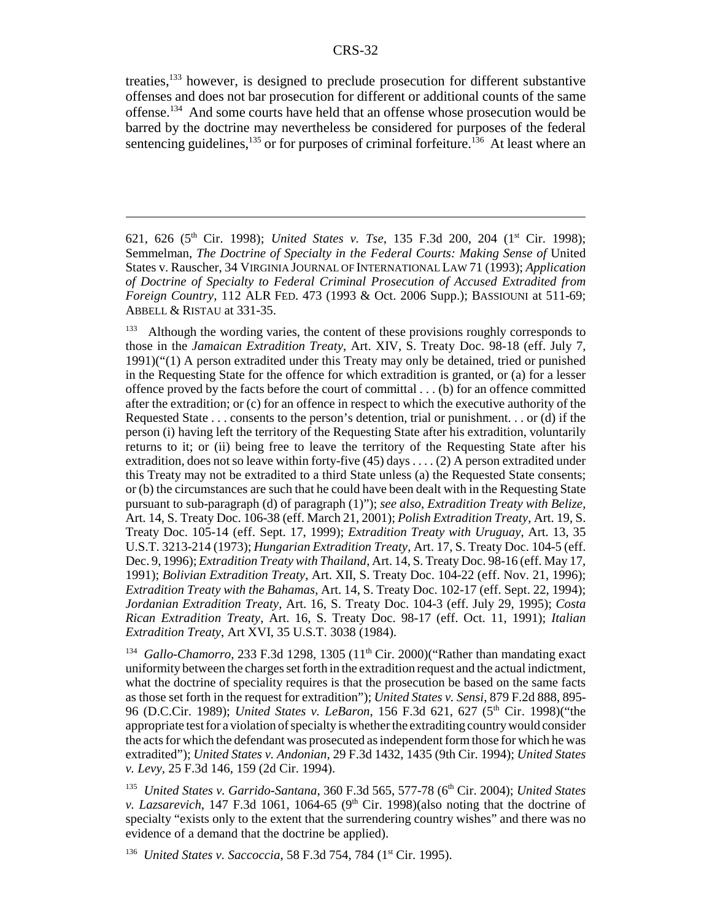treaties,133 however, is designed to preclude prosecution for different substantive offenses and does not bar prosecution for different or additional counts of the same offense.134 And some courts have held that an offense whose prosecution would be barred by the doctrine may nevertheless be considered for purposes of the federal sentencing guidelines,<sup>135</sup> or for purposes of criminal forfeiture.<sup>136</sup> At least where an

<sup>621, 626 (5</sup>th Cir. 1998); *United States v. Tse*, 135 F.3d 200, 204 (1st Cir. 1998); Semmelman, *The Doctrine of Specialty in the Federal Courts: Making Sense of* United States v. Rauscher, 34 VIRGINIA JOURNAL OF INTERNATIONAL LAW 71 (1993); *Application of Doctrine of Specialty to Federal Criminal Prosecution of Accused Extradited from Foreign Country*, 112 ALR FED. 473 (1993 & Oct. 2006 Supp.); BASSIOUNI at 511-69; ABBELL & RISTAU at 331-35.

<sup>&</sup>lt;sup>133</sup> Although the wording varies, the content of these provisions roughly corresponds to those in the *Jamaican Extradition Treaty*, Art. XIV, S. Treaty Doc. 98-18 (eff. July 7, 1991)("(1) A person extradited under this Treaty may only be detained, tried or punished in the Requesting State for the offence for which extradition is granted, or (a) for a lesser offence proved by the facts before the court of committal . . . (b) for an offence committed after the extradition; or (c) for an offence in respect to which the executive authority of the Requested State . . . consents to the person's detention, trial or punishment. . . or (d) if the person (i) having left the territory of the Requesting State after his extradition, voluntarily returns to it; or (ii) being free to leave the territory of the Requesting State after his extradition, does not so leave within forty-five (45) days . . . . (2) A person extradited under this Treaty may not be extradited to a third State unless (a) the Requested State consents; or (b) the circumstances are such that he could have been dealt with in the Requesting State pursuant to sub-paragraph (d) of paragraph (1)"); *see also*, *Extradition Treaty with Belize*, Art. 14, S. Treaty Doc. 106-38 (eff. March 21, 2001); *Polish Extradition Treaty*, Art. 19, S. Treaty Doc. 105-14 (eff. Sept. 17, 1999); *Extradition Treaty with Uruguay*, Art. 13, 35 U.S.T. 3213-214 (1973); *Hungarian Extradition Treaty*, Art. 17, S. Treaty Doc. 104-5 (eff. Dec. 9, 1996); *Extradition Treaty with Thailand*, Art. 14, S. Treaty Doc. 98-16 (eff. May 17, 1991); *Bolivian Extradition Treaty*, Art. XII, S. Treaty Doc. 104-22 (eff. Nov. 21, 1996); *Extradition Treaty with the Bahamas*, Art. 14, S. Treaty Doc. 102-17 (eff. Sept. 22, 1994); *Jordanian Extradition Treaty*, Art. 16, S. Treaty Doc. 104-3 (eff. July 29, 1995); *Costa Rican Extradition Treaty*, Art. 16, S. Treaty Doc. 98-17 (eff. Oct. 11, 1991); *Italian Extradition Treaty*, Art XVI, 35 U.S.T. 3038 (1984).

<sup>&</sup>lt;sup>134</sup> *Gallo-Chamorro*, 233 F.3d 1298, 1305  $(11<sup>th</sup> Cir. 2000)$  ("Rather than mandating exact uniformity between the charges set forth in the extradition request and the actual indictment, what the doctrine of speciality requires is that the prosecution be based on the same facts as those set forth in the request for extradition"); *United States v. Sensi*, 879 F.2d 888, 895- 96 (D.C.Cir. 1989); *United States v. LeBaron*, 156 F.3d 621, 627 (5th Cir. 1998)("the appropriate test for a violation of specialty is whether the extraditing country would consider the acts for which the defendant was prosecuted as independent form those for which he was extradited"); *United States v. Andonian*, 29 F.3d 1432, 1435 (9th Cir. 1994); *United States v. Levy*, 25 F.3d 146, 159 (2d Cir. 1994).

<sup>135</sup> *United States v. Garrido-Santana*, 360 F.3d 565, 577-78 (6th Cir. 2004); *United States v. Lazsarevich*, 147 F.3d 1061, 1064-65 (9<sup>th</sup> Cir. 1998)(also noting that the doctrine of specialty "exists only to the extent that the surrendering country wishes" and there was no evidence of a demand that the doctrine be applied).

<sup>&</sup>lt;sup>136</sup> *United States v. Saccoccia,* 58 F.3d 754, 784 (1<sup>st</sup> Cir. 1995).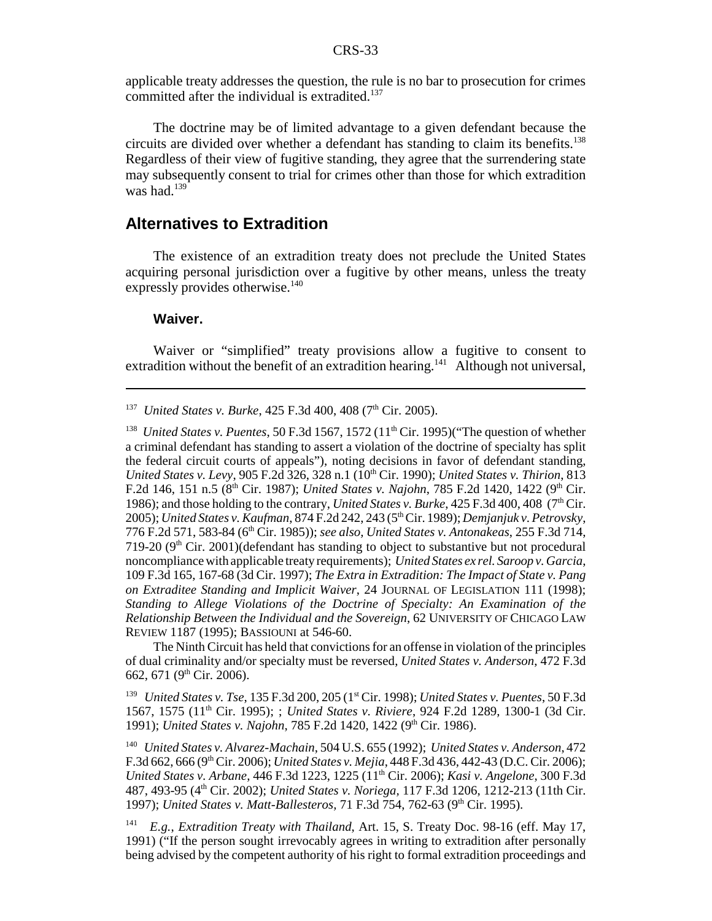applicable treaty addresses the question, the rule is no bar to prosecution for crimes committed after the individual is extradited.<sup>137</sup>

The doctrine may be of limited advantage to a given defendant because the circuits are divided over whether a defendant has standing to claim its benefits.<sup>138</sup> Regardless of their view of fugitive standing, they agree that the surrendering state may subsequently consent to trial for crimes other than those for which extradition was had. $139$ 

#### **Alternatives to Extradition**

The existence of an extradition treaty does not preclude the United States acquiring personal jurisdiction over a fugitive by other means, unless the treaty expressly provides otherwise.<sup>140</sup>

#### **Waiver.**

Waiver or "simplified" treaty provisions allow a fugitive to consent to extradition without the benefit of an extradition hearing.<sup>141</sup> Although not universal,

<sup>137</sup> *United States v. Burke*, 425 F.3d 400, 408 (7<sup>th</sup> Cir. 2005).

<sup>138</sup> *United States v. Puentes*, 50 F.3d 1567, 1572 (11<sup>th</sup> Cir. 1995)("The question of whether a criminal defendant has standing to assert a violation of the doctrine of specialty has split the federal circuit courts of appeals"), noting decisions in favor of defendant standing, *United States v. Levy*, 905 F.2d 326, 328 n.1 (10<sup>th</sup> Cir. 1990); *United States v. Thirion*, 813 F.2d 146, 151 n.5 (8<sup>th</sup> Cir. 1987); *United States v. Najohn*, 785 F.2d 1420, 1422 (9<sup>th</sup> Cir. 1986); and those holding to the contrary, *United States v. Burke*,  $425$  F.3d  $400$ ,  $408$  ( $7<sup>th</sup>$  Cir. 2005); *United States v. Kaufman*, 874 F.2d 242, 243 (5th Cir. 1989); *Demjanjuk v. Petrovsky*, 776 F.2d 571, 583-84 (6th Cir. 1985)); *see also, United States v. Antonakeas*, 255 F.3d 714, 719-20 ( $9<sup>th</sup>$  Cir. 2001)(defendant has standing to object to substantive but not procedural noncompliance with applicable treaty requirements); *United States ex rel. Saroop v. Garcia*, 109 F.3d 165, 167-68 (3d Cir. 1997); *The Extra in Extradition: The Impact of State v. Pang on Extraditee Standing and Implicit Waiver*, 24 JOURNAL OF LEGISLATION 111 (1998); *Standing to Allege Violations of the Doctrine of Specialty: An Examination of the Relationship Between the Individual and the Sovereign*, 62 UNIVERSITY OF CHICAGO LAW REVIEW 1187 (1995); BASSIOUNI at 546-60.

The Ninth Circuit has held that convictions for an offense in violation of the principles of dual criminality and/or specialty must be reversed, *United States v. Anderson*, 472 F.3d 662, 671 (9<sup>th</sup> Cir. 2006).

139 *United States v. Tse*, 135 F.3d 200, 205 (1st Cir. 1998); *United States v. Puentes*, 50 F.3d 1567, 1575 (11th Cir. 1995); ; *United States v. Riviere*, 924 F.2d 1289, 1300-1 (3d Cir. 1991); *United States v. Najohn*, 785 F.2d 1420, 1422 (9th Cir. 1986).

140 *United States v. Alvarez-Machain*, 504 U.S. 655 (1992); *United States v. Anderson*, 472 F.3d 662, 666 (9th Cir. 2006); *United States v. Mejia*, 448 F.3d 436, 442-43 (D.C. Cir. 2006); *United States v. Arbane*, 446 F.3d 1223, 1225 (11th Cir. 2006); *Kasi v. Angelone*, 300 F.3d 487, 493-95 (4th Cir. 2002); *United States v. Noriega,* 117 F.3d 1206, 1212-213 (11th Cir. 1997); *United States v. Matt-Ballesteros*, 71 F.3d 754, 762-63 (9<sup>th</sup> Cir. 1995).

141 *E.g.*, *Extradition Treaty with Thailand*, Art. 15, S. Treaty Doc. 98-16 (eff. May 17, 1991) ("If the person sought irrevocably agrees in writing to extradition after personally being advised by the competent authority of his right to formal extradition proceedings and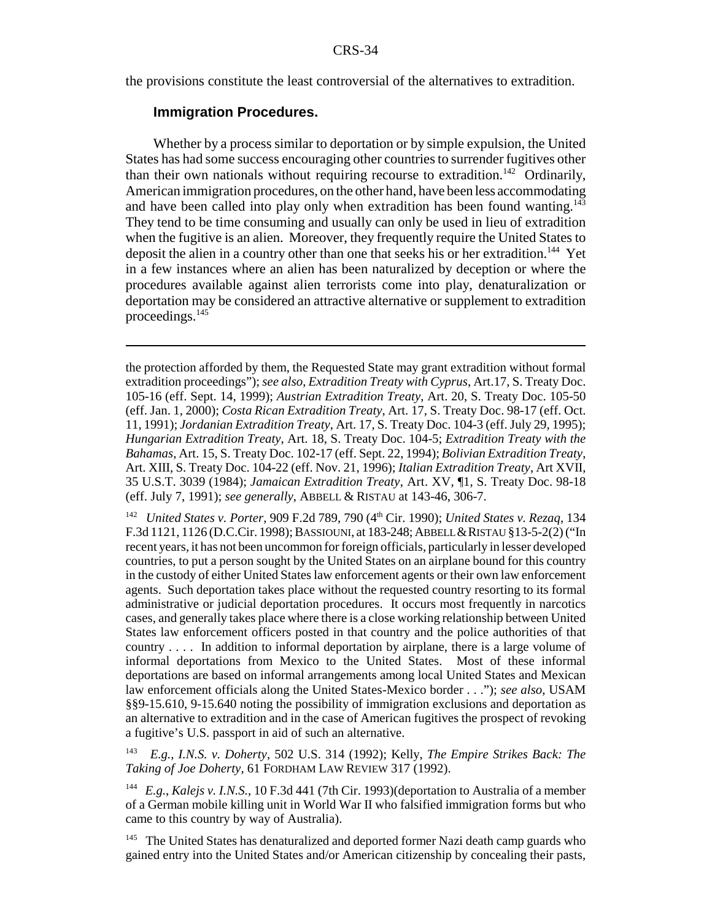the provisions constitute the least controversial of the alternatives to extradition.

#### **Immigration Procedures.**

Whether by a process similar to deportation or by simple expulsion, the United States has had some success encouraging other countries to surrender fugitives other than their own nationals without requiring recourse to extradition.<sup>142</sup> Ordinarily, American immigration procedures, on the other hand, have been less accommodating and have been called into play only when extradition has been found wanting.<sup>143</sup> They tend to be time consuming and usually can only be used in lieu of extradition when the fugitive is an alien. Moreover, they frequently require the United States to deposit the alien in a country other than one that seeks his or her extradition.<sup>144</sup> Yet in a few instances where an alien has been naturalized by deception or where the procedures available against alien terrorists come into play, denaturalization or deportation may be considered an attractive alternative or supplement to extradition proceedings.<sup>145</sup>

142 *United States v. Porter*, 909 F.2d 789, 790 (4th Cir. 1990); *United States v. Rezaq*, 134 F.3d 1121, 1126 (D.C.Cir. 1998); BASSIOUNI, at 183-248; ABBELL &RISTAU §13-5-2(2) ("In recent years, it has not been uncommon for foreign officials, particularly in lesser developed countries, to put a person sought by the United States on an airplane bound for this country in the custody of either United States law enforcement agents or their own law enforcement agents. Such deportation takes place without the requested country resorting to its formal administrative or judicial deportation procedures. It occurs most frequently in narcotics cases, and generally takes place where there is a close working relationship between United States law enforcement officers posted in that country and the police authorities of that country . . . . In addition to informal deportation by airplane, there is a large volume of informal deportations from Mexico to the United States. Most of these informal deportations are based on informal arrangements among local United States and Mexican law enforcement officials along the United States-Mexico border . . ."); *see also*, USAM §§9-15.610, 9-15.640 noting the possibility of immigration exclusions and deportation as an alternative to extradition and in the case of American fugitives the prospect of revoking a fugitive's U.S. passport in aid of such an alternative.

143 *E.g.*, *I.N.S. v. Doherty*, 502 U.S. 314 (1992); Kelly, *The Empire Strikes Back: The Taking of Joe Doherty*, 61 FORDHAM LAW REVIEW 317 (1992).

144 *E.g.*, *Kalejs v. I.N.S.*, 10 F.3d 441 (7th Cir. 1993)(deportation to Australia of a member of a German mobile killing unit in World War II who falsified immigration forms but who came to this country by way of Australia).

<sup>145</sup> The United States has denaturalized and deported former Nazi death camp guards who gained entry into the United States and/or American citizenship by concealing their pasts,

the protection afforded by them, the Requested State may grant extradition without formal extradition proceedings"); *see also*, *Extradition Treaty with Cyprus*, Art.17, S. Treaty Doc. 105-16 (eff. Sept. 14, 1999); *Austrian Extradition Treaty*, Art. 20, S. Treaty Doc. 105-50 (eff. Jan. 1, 2000); *Costa Rican Extradition Treaty*, Art. 17, S. Treaty Doc. 98-17 (eff. Oct. 11, 1991); *Jordanian Extradition Treaty*, Art. 17, S. Treaty Doc. 104-3 (eff. July 29, 1995); *Hungarian Extradition Treaty*, Art. 18, S. Treaty Doc. 104-5; *Extradition Treaty with the Bahamas*, Art. 15, S. Treaty Doc. 102-17 (eff. Sept. 22, 1994); *Bolivian Extradition Treaty*, Art. XIII, S. Treaty Doc. 104-22 (eff. Nov. 21, 1996); *Italian Extradition Treaty*, Art XVII, 35 U.S.T. 3039 (1984); *Jamaican Extradition Treaty*, Art. XV, ¶1, S. Treaty Doc. 98-18 (eff. July 7, 1991); *see generally*, ABBELL & RISTAU at 143-46, 306-7.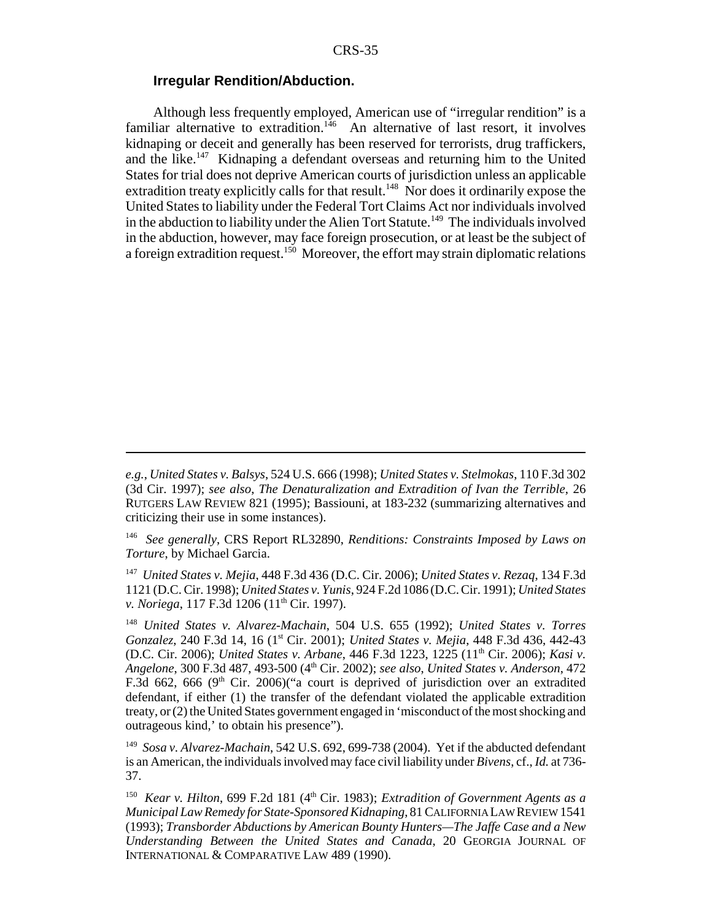#### **Irregular Rendition/Abduction.**

Although less frequently employed, American use of "irregular rendition" is a familiar alternative to extradition.<sup>146</sup> An alternative of last resort, it involves kidnaping or deceit and generally has been reserved for terrorists, drug traffickers, and the like.<sup>147</sup> Kidnaping a defendant overseas and returning him to the United States for trial does not deprive American courts of jurisdiction unless an applicable extradition treaty explicitly calls for that result.<sup>148</sup> Nor does it ordinarily expose the United States to liability under the Federal Tort Claims Act nor individuals involved in the abduction to liability under the Alien Tort Statute.<sup>149</sup> The individuals involved in the abduction, however, may face foreign prosecution, or at least be the subject of a foreign extradition request.<sup>150</sup> Moreover, the effort may strain diplomatic relations

147 *United States v. Mejia*, 448 F.3d 436 (D.C. Cir. 2006); *United States v. Rezaq*, 134 F.3d 1121 (D.C. Cir. 1998); *United States v. Yunis*, 924 F.2d 1086 (D.C. Cir. 1991); *United States v. Noriega*, 117 F.3d 1206 (11<sup>th</sup> Cir. 1997).

<sup>148</sup> *United States v. Alvarez-Machain*, 504 U.S. 655 (1992); *United States v. Torres Gonzalez*, 240 F.3d 14, 16 (1st Cir. 2001); *United States v. Mejia*, 448 F.3d 436, 442-43 (D.C. Cir. 2006); *United States v. Arbane*, 446 F.3d 1223, 1225 (11th Cir. 2006); *Kasi v. Angelone*, 300 F.3d 487, 493-500 (4th Cir. 2002); *see also*, *United States v. Anderson*, 472 F.3d 662, 666 ( $9<sup>th</sup>$  Cir. 2006)("a court is deprived of jurisdiction over an extradited defendant, if either (1) the transfer of the defendant violated the applicable extradition treaty, or (2) the United States government engaged in 'misconduct of the most shocking and outrageous kind,' to obtain his presence").

149 *Sosa v. Alvarez-Machain*, 542 U.S. 692, 699-738 (2004). Yet if the abducted defendant is an American, the individuals involved may face civil liability under *Bivens*, cf., *Id.* at 736- 37.

<sup>150</sup> *Kear v. Hilton,* 699 F.2d 181 ( $4<sup>th</sup> Cir.$  1983); *Extradition of Government Agents as a Municipal Law Remedy for State-Sponsored Kidnaping*, 81 CALIFORNIA LAW REVIEW 1541 (1993); *Transborder Abductions by American Bounty Hunters—The Jaffe Case and a New Understanding Between the United States and Canada*, 20 GEORGIA JOURNAL OF INTERNATIONAL & COMPARATIVE LAW 489 (1990).

*e.g.*, *United States v. Balsys*, 524 U.S. 666 (1998); *United States v. Stelmokas*, 110 F.3d 302 (3d Cir. 1997); *see also*, *The Denaturalization and Extradition of Ivan the Terrible*, 26 RUTGERS LAW REVIEW 821 (1995); Bassiouni, at 183-232 (summarizing alternatives and criticizing their use in some instances).

<sup>146</sup> *See generally*, CRS Report RL32890, *Renditions: Constraints Imposed by Laws on Torture*, by Michael Garcia.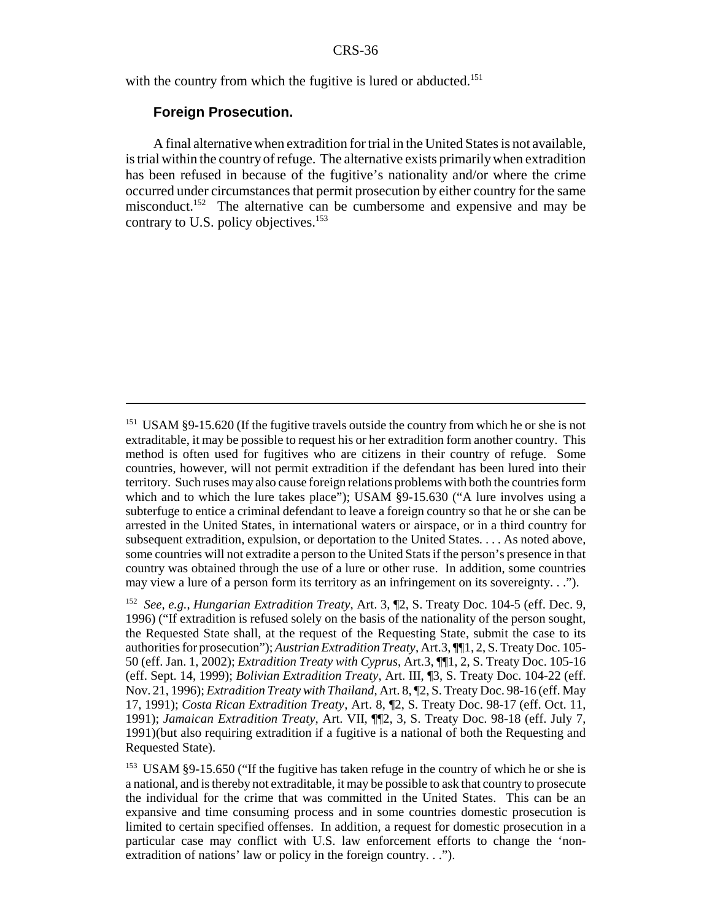with the country from which the fugitive is lured or abducted.<sup>151</sup>

#### **Foreign Prosecution.**

A final alternative when extradition for trial in the United States is not available, is trial within the country of refuge. The alternative exists primarily when extradition has been refused in because of the fugitive's nationality and/or where the crime occurred under circumstances that permit prosecution by either country for the same misconduct.<sup>152</sup> The alternative can be cumbersome and expensive and may be contrary to U.S. policy objectives.<sup>153</sup>

<sup>&</sup>lt;sup>151</sup> USAM §9-15.620 (If the fugitive travels outside the country from which he or she is not extraditable, it may be possible to request his or her extradition form another country. This method is often used for fugitives who are citizens in their country of refuge. Some countries, however, will not permit extradition if the defendant has been lured into their territory. Such ruses may also cause foreign relations problems with both the countries form which and to which the lure takes place"); USAM §9-15.630 ("A lure involves using a subterfuge to entice a criminal defendant to leave a foreign country so that he or she can be arrested in the United States, in international waters or airspace, or in a third country for subsequent extradition, expulsion, or deportation to the United States. . . . As noted above, some countries will not extradite a person to the United Stats if the person's presence in that country was obtained through the use of a lure or other ruse. In addition, some countries may view a lure of a person form its territory as an infringement on its sovereignty. . .").

<sup>152</sup> *See, e.g.*, *Hungarian Extradition Treaty*, Art. 3, ¶2, S. Treaty Doc. 104-5 (eff. Dec. 9, 1996) ("If extradition is refused solely on the basis of the nationality of the person sought, the Requested State shall, at the request of the Requesting State, submit the case to its authorities for prosecution"); *Austrian Extradition Treaty*, Art.3, ¶¶1, 2, S. Treaty Doc. 105- 50 (eff. Jan. 1, 2002); *Extradition Treaty with Cyprus*, Art.3, ¶¶1, 2, S. Treaty Doc. 105-16 (eff. Sept. 14, 1999); *Bolivian Extradition Treaty*, Art. III, ¶3, S. Treaty Doc. 104-22 (eff. Nov. 21, 1996); *Extradition Treaty with Thailand*, Art. 8, ¶2, S. Treaty Doc. 98-16 (eff. May 17, 1991); *Costa Rican Extradition Treaty*, Art. 8, ¶2, S. Treaty Doc. 98-17 (eff. Oct. 11, 1991); *Jamaican Extradition Treaty*, Art. VII, ¶¶2, 3, S. Treaty Doc. 98-18 (eff. July 7, 1991)(but also requiring extradition if a fugitive is a national of both the Requesting and Requested State).

<sup>&</sup>lt;sup>153</sup> USAM §9-15.650 ("If the fugitive has taken refuge in the country of which he or she is a national, and is thereby not extraditable, it may be possible to ask that country to prosecute the individual for the crime that was committed in the United States. This can be an expansive and time consuming process and in some countries domestic prosecution is limited to certain specified offenses. In addition, a request for domestic prosecution in a particular case may conflict with U.S. law enforcement efforts to change the 'nonextradition of nations' law or policy in the foreign country. . .").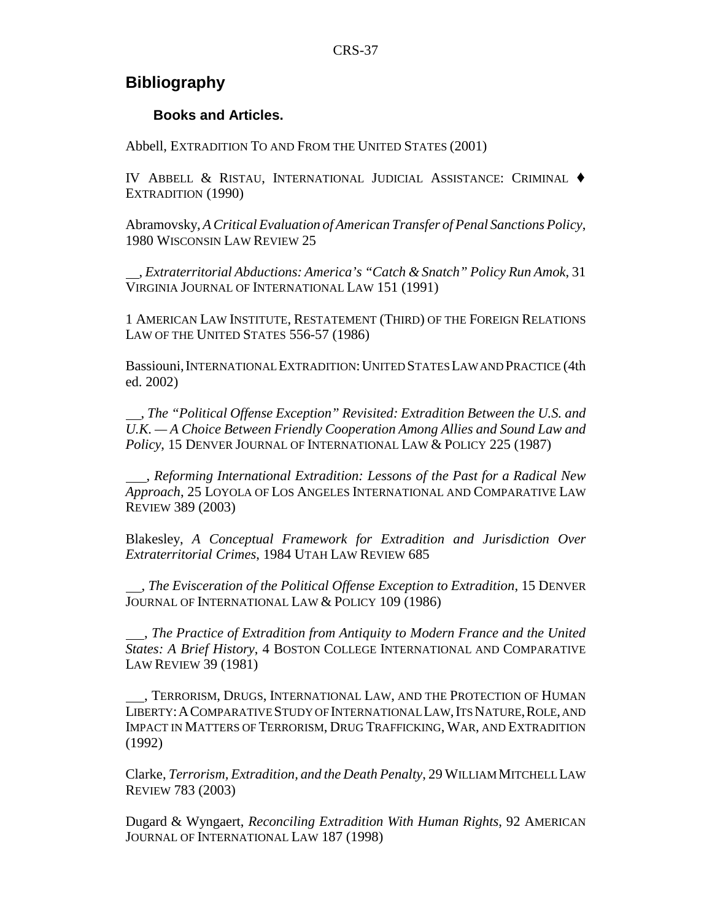### **Bibliography**

#### **Books and Articles.**

Abbell, EXTRADITION TO AND FROM THE UNITED STATES (2001)

IV ABBELL & RISTAU, INTERNATIONAL JUDICIAL ASSISTANCE: CRIMINAL ' EXTRADITION (1990)

Abramovsky, *A Critical Evaluation of American Transfer of Penal Sanctions Policy*, 1980 WISCONSIN LAW REVIEW 25

 , *Extraterritorial Abductions: America's "Catch & Snatch" Policy Run Amok*, 31 VIRGINIA JOURNAL OF INTERNATIONAL LAW 151 (1991)

1 AMERICAN LAW INSTITUTE, RESTATEMENT (THIRD) OF THE FOREIGN RELATIONS LAW OF THE UNITED STATES 556-57 (1986)

Bassiouni, INTERNATIONAL EXTRADITION: UNITED STATES LAW AND PRACTICE (4th ed. 2002)

 , *The "Political Offense Exception" Revisited: Extradition Between the U.S. and U.K. — A Choice Between Friendly Cooperation Among Allies and Sound Law and Policy*, 15 DENVER JOURNAL OF INTERNATIONAL LAW & POLICY 225 (1987)

 , *Reforming International Extradition: Lessons of the Past for a Radical New Approach*, 25 LOYOLA OF LOS ANGELES INTERNATIONAL AND COMPARATIVE LAW REVIEW 389 (2003)

Blakesley, *A Conceptual Framework for Extradition and Jurisdiction Over Extraterritorial Crimes*, 1984 UTAH LAW REVIEW 685

 , *The Evisceration of the Political Offense Exception to Extradition*, 15 DENVER JOURNAL OF INTERNATIONAL LAW & POLICY 109 (1986)

 , *The Practice of Extradition from Antiquity to Modern France and the United States: A Brief History*, 4 BOSTON COLLEGE INTERNATIONAL AND COMPARATIVE LAW REVIEW 39 (1981)

 , TERRORISM, DRUGS, INTERNATIONAL LAW, AND THE PROTECTION OF HUMAN LIBERTY: A COMPARATIVE STUDY OF INTERNATIONAL LAW, ITS NATURE, ROLE, AND IMPACT IN MATTERS OF TERRORISM, DRUG TRAFFICKING, WAR, AND EXTRADITION (1992)

Clarke, *Terrorism, Extradition, and the Death Penalty*, 29 WILLIAM MITCHELL LAW REVIEW 783 (2003)

Dugard & Wyngaert, *Reconciling Extradition With Human Rights*, 92 AMERICAN JOURNAL OF INTERNATIONAL LAW 187 (1998)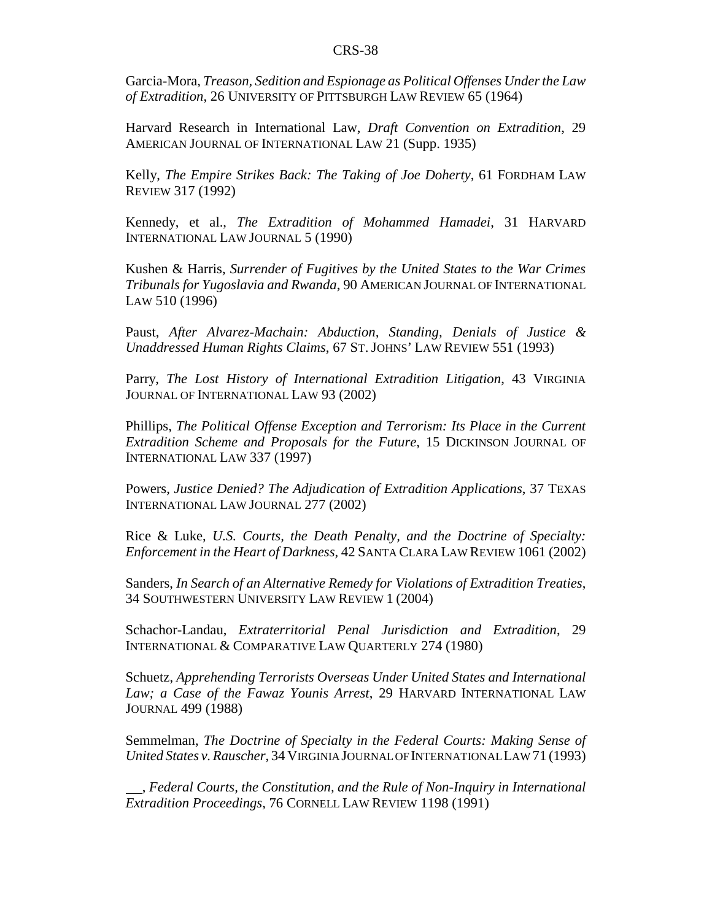Garcia-Mora, *Treason, Sedition and Espionage as Political Offenses Under the Law of Extradition*, 26 UNIVERSITY OF PITTSBURGH LAW REVIEW 65 (1964)

Harvard Research in International Law, *Draft Convention on Extradition*, 29 AMERICAN JOURNAL OF INTERNATIONAL LAW 21 (Supp. 1935)

Kelly, *The Empire Strikes Back: The Taking of Joe Doherty*, 61 FORDHAM LAW REVIEW 317 (1992)

Kennedy, et al., *The Extradition of Mohammed Hamadei*, 31 HARVARD INTERNATIONAL LAW JOURNAL 5 (1990)

Kushen & Harris, *Surrender of Fugitives by the United States to the War Crimes Tribunals for Yugoslavia and Rwanda*, 90 AMERICAN JOURNAL OF INTERNATIONAL LAW 510 (1996)

Paust, *After Alvarez-Machain: Abduction, Standing, Denials of Justice & Unaddressed Human Rights Claims*, 67 ST. JOHNS' LAW REVIEW 551 (1993)

Parry, *The Lost History of International Extradition Litigation*, 43 VIRGINIA JOURNAL OF INTERNATIONAL LAW 93 (2002)

Phillips, *The Political Offense Exception and Terrorism: Its Place in the Current Extradition Scheme and Proposals for the Future*, 15 DICKINSON JOURNAL OF INTERNATIONAL LAW 337 (1997)

Powers, *Justice Denied? The Adjudication of Extradition Applications*, 37 TEXAS INTERNATIONAL LAW JOURNAL 277 (2002)

Rice & Luke, *U.S. Courts, the Death Penalty, and the Doctrine of Specialty: Enforcement in the Heart of Darkness*, 42 SANTA CLARA LAW REVIEW 1061 (2002)

Sanders, *In Search of an Alternative Remedy for Violations of Extradition Treaties*, 34 SOUTHWESTERN UNIVERSITY LAW REVIEW 1 (2004)

Schachor-Landau, *Extraterritorial Penal Jurisdiction and Extradition*, 29 INTERNATIONAL & COMPARATIVE LAW QUARTERLY 274 (1980)

Schuetz, *Apprehending Terrorists Overseas Under United States and International Law; a Case of the Fawaz Younis Arrest*, 29 HARVARD INTERNATIONAL LAW JOURNAL 499 (1988)

Semmelman, *The Doctrine of Specialty in the Federal Courts: Making Sense of United States v. Rauscher*, 34 VIRGINIA JOURNAL OF INTERNATIONAL LAW 71 (1993)

 , *Federal Courts, the Constitution, and the Rule of Non-Inquiry in International Extradition Proceedings*, 76 CORNELL LAW REVIEW 1198 (1991)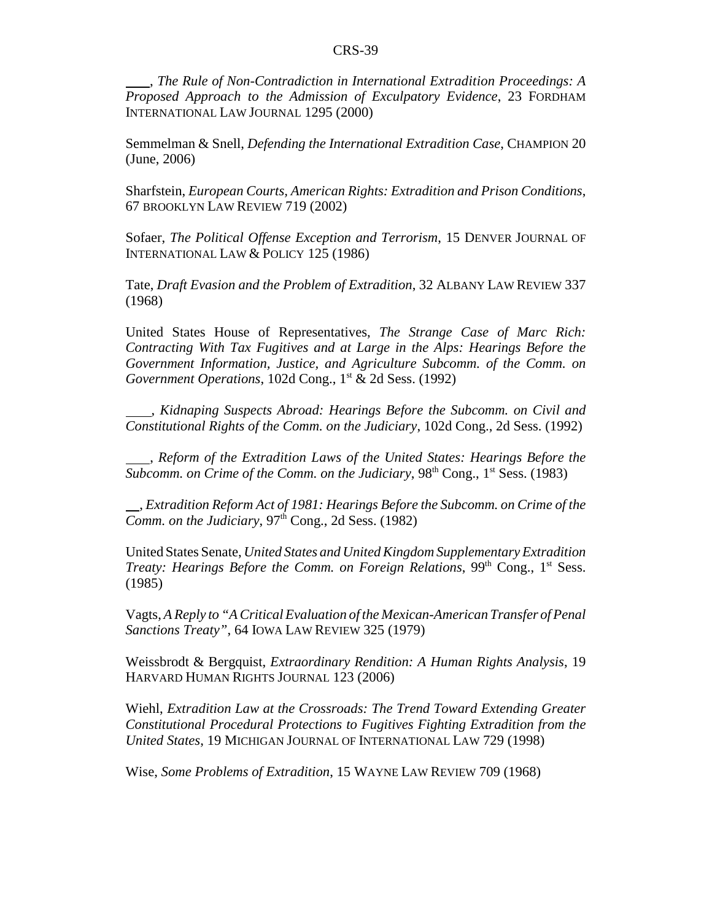, *The Rule of Non-Contradiction in International Extradition Proceedings: A Proposed Approach to the Admission of Exculpatory Evidence*, 23 FORDHAM INTERNATIONAL LAW JOURNAL 1295 (2000)

Semmelman & Snell, *Defending the International Extradition Case*, CHAMPION 20 (June, 2006)

Sharfstein, *European Courts, American Rights: Extradition and Prison Conditions*, 67 BROOKLYN LAW REVIEW 719 (2002)

Sofaer, *The Political Offense Exception and Terrorism*, 15 DENVER JOURNAL OF INTERNATIONAL LAW & POLICY 125 (1986)

Tate, *Draft Evasion and the Problem of Extradition*, 32 ALBANY LAW REVIEW 337 (1968)

United States House of Representatives, *The Strange Case of Marc Rich: Contracting With Tax Fugitives and at Large in the Alps: Hearings Before the Government Information, Justice, and Agriculture Subcomm. of the Comm. on Government Operations*, 102d Cong., 1<sup>st</sup> & 2d Sess. (1992)

 , *Kidnaping Suspects Abroad: Hearings Before the Subcomm. on Civil and Constitutional Rights of the Comm. on the Judiciary*, 102d Cong., 2d Sess. (1992)

 , *Reform of the Extradition Laws of the United States: Hearings Before the Subcomm. on Crime of the Comm. on the Judiciary*,  $98<sup>th</sup> Cong., 1<sup>st</sup> Sess.$  (1983)

 , *Extradition Reform Act of 1981: Hearings Before the Subcomm. on Crime of the Comm. on the Judiciary*,  $97<sup>th</sup>$  Cong., 2d Sess. (1982)

United States Senate, *United States and United Kingdom Supplementary Extradition Treaty: Hearings Before the Comm. on Foreign Relations*, 99<sup>th</sup> Cong., 1<sup>st</sup> Sess. (1985)

Vagts, *A Reply to "A Critical Evaluation of the Mexican-American Transfer of Penal Sanctions Treaty"*, 64 IOWA LAW REVIEW 325 (1979)

Weissbrodt & Bergquist, *Extraordinary Rendition: A Human Rights Analysis*, 19 HARVARD HUMAN RIGHTS JOURNAL 123 (2006)

Wiehl, *Extradition Law at the Crossroads: The Trend Toward Extending Greater Constitutional Procedural Protections to Fugitives Fighting Extradition from the United States*, 19 MICHIGAN JOURNAL OF INTERNATIONAL LAW 729 (1998)

Wise, *Some Problems of Extradition*, 15 WAYNE LAW REVIEW 709 (1968)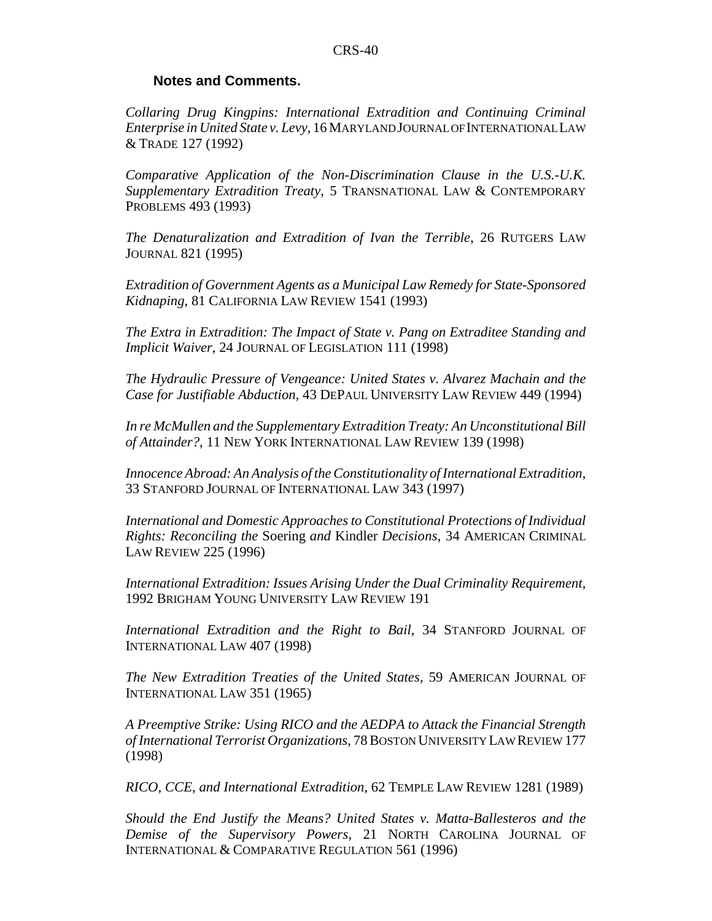#### **Notes and Comments.**

*Collaring Drug Kingpins: International Extradition and Continuing Criminal Enterprise in United State v. Levy*, 16 MARYLAND JOURNAL OF INTERNATIONAL LAW & TRADE 127 (1992)

*Comparative Application of the Non-Discrimination Clause in the U.S.-U.K. Supplementary Extradition Treaty*, 5 TRANSNATIONAL LAW & CONTEMPORARY PROBLEMS 493 (1993)

*The Denaturalization and Extradition of Ivan the Terrible*, 26 RUTGERS LAW JOURNAL 821 (1995)

*Extradition of Government Agents as a Municipal Law Remedy for State-Sponsored Kidnaping*, 81 CALIFORNIA LAW REVIEW 1541 (1993)

*The Extra in Extradition: The Impact of State v. Pang on Extraditee Standing and Implicit Waiver*, 24 JOURNAL OF LEGISLATION 111 (1998)

*The Hydraulic Pressure of Vengeance: United States v. Alvarez Machain and the Case for Justifiable Abduction*, 43 DEPAUL UNIVERSITY LAW REVIEW 449 (1994)

*In re McMullen and the Supplementary Extradition Treaty: An Unconstitutional Bill of Attainder?*, 11 NEW YORK INTERNATIONAL LAW REVIEW 139 (1998)

*Innocence Abroad: An Analysis of the Constitutionality of International Extradition*, 33 STANFORD JOURNAL OF INTERNATIONAL LAW 343 (1997)

*International and Domestic Approaches to Constitutional Protections of Individual Rights: Reconciling the* Soering *and* Kindler *Decisions*, 34 AMERICAN CRIMINAL LAW REVIEW 225 (1996)

*International Extradition: Issues Arising Under the Dual Criminality Requirement*, 1992 BRIGHAM YOUNG UNIVERSITY LAW REVIEW 191

*International Extradition and the Right to Bail*, 34 STANFORD JOURNAL OF INTERNATIONAL LAW 407 (1998)

*The New Extradition Treaties of the United States*, 59 AMERICAN JOURNAL OF INTERNATIONAL LAW 351 (1965)

*A Preemptive Strike: Using RICO and the AEDPA to Attack the Financial Strength of International Terrorist Organizations*, 78 BOSTON UNIVERSITY LAW REVIEW 177 (1998)

*RICO, CCE, and International Extradition*, 62 TEMPLE LAW REVIEW 1281 (1989)

*Should the End Justify the Means? United States v. Matta-Ballesteros and the Demise of the Supervisory Powers*, 21 NORTH CAROLINA JOURNAL OF INTERNATIONAL & COMPARATIVE REGULATION 561 (1996)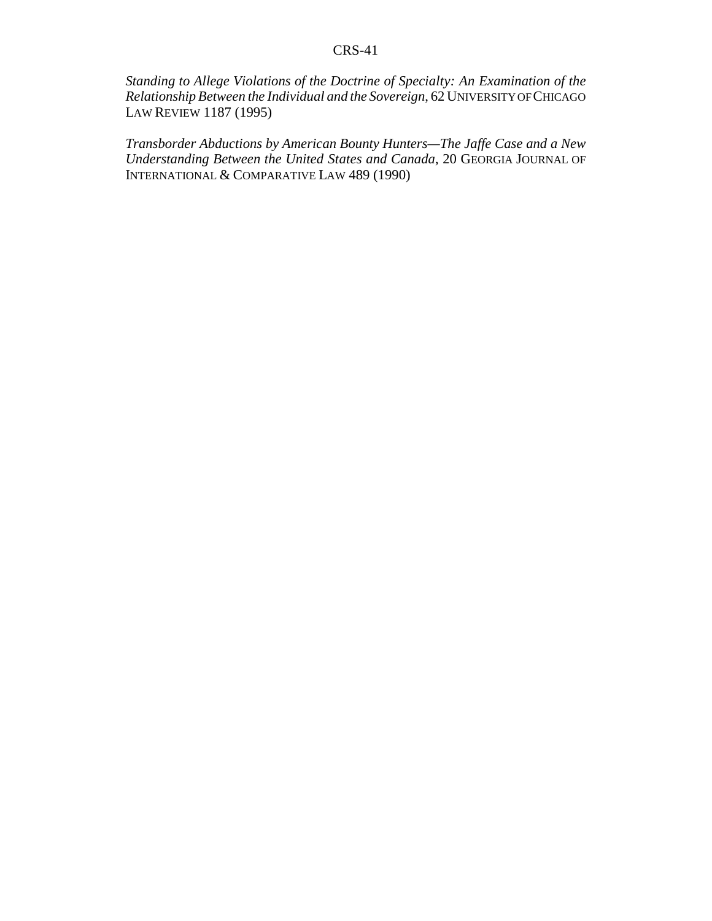*Standing to Allege Violations of the Doctrine of Specialty: An Examination of the Relationship Between the Individual and the Sovereign*, 62 UNIVERSITY OF CHICAGO LAW REVIEW 1187 (1995)

*Transborder Abductions by American Bounty Hunters—The Jaffe Case and a New Understanding Between the United States and Canada*, 20 GEORGIA JOURNAL OF INTERNATIONAL & COMPARATIVE LAW 489 (1990)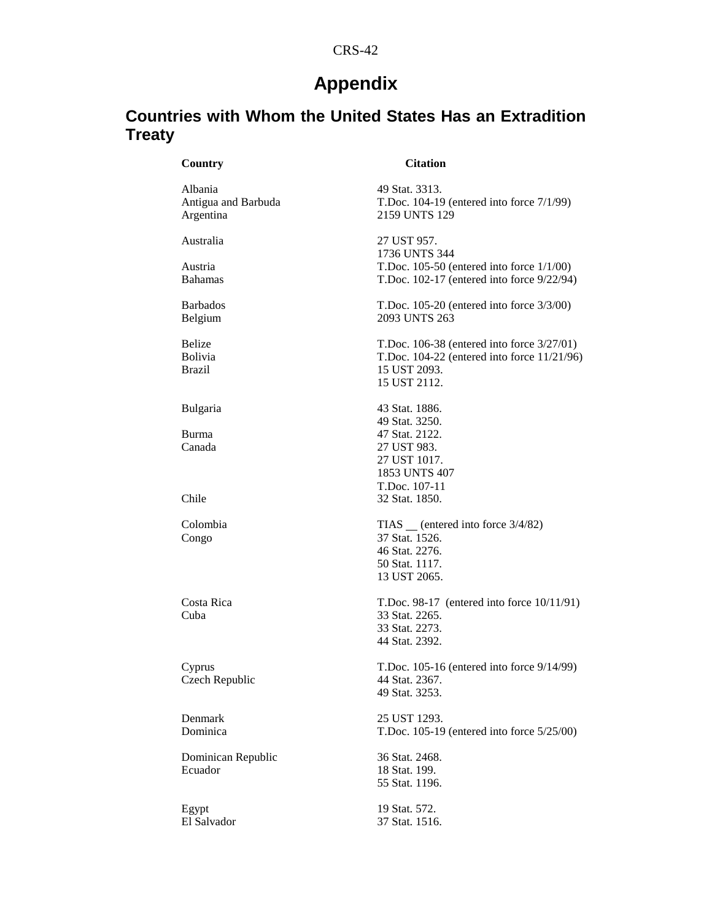### **Appendix**

### **Countries with Whom the United States Has an Extradition Treaty**

#### **Country Citation**

Albania 49 Stat. 3313. Antigua and Barbuda T.Doc. 104-19 (entered into force 7/1/99) Argentina 2159 UNTS 129 Australia 27 UST 957. 1736 UNTS 344 Austria T.Doc. 105-50 (entered into force 1/1/00) Bahamas T.Doc. 102-17 (entered into force 9/22/94) Barbados T.Doc. 105-20 (entered into force 3/3/00) Belgium 2093 UNTS 263 Belize T.Doc. 106-38 (entered into force 3/27/01)<br>Bolivia T.Doc. 104-22 (entered into force 11/21/96 T.Doc. 104-22 (entered into force 11/21/96) Brazil 15 UST 2093. 15 UST 2112. Bulgaria 43 Stat. 1886. 49 Stat. 3250. Burma 47 Stat. 2122.<br>
Canada 27 UST 983. 27 UST 983. 27 UST 1017. 1853 UNTS 407 T.Doc. 107-11 Chile 32 Stat. 1850. Colombia TIAS (entered into force  $3/4/82$ ) Congo 37 Stat. 1526. 46 Stat. 2276. 50 Stat. 1117. 13 UST 2065. Costa Rica T.Doc. 98-17 (entered into force 10/11/91)<br>Cuba 33 Stat. 2265. 33 Stat. 2265. 33 Stat. 2273. 44 Stat. 2392. Cyprus T.Doc. 105-16 (entered into force 9/14/99)<br>Czech Republic 44 Stat. 2367. Czech Republic 49 Stat. 3253. Denmark 25 UST 1293.<br>Dominica T.Doc. 105-19 T.Doc.  $105-19$  (entered into force  $5/25/00$ ) Dominican Republic 36 Stat. 2468.<br>Ecuador 18 Stat. 199. 18 Stat. 199. 55 Stat. 1196. Egypt 19 Stat. 572. El Salvador 37 Stat. 1516.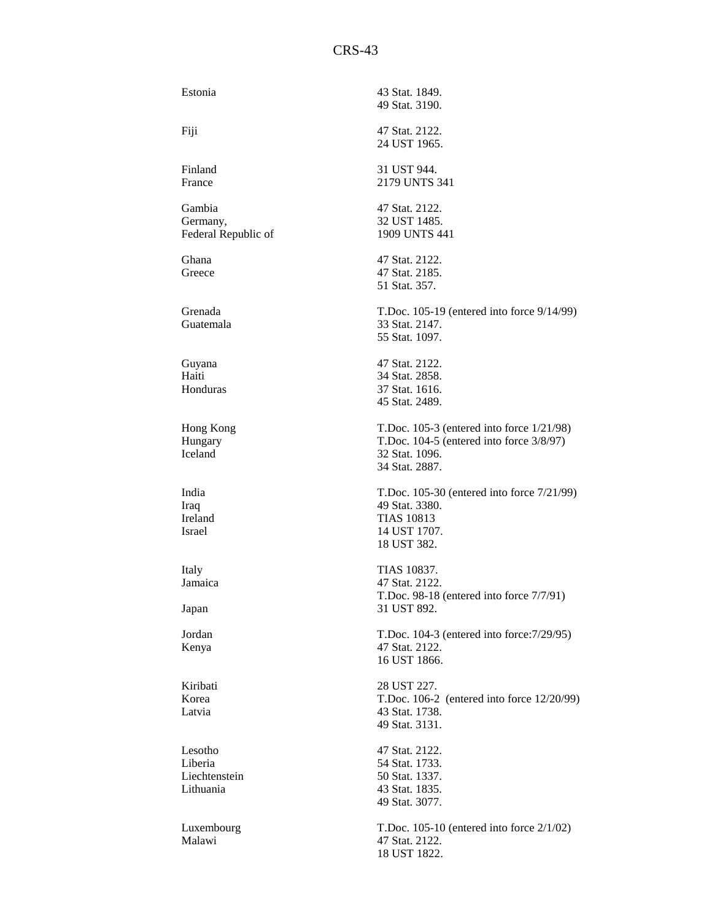| Estonia                                          | 43 Stat. 1849.<br>49 Stat. 3190.                                                                                                    |
|--------------------------------------------------|-------------------------------------------------------------------------------------------------------------------------------------|
| Fiji                                             | 47 Stat. 2122.<br>24 UST 1965.                                                                                                      |
| Finland<br>France                                | 31 UST 944.<br>2179 UNTS 341                                                                                                        |
| Gambia<br>Germany,<br>Federal Republic of        | 47 Stat. 2122.<br>32 UST 1485.<br>1909 UNTS 441                                                                                     |
| Ghana<br>Greece                                  | 47 Stat. 2122.<br>47 Stat. 2185.<br>51 Stat. 357.                                                                                   |
| Grenada<br>Guatemala                             | T.Doc. 105-19 (entered into force 9/14/99)<br>33 Stat. 2147.<br>55 Stat. 1097.                                                      |
| Guyana<br>Haiti<br>Honduras                      | 47 Stat. 2122.<br>34 Stat. 2858.<br>37 Stat. 1616.<br>45 Stat. 2489.                                                                |
| Hong Kong<br>Hungary<br>Iceland                  | T.Doc. $105-3$ (entered into force $1/21/98$ )<br>T.Doc. $104-5$ (entered into force $3/8/97$ )<br>32 Stat. 1096.<br>34 Stat. 2887. |
| India<br>Iraq<br>Ireland<br>Israel               | T.Doc. 105-30 (entered into force 7/21/99)<br>49 Stat. 3380.<br><b>TIAS 10813</b><br>14 UST 1707.<br>18 UST 382.                    |
| Italy<br>Jamaica<br>Japan                        | TIAS 10837.<br>47 Stat. 2122.<br>T.Doc. 98-18 (entered into force 7/7/91)<br>31 UST 892.                                            |
| Jordan<br>Kenya                                  | T.Doc. 104-3 (entered into force: 7/29/95)<br>47 Stat. 2122.<br>16 UST 1866.                                                        |
| Kiribati<br>Korea<br>Latvia                      | 28 UST 227.<br>T.Doc. 106-2 (entered into force 12/20/99)<br>43 Stat. 1738.<br>49 Stat. 3131.                                       |
| Lesotho<br>Liberia<br>Liechtenstein<br>Lithuania | 47 Stat. 2122.<br>54 Stat. 1733.<br>50 Stat. 1337.<br>43 Stat. 1835.<br>49 Stat. 3077.                                              |
| Luxembourg<br>Malawi                             | T.Doc. $105-10$ (entered into force $2/1/02$ )<br>47 Stat. 2122.<br>18 UST 1822.                                                    |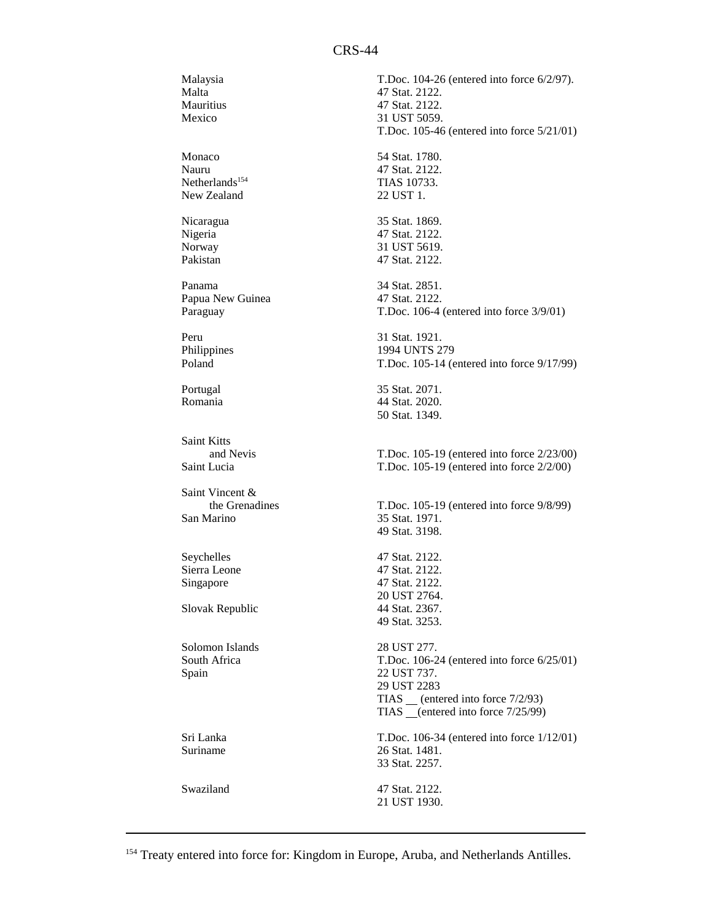Malaysia T.Doc. 104-26 (entered into force 6/2/97). Malta 47 Stat. 2122.<br>Mauritius 47 Stat. 2122. Mauritius 47 Stat. 2122.<br>Mexico 31 UST 5059. 31 UST 5059. T.Doc. 105-46 (entered into force 5/21/01) Monaco 54 Stat. 1780. Nauru 47 Stat. 2122. Netherlands<sup>154</sup> TIAS 10733. New Zealand 22 UST 1. Nicaragua 35 Stat. 1869. Nigeria 47 Stat. 2122. Norway 31 UST 5619. Pakistan 47 Stat. 2122. Panama 34 Stat. 2851. Papua New Guinea 47 Stat. 2122. Paraguay T.Doc. 106-4 (entered into force 3/9/01) Peru 31 Stat. 1921. Philippines 1994 UNTS 279<br>Poland T.Doc. 105-14 (e T.Doc. 105-14 (entered into force 9/17/99) Portugal 35 Stat. 2071. Romania 44 Stat. 2020. 50 Stat. 1349. Saint Kitts and Nevis T.Doc. 105-19 (entered into force 2/23/00) Saint Lucia T.Doc. 105-19 (entered into force 2/2/00) Saint Vincent &<br>the Grenadines T.Doc. 105-19 (entered into force 9/8/99) San Marino 35 Stat. 1971. 49 Stat. 3198. Seychelles 47 Stat. 2122.<br>Sierra Leone 47 Stat. 2122. Sierra Leone Singapore 47 Stat. 2122. 20 UST 2764. Slovak Republic 49 Stat. 3253. Solomon Islands 28 UST 277. South Africa T.Doc. 106-24 (entered into force 6/25/01) Spain 22 UST 737. 29 UST 2283 TIAS (entered into force 7/2/93) TIAS \_\_(entered into force 7/25/99) Sri Lanka T.Doc. 106-34 (entered into force 1/12/01)<br>Suriname 26 Stat. 1481. 26 Stat. 1481. 33 Stat. 2257. Swaziland 47 Stat. 2122. 21 UST 1930.

<sup>154</sup> Treaty entered into force for: Kingdom in Europe, Aruba, and Netherlands Antilles.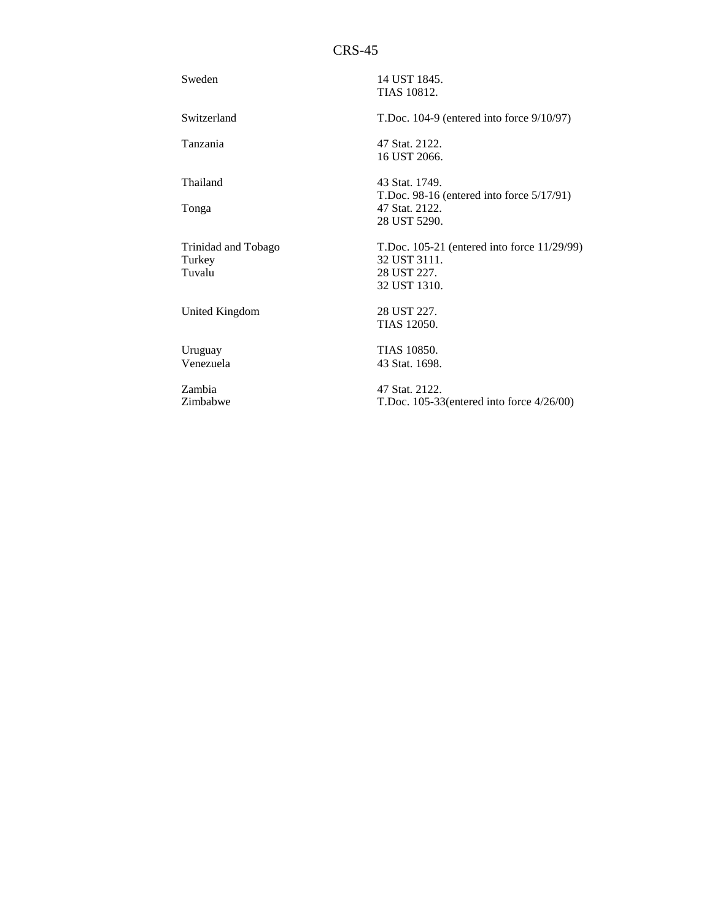| Sweden                                  | 14 UST 1845.<br>TIAS 10812.                                                                     |
|-----------------------------------------|-------------------------------------------------------------------------------------------------|
| Switzerland                             | T.Doc. $104-9$ (entered into force $9/10/97$ )                                                  |
| Tanzania                                | 47 Stat. 2122.<br>16 UST 2066.                                                                  |
| Thailand                                | 43 Stat. 1749.<br>T.Doc. 98-16 (entered into force $5/17/91$ )                                  |
| Tonga                                   | 47 Stat. 2122.<br>28 UST 5290.                                                                  |
| Trinidad and Tobago<br>Turkey<br>Tuvalu | T.Doc. $105-21$ (entered into force $11/29/99$ )<br>32 UST 3111.<br>28 UST 227.<br>32 UST 1310. |
| United Kingdom                          | 28 UST 227.<br>TIAS 12050.                                                                      |
| Uruguay<br>Venezuela                    | <b>TIAS 10850.</b><br>43 Stat. 1698.                                                            |
| Zambia<br>Zimbabwe                      | 47 Stat. 2122.<br>T.Doc. $105-33$ (entered into force $4/26/00$ )                               |

 $05-33$ (entered into force  $4/26/00$ )